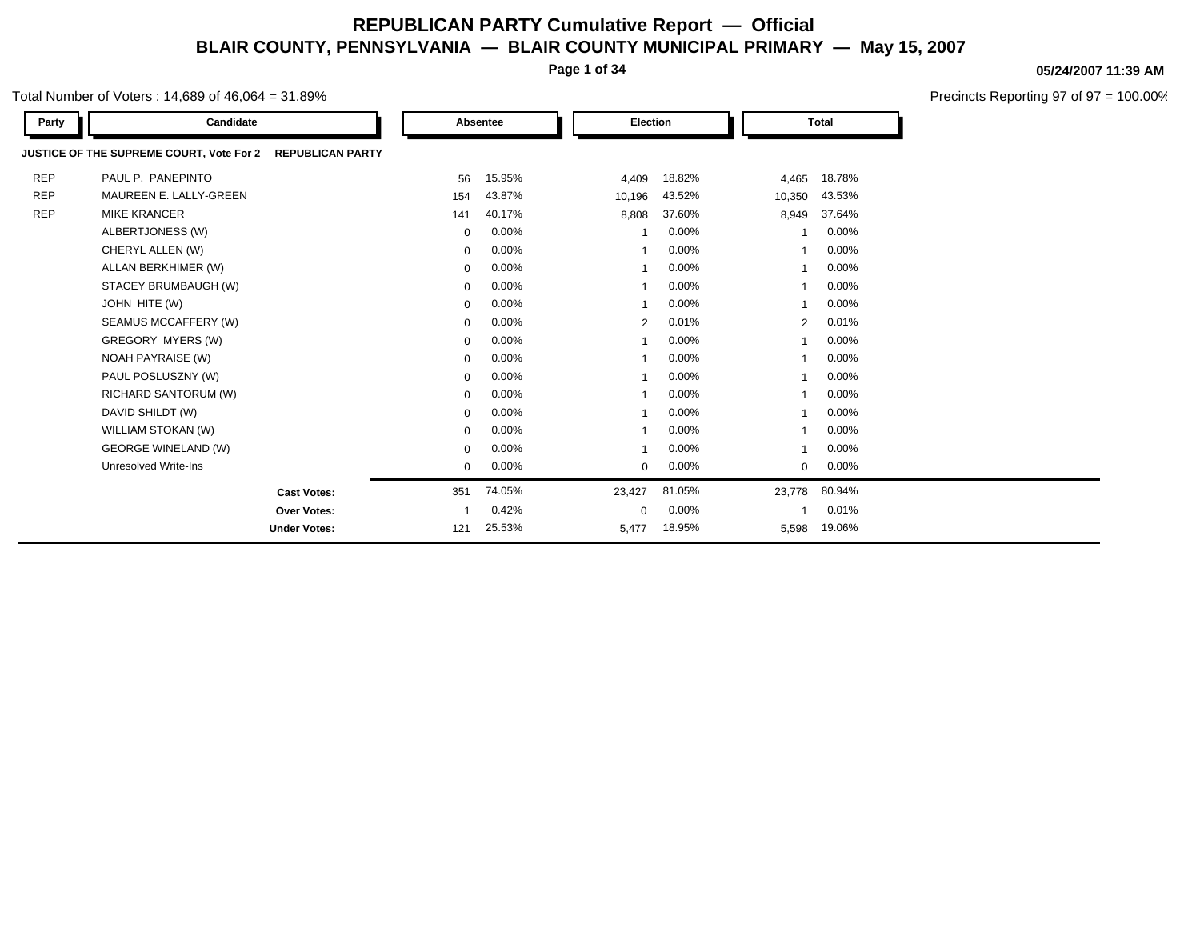**Page 1 of 34**

### Total Number of Voters : 14,689 of 46,064 = 31.89%

| Party      | Candidate                                |                         |              | Absentee | Election       |        |              | <b>Total</b> |  |
|------------|------------------------------------------|-------------------------|--------------|----------|----------------|--------|--------------|--------------|--|
|            | JUSTICE OF THE SUPREME COURT, Vote For 2 | <b>REPUBLICAN PARTY</b> |              |          |                |        |              |              |  |
| <b>REP</b> | PAUL P. PANEPINTO                        |                         | 56           | 15.95%   | 4,409          | 18.82% | 4,465        | 18.78%       |  |
| <b>REP</b> | MAUREEN E. LALLY-GREEN                   |                         | 154          | 43.87%   | 10,196         | 43.52% | 10,350       | 43.53%       |  |
| <b>REP</b> | <b>MIKE KRANCER</b>                      |                         | 141          | 40.17%   | 8,808          | 37.60% | 8,949        | 37.64%       |  |
|            | ALBERTJONESS (W)                         |                         | $\mathbf{0}$ | $0.00\%$ | 1              | 0.00%  | 1            | 0.00%        |  |
|            | CHERYL ALLEN (W)                         |                         | 0            | $0.00\%$ | 1              | 0.00%  | $\mathbf{1}$ | 0.00%        |  |
|            | ALLAN BERKHIMER (W)                      |                         | 0            | $0.00\%$ |                | 0.00%  | $\mathbf{1}$ | 0.00%        |  |
|            | STACEY BRUMBAUGH (W)                     |                         | 0            | $0.00\%$ | 1              | 0.00%  | $\mathbf{1}$ | 0.00%        |  |
|            | JOHN HITE (W)                            |                         | 0            | $0.00\%$ | 1              | 0.00%  | $\mathbf{1}$ | 0.00%        |  |
|            | SEAMUS MCCAFFERY (W)                     |                         | 0            | 0.00%    | 2              | 0.01%  | 2            | 0.01%        |  |
|            | GREGORY MYERS (W)                        |                         | $\mathbf{0}$ | $0.00\%$ | 1              | 0.00%  | $\mathbf{1}$ | 0.00%        |  |
|            | <b>NOAH PAYRAISE (W)</b>                 |                         | 0            | $0.00\%$ |                | 0.00%  | $\mathbf{1}$ | 0.00%        |  |
|            | PAUL POSLUSZNY (W)                       |                         | 0            | $0.00\%$ | 1              | 0.00%  | $\mathbf{1}$ | 0.00%        |  |
|            | RICHARD SANTORUM (W)                     |                         | 0            | $0.00\%$ | 1              | 0.00%  | $\mathbf{1}$ | 0.00%        |  |
|            | DAVID SHILDT (W)                         |                         | $\mathbf{0}$ | $0.00\%$ | $\overline{1}$ | 0.00%  | $\mathbf{1}$ | 0.00%        |  |
|            | WILLIAM STOKAN (W)                       |                         | $\mathbf{0}$ | $0.00\%$ | 1              | 0.00%  | $\mathbf{1}$ | 0.00%        |  |
|            | <b>GEORGE WINELAND (W)</b>               |                         | $\mathbf{0}$ | $0.00\%$ |                | 0.00%  | $\mathbf{1}$ | 0.00%        |  |
|            | Unresolved Write-Ins                     |                         | 0            | $0.00\%$ | 0              | 0.00%  | 0            | 0.00%        |  |
|            |                                          | <b>Cast Votes:</b>      | 351          | 74.05%   | 23,427         | 81.05% | 23,778       | 80.94%       |  |
|            |                                          | Over Votes:             |              | 0.42%    | $\Omega$       | 0.00%  | $\mathbf{1}$ | 0.01%        |  |
|            |                                          | <b>Under Votes:</b>     | 121          | 25.53%   | 5,477          | 18.95% | 5,598        | 19.06%       |  |

#### **05/24/2007 11:39 AM**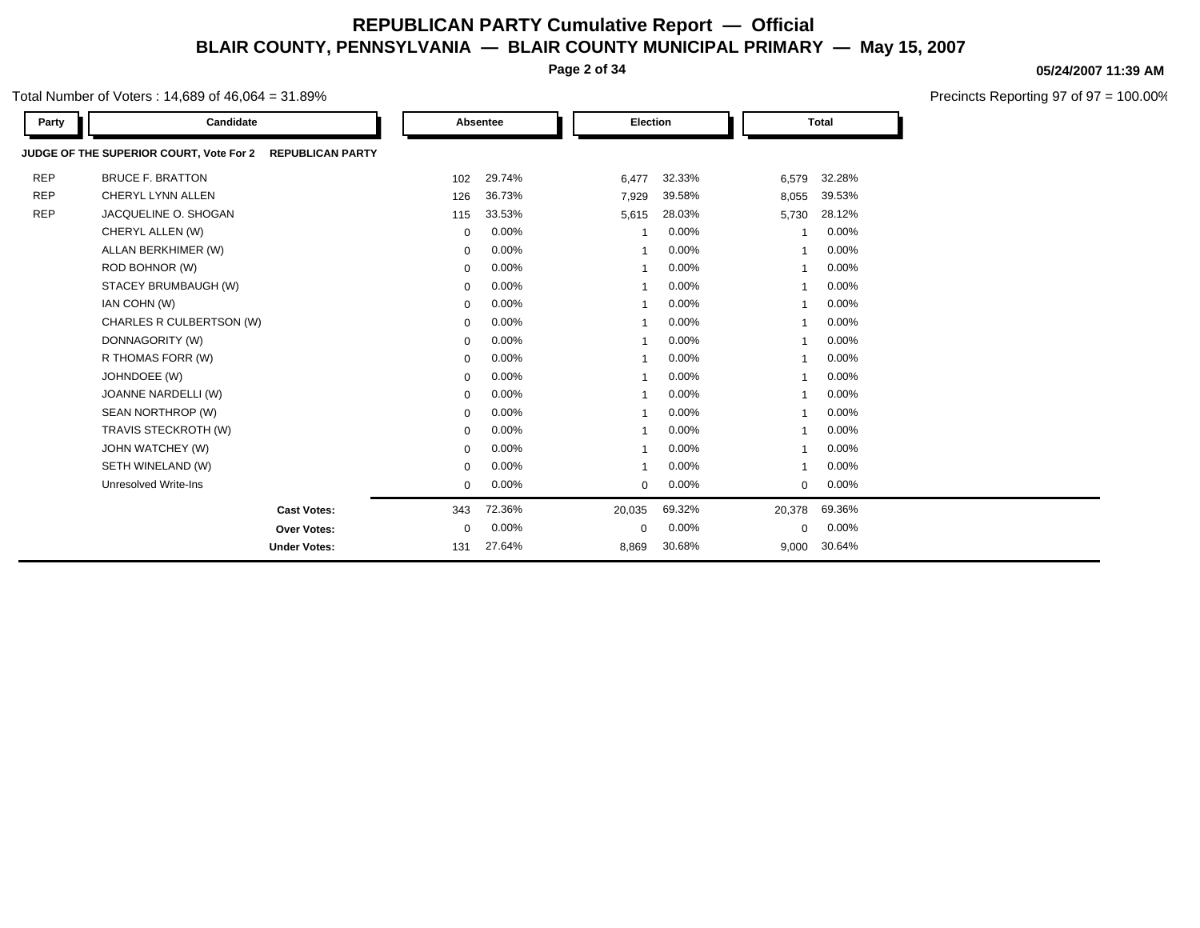**Page 2 of 34**

### Total Number of Voters : 14,689 of 46,064 = 31.89%

| Party      | Candidate                                                          |             | Absentee | <b>Election</b> |        |                | <b>Total</b> |
|------------|--------------------------------------------------------------------|-------------|----------|-----------------|--------|----------------|--------------|
|            | JUDGE OF THE SUPERIOR COURT, Vote For 2<br><b>REPUBLICAN PARTY</b> |             |          |                 |        |                |              |
| <b>REP</b> | <b>BRUCE F. BRATTON</b>                                            | 102         | 29.74%   | 6,477           | 32.33% | 6,579          | 32.28%       |
| <b>REP</b> | CHERYL LYNN ALLEN                                                  | 126         | 36.73%   | 7,929           | 39.58% | 8,055          | 39.53%       |
| <b>REP</b> | JACQUELINE O. SHOGAN                                               | 115         | 33.53%   | 5,615           | 28.03% | 5,730          | 28.12%       |
|            | CHERYL ALLEN (W)                                                   | $\mathbf 0$ | 0.00%    |                 | 0.00%  |                | 0.00%        |
|            | ALLAN BERKHIMER (W)                                                | $\mathbf 0$ | 0.00%    | $\mathbf{1}$    | 0.00%  |                | 0.00%        |
|            | ROD BOHNOR (W)                                                     | $\mathbf 0$ | 0.00%    | $\overline{1}$  | 0.00%  | $\overline{1}$ | 0.00%        |
|            | STACEY BRUMBAUGH (W)                                               | $\mathbf 0$ | 0.00%    | $\mathbf{1}$    | 0.00%  |                | 0.00%        |
|            | IAN COHN (W)                                                       | 0           | 0.00%    | $\mathbf{1}$    | 0.00%  |                | 0.00%        |
|            | CHARLES R CULBERTSON (W)                                           | $\mathbf 0$ | 0.00%    |                 | 0.00%  |                | 0.00%        |
|            | DONNAGORITY (W)                                                    | $\mathbf 0$ | 0.00%    |                 | 0.00%  |                | 0.00%        |
|            | R THOMAS FORR (W)                                                  | $\mathbf 0$ | 0.00%    |                 | 0.00%  |                | 0.00%        |
|            | JOHNDOEE (W)                                                       | $\mathbf 0$ | 0.00%    |                 | 0.00%  |                | 0.00%        |
|            | JOANNE NARDELLI (W)                                                | $\mathbf 0$ | 0.00%    |                 | 0.00%  |                | 0.00%        |
|            | SEAN NORTHROP (W)                                                  | $\mathbf 0$ | 0.00%    |                 | 0.00%  |                | 0.00%        |
|            | TRAVIS STECKROTH (W)                                               | $\mathbf 0$ | 0.00%    |                 | 0.00%  |                | 0.00%        |
|            | JOHN WATCHEY (W)                                                   | $\mathbf 0$ | 0.00%    | $\mathbf 1$     | 0.00%  |                | 0.00%        |
|            | SETH WINELAND (W)                                                  | $\mathbf 0$ | 0.00%    | $\mathbf 1$     | 0.00%  |                | 0.00%        |
|            | Unresolved Write-Ins                                               | $\mathbf 0$ | 0.00%    | $\mathbf 0$     | 0.00%  | $\mathbf 0$    | 0.00%        |
|            | <b>Cast Votes:</b>                                                 | 343         | 72.36%   | 20,035          | 69.32% | 20,378         | 69.36%       |
|            | <b>Over Votes:</b>                                                 | $\mathbf 0$ | 0.00%    | $\mathbf 0$     | 0.00%  | $\Omega$       | 0.00%        |
|            | <b>Under Votes:</b>                                                | 131         | 27.64%   | 8,869           | 30.68% | 9,000          | 30.64%       |

**05/24/2007 11:39 AM**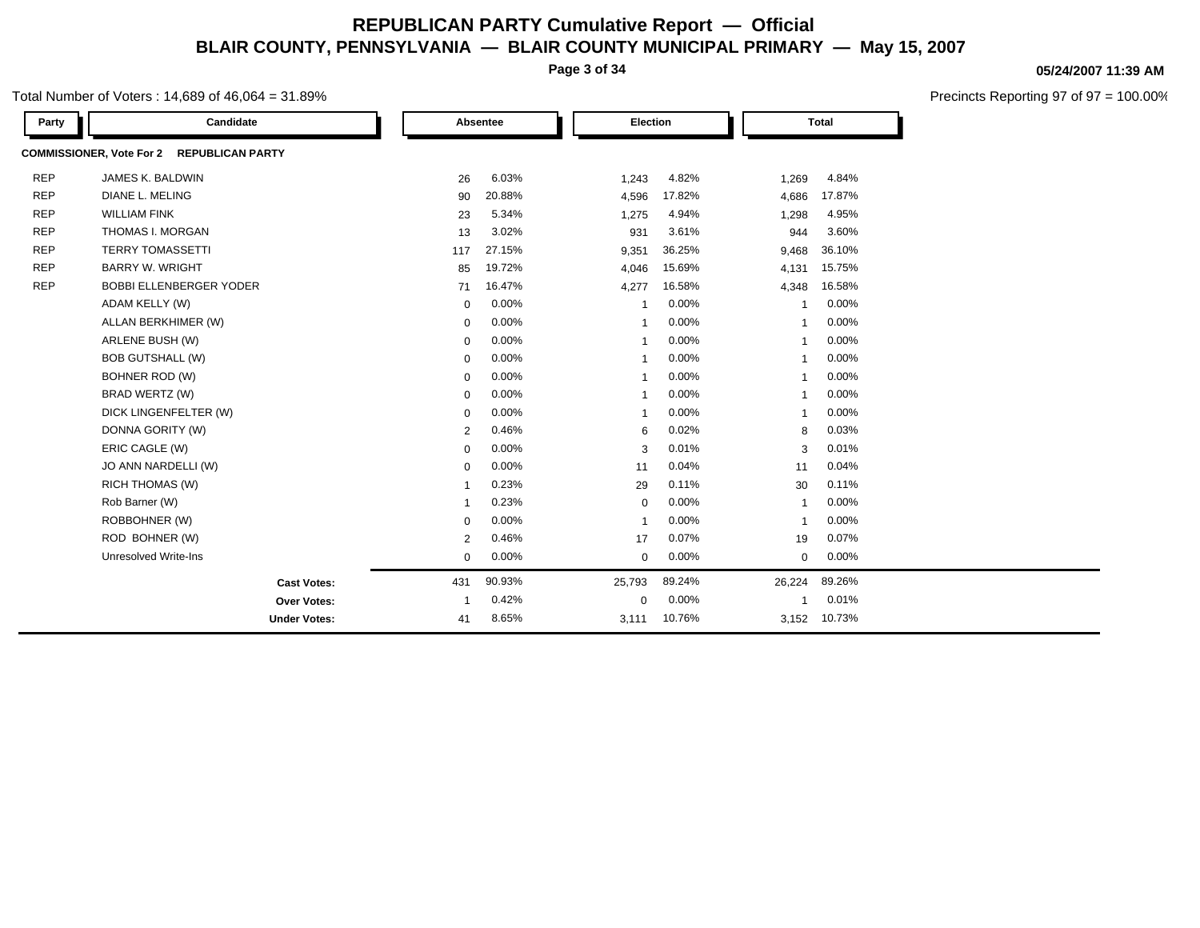**Page 3 of 34**

### Total Number of Voters : 14,689 of 46,064 = 31.89%

| Party      | Candidate                                 |                | Absentee | Election                |        |                | <b>Total</b> |  |
|------------|-------------------------------------------|----------------|----------|-------------------------|--------|----------------|--------------|--|
|            | COMMISSIONER, Vote For 2 REPUBLICAN PARTY |                |          |                         |        |                |              |  |
| <b>REP</b> | JAMES K. BALDWIN                          | 26             | 6.03%    | 1,243                   | 4.82%  | 1,269          | 4.84%        |  |
| <b>REP</b> | <b>DIANE L. MELING</b>                    | 90             | 20.88%   | 4,596                   | 17.82% | 4,686          | 17.87%       |  |
| <b>REP</b> | <b>WILLIAM FINK</b>                       | 23             | 5.34%    | 1,275                   | 4.94%  | 1,298          | 4.95%        |  |
| <b>REP</b> | THOMAS I. MORGAN                          | 13             | 3.02%    | 931                     | 3.61%  | 944            | 3.60%        |  |
| <b>REP</b> | <b>TERRY TOMASSETTI</b>                   | 117            | 27.15%   | 9,351                   | 36.25% | 9,468          | 36.10%       |  |
| <b>REP</b> | <b>BARRY W. WRIGHT</b>                    | 85             | 19.72%   | 4,046                   | 15.69% | 4,131          | 15.75%       |  |
| <b>REP</b> | <b>BOBBI ELLENBERGER YODER</b>            | 71             | 16.47%   | 4,277                   | 16.58% | 4,348          | 16.58%       |  |
|            | ADAM KELLY (W)                            | $\mathbf 0$    | 0.00%    | -1                      | 0.00%  | -1             | 0.00%        |  |
|            | ALLAN BERKHIMER (W)                       | $\mathbf 0$    | 0.00%    | $\overline{1}$          | 0.00%  | -1             | 0.00%        |  |
|            | ARLENE BUSH (W)                           | $\mathbf 0$    | 0.00%    | $\overline{\mathbf{1}}$ | 0.00%  | $\overline{1}$ | 0.00%        |  |
|            | <b>BOB GUTSHALL (W)</b>                   | $\mathbf 0$    | 0.00%    | -1                      | 0.00%  | $\overline{1}$ | 0.00%        |  |
|            | BOHNER ROD (W)                            | 0              | 0.00%    | -1                      | 0.00%  | 1              | 0.00%        |  |
|            | BRAD WERTZ (W)                            | $\mathbf 0$    | 0.00%    | $\overline{\mathbf{1}}$ | 0.00%  | $\overline{1}$ | 0.00%        |  |
|            | DICK LINGENFELTER (W)                     | $\mathbf 0$    | 0.00%    | $\overline{\mathbf{1}}$ | 0.00%  | -1             | 0.00%        |  |
|            | DONNA GORITY (W)                          | $\overline{2}$ | 0.46%    | 6                       | 0.02%  | 8              | 0.03%        |  |
|            | ERIC CAGLE (W)                            | $\mathbf 0$    | 0.00%    | 3                       | 0.01%  | 3              | 0.01%        |  |
|            | JO ANN NARDELLI (W)                       | 0              | 0.00%    | 11                      | 0.04%  | 11             | 0.04%        |  |
|            | <b>RICH THOMAS (W)</b>                    | $\mathbf 1$    | 0.23%    | 29                      | 0.11%  | 30             | 0.11%        |  |
|            | Rob Barner (W)                            | -1             | 0.23%    | $\mathbf 0$             | 0.00%  | $\mathbf{1}$   | 0.00%        |  |
|            | ROBBOHNER (W)                             | 0              | 0.00%    | $\overline{\mathbf{1}}$ | 0.00%  | $\overline{1}$ | 0.00%        |  |
|            | ROD BOHNER (W)                            | $\overline{2}$ | 0.46%    | 17                      | 0.07%  | 19             | 0.07%        |  |
|            | <b>Unresolved Write-Ins</b>               | $\mathbf 0$    | 0.00%    | $\mathbf 0$             | 0.00%  | $\mathbf 0$    | 0.00%        |  |
|            | <b>Cast Votes:</b>                        | 431            | 90.93%   | 25,793                  | 89.24% | 26,224         | 89.26%       |  |
|            | Over Votes:                               | $\mathbf 1$    | 0.42%    | $\mathbf 0$             | 0.00%  | 1              | 0.01%        |  |
|            | <b>Under Votes:</b>                       | 41             | 8.65%    | 3,111                   | 10.76% | 3,152          | 10.73%       |  |

#### **05/24/2007 11:39 AM**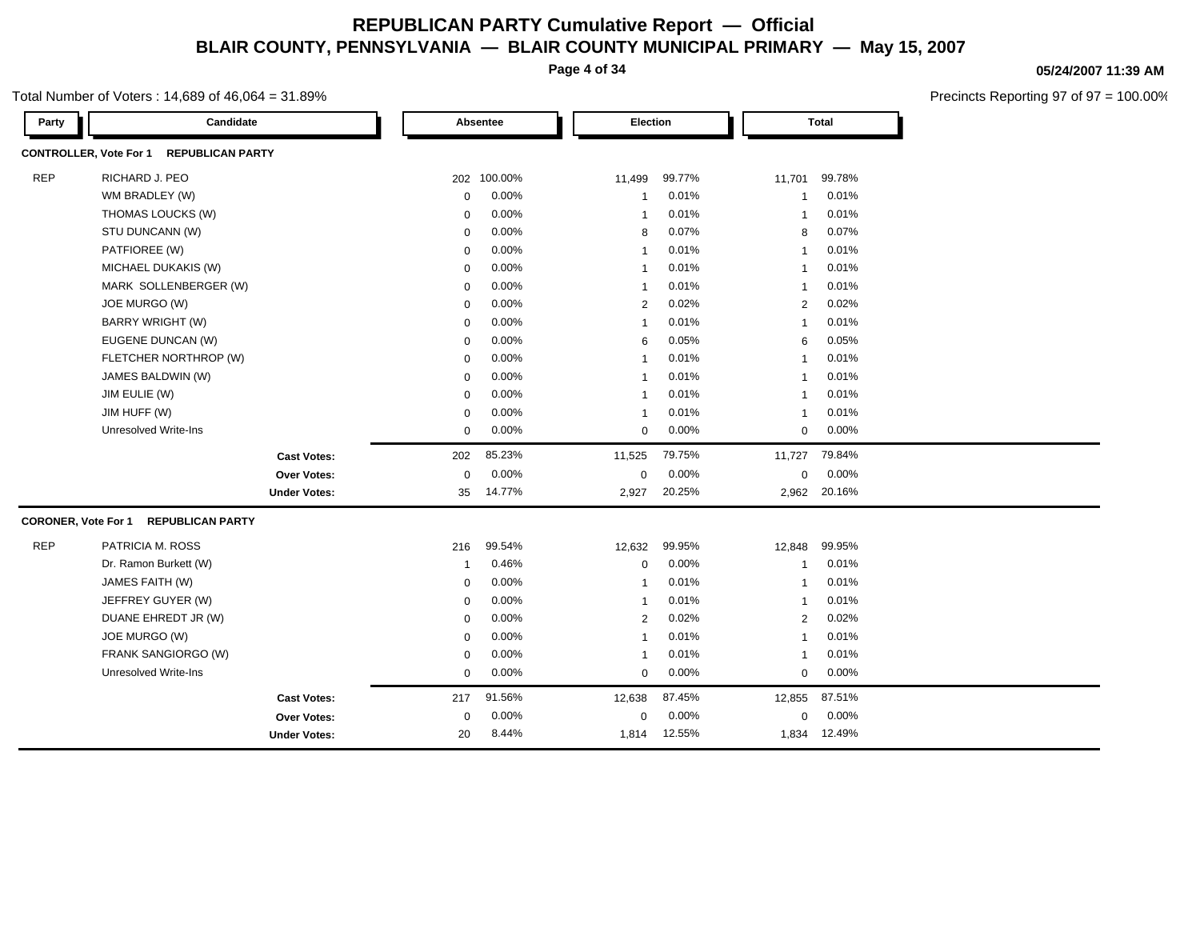**Page 4 of 34**

### Total Number of Voters : 14,689 of 46,064 = 31.89%

**05/24/2007 11:39 AM**

| Candidate<br>Party                                       |              | Absentee    |                | Election          |                | <b>Total</b> |
|----------------------------------------------------------|--------------|-------------|----------------|-------------------|----------------|--------------|
| <b>CONTROLLER, Vote For 1</b><br><b>REPUBLICAN PARTY</b> |              |             |                |                   |                |              |
| <b>REP</b><br>RICHARD J. PEO                             |              | 202 100.00% | 11,499         | 99.77%            | 11,701         | 99.78%       |
| WM BRADLEY (W)                                           | $\mathbf 0$  | 0.00%       | $\mathbf 1$    | 0.01%             | -1             | 0.01%        |
| THOMAS LOUCKS (W)                                        | $\mathbf 0$  | 0.00%       | $\mathbf{1}$   | 0.01%             | -1             | 0.01%        |
| STU DUNCANN (W)                                          | 0            | 0.00%       | 8              | 0.07%             | 8              | 0.07%        |
| PATFIOREE (W)                                            | 0            | 0.00%       | $\mathbf{1}$   | 0.01%             | -1             | 0.01%        |
| MICHAEL DUKAKIS (W)                                      | 0            | 0.00%       | $\mathbf{1}$   | 0.01%             | -1             | 0.01%        |
| MARK SOLLENBERGER (W)                                    | $\mathbf 0$  | 0.00%       | $\mathbf{1}$   | 0.01%             | -1             | 0.01%        |
| JOE MURGO (W)                                            | $\mathbf 0$  | 0.00%       |                | 0.02%<br>2        | $\overline{2}$ | 0.02%        |
| <b>BARRY WRIGHT (W)</b>                                  | 0            | 0.00%       | $\mathbf{1}$   | 0.01%             | -1             | 0.01%        |
| EUGENE DUNCAN (W)                                        | $\mathbf 0$  | 0.00%       |                | 0.05%<br>6        | 6              | 0.05%        |
| FLETCHER NORTHROP (W)                                    | $\mathbf 0$  | 0.00%       | $\mathbf 1$    | 0.01%             | -1             | 0.01%        |
| JAMES BALDWIN (W)                                        | 0            | 0.00%       | $\mathbf{1}$   | 0.01%             | $\overline{1}$ | 0.01%        |
| JIM EULIE (W)                                            | $\mathbf 0$  | 0.00%       | $\mathbf{1}$   | 0.01%             | $\overline{1}$ | 0.01%        |
| JIM HUFF (W)                                             | $\mathbf 0$  | 0.00%       | $\overline{1}$ | 0.01%             | $\overline{1}$ | 0.01%        |
| Unresolved Write-Ins                                     | $\mathbf 0$  | 0.00%       |                | 0.00%<br>$\Omega$ | $\mathbf 0$    | 0.00%        |
| <b>Cast Votes:</b>                                       | 202          | 85.23%      | 11,525         | 79.75%            | 11,727         | 79.84%       |
| <b>Over Votes:</b>                                       | $\mathbf 0$  | 0.00%       | 0              | 0.00%             | $\mathbf 0$    | 0.00%        |
| <b>Under Votes:</b>                                      | 35           | 14.77%      | 2,927          | 20.25%            |                | 2,962 20.16% |
| <b>CORONER, Vote For 1</b><br><b>REPUBLICAN PARTY</b>    |              |             |                |                   |                |              |
| <b>REP</b><br>PATRICIA M. ROSS                           | 216          | 99.54%      | 12,632         | 99.95%            | 12,848         | 99.95%       |
| Dr. Ramon Burkett (W)                                    | $\mathbf{1}$ | 0.46%       | $\mathbf 0$    | 0.00%             | -1             | 0.01%        |
| JAMES FAITH (W)                                          | 0            | 0.00%       | $\mathbf{1}$   | 0.01%             | -1             | 0.01%        |
| JEFFREY GUYER (W)                                        | $\mathbf 0$  | 0.00%       | $\overline{1}$ | 0.01%             | -1             | 0.01%        |
| DUANE EHREDT JR (W)                                      | $\mathbf 0$  | 0.00%       |                | 0.02%<br>2        | 2              | 0.02%        |
| JOE MURGO (W)                                            | 0            | 0.00%       | $\mathbf{1}$   | 0.01%             | -1             | 0.01%        |
| FRANK SANGIORGO (W)                                      | 0            | 0.00%       | $\mathbf{1}$   | 0.01%             | -1             | 0.01%        |
| <b>Unresolved Write-Ins</b>                              | 0            | 0.00%       | $\mathbf 0$    | 0.00%             | 0              | 0.00%        |
| <b>Cast Votes:</b>                                       | 217          | 91.56%      | 12,638         | 87.45%            | 12,855         | 87.51%       |
| Over Votes:                                              | $\mathbf 0$  | 0.00%       | 0              | 0.00%             | $\Omega$       | 0.00%        |
| <b>Under Votes:</b>                                      | 20           | 8.44%       | 1,814          | 12.55%            | 1,834          | 12.49%       |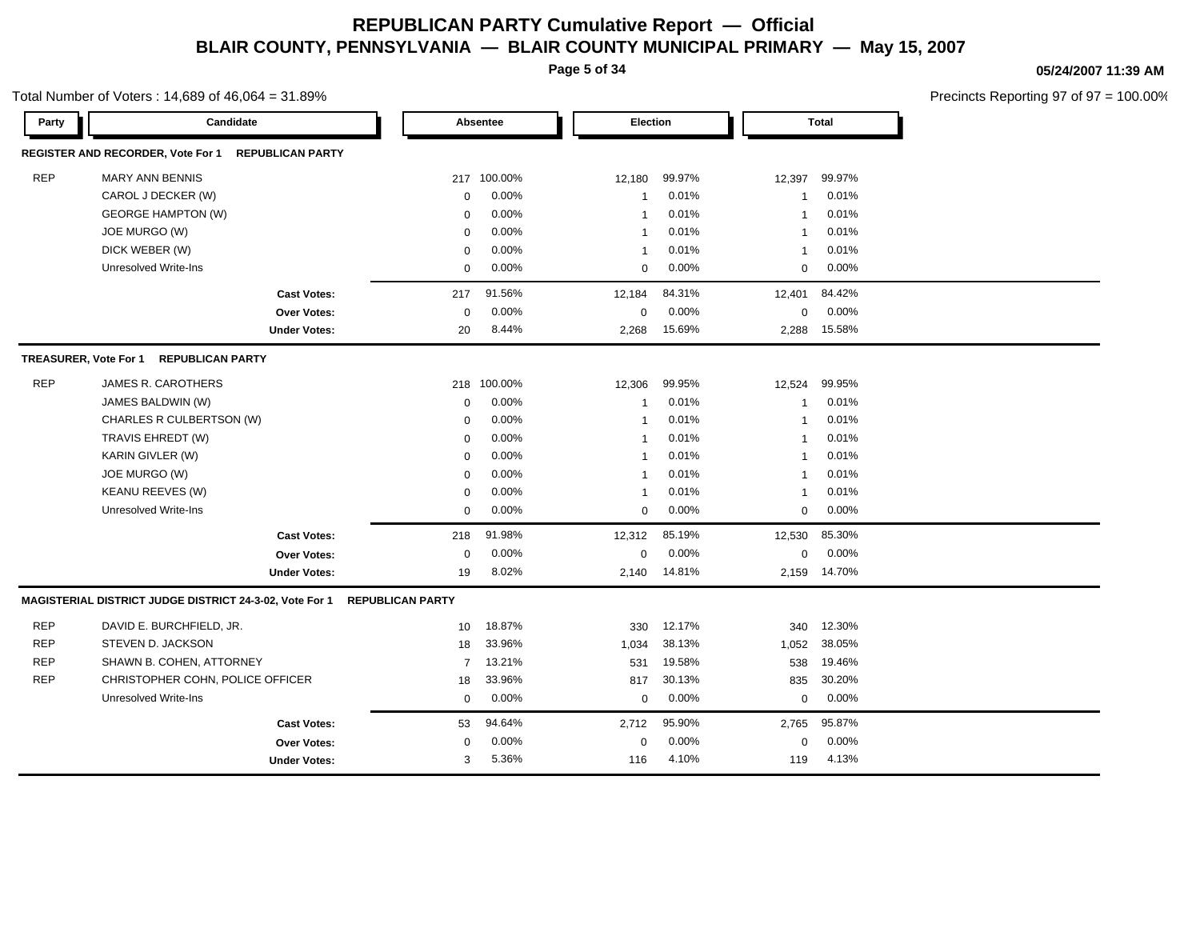**Page 5 of 34**

Total Number of Voters : 14,689 of 46,064 = 31.89%

**05/24/2007 11:39 AM**

| Party      | Candidate                                                    |                         | Absentee    | Election       |          |             | <b>Total</b> |  |
|------------|--------------------------------------------------------------|-------------------------|-------------|----------------|----------|-------------|--------------|--|
|            | REGISTER AND RECORDER, Vote For 1<br><b>REPUBLICAN PARTY</b> |                         |             |                |          |             |              |  |
| <b>REP</b> | <b>MARY ANN BENNIS</b>                                       |                         | 217 100.00% | 12,180         | 99.97%   | 12,397      | 99.97%       |  |
|            | CAROL J DECKER (W)                                           | $\mathbf 0$             | 0.00%       | $\overline{1}$ | 0.01%    | -1          | 0.01%        |  |
|            | <b>GEORGE HAMPTON (W)</b>                                    | $\mathbf 0$             | 0.00%       | $\overline{1}$ | 0.01%    | -1          | 0.01%        |  |
|            | JOE MURGO (W)                                                | $\mathbf 0$             | 0.00%       | $\mathbf 1$    | 0.01%    | -1          | 0.01%        |  |
|            | DICK WEBER (W)                                               | $\mathbf 0$             | 0.00%       | $\mathbf 1$    | 0.01%    | -1          | 0.01%        |  |
|            | <b>Unresolved Write-Ins</b>                                  | $\mathbf 0$             | 0.00%       | $\mathbf 0$    | 0.00%    | $\mathbf 0$ | 0.00%        |  |
|            | <b>Cast Votes:</b>                                           | 217                     | 91.56%      | 12,184         | 84.31%   | 12,401      | 84.42%       |  |
|            | <b>Over Votes:</b>                                           | $\mathbf 0$             | 0.00%       | $\mathbf 0$    | 0.00%    | $\mathbf 0$ | 0.00%        |  |
|            | <b>Under Votes:</b>                                          | 20                      | 8.44%       | 2,268          | 15.69%   | 2,288       | 15.58%       |  |
|            | <b>TREASURER, Vote For 1</b><br><b>REPUBLICAN PARTY</b>      |                         |             |                |          |             |              |  |
| <b>REP</b> | JAMES R. CAROTHERS                                           | 218                     | 100.00%     | 12,306         | 99.95%   | 12,524      | 99.95%       |  |
|            | JAMES BALDWIN (W)                                            | $\Omega$                | 0.00%       | $\mathbf 1$    | 0.01%    | -1          | 0.01%        |  |
|            | CHARLES R CULBERTSON (W)                                     | $\mathbf 0$             | 0.00%       | $\overline{1}$ | 0.01%    | -1          | 0.01%        |  |
|            | TRAVIS EHREDT (W)                                            | $\Omega$                | 0.00%       | $\overline{1}$ | 0.01%    | -1          | 0.01%        |  |
|            | KARIN GIVLER (W)                                             | $\Omega$                | 0.00%       | $\overline{1}$ | 0.01%    | -1          | 0.01%        |  |
|            | JOE MURGO (W)                                                | $\Omega$                | 0.00%       | $\overline{1}$ | 0.01%    | -1          | 0.01%        |  |
|            | <b>KEANU REEVES (W)</b>                                      | $\mathbf 0$             | 0.00%       | $\overline{1}$ | 0.01%    | -1          | 0.01%        |  |
|            | <b>Unresolved Write-Ins</b>                                  | $\mathbf 0$             | 0.00%       | $\mathbf 0$    | 0.00%    | $\mathbf 0$ | 0.00%        |  |
|            | <b>Cast Votes:</b>                                           | 218                     | 91.98%      | 12,312         | 85.19%   | 12,530      | 85.30%       |  |
|            | <b>Over Votes:</b>                                           | $\mathbf 0$             | 0.00%       | 0              | $0.00\%$ | $\mathbf 0$ | 0.00%        |  |
|            | <b>Under Votes:</b>                                          | 19                      | 8.02%       | 2.140          | 14.81%   | 2.159       | 14.70%       |  |
|            | MAGISTERIAL DISTRICT JUDGE DISTRICT 24-3-02, Vote For 1      | <b>REPUBLICAN PARTY</b> |             |                |          |             |              |  |
| <b>REP</b> | DAVID E. BURCHFIELD, JR.                                     | 10                      | 18.87%      | 330            | 12.17%   | 340         | 12.30%       |  |
| <b>REP</b> | STEVEN D. JACKSON                                            | 18                      | 33.96%      | 1,034          | 38.13%   | 1,052       | 38.05%       |  |
| <b>REP</b> | SHAWN B. COHEN, ATTORNEY                                     | $\overline{7}$          | 13.21%      | 531            | 19.58%   | 538         | 19.46%       |  |
| <b>REP</b> | CHRISTOPHER COHN, POLICE OFFICER                             | 18                      | 33.96%      | 817            | 30.13%   | 835         | 30.20%       |  |
|            | Unresolved Write-Ins                                         | $\mathbf 0$             | $0.00\%$    | $\mathbf 0$    | $0.00\%$ | $\mathbf 0$ | $0.00\%$     |  |
|            | <b>Cast Votes:</b>                                           | 53                      | 94.64%      | 2,712          | 95.90%   | 2,765       | 95.87%       |  |
|            | <b>Over Votes:</b>                                           | $\Omega$                | 0.00%       | $\mathbf 0$    | 0.00%    | $\mathbf 0$ | 0.00%        |  |
|            | <b>Under Votes:</b>                                          | 3                       | 5.36%       | 116            | 4.10%    | 119         | 4.13%        |  |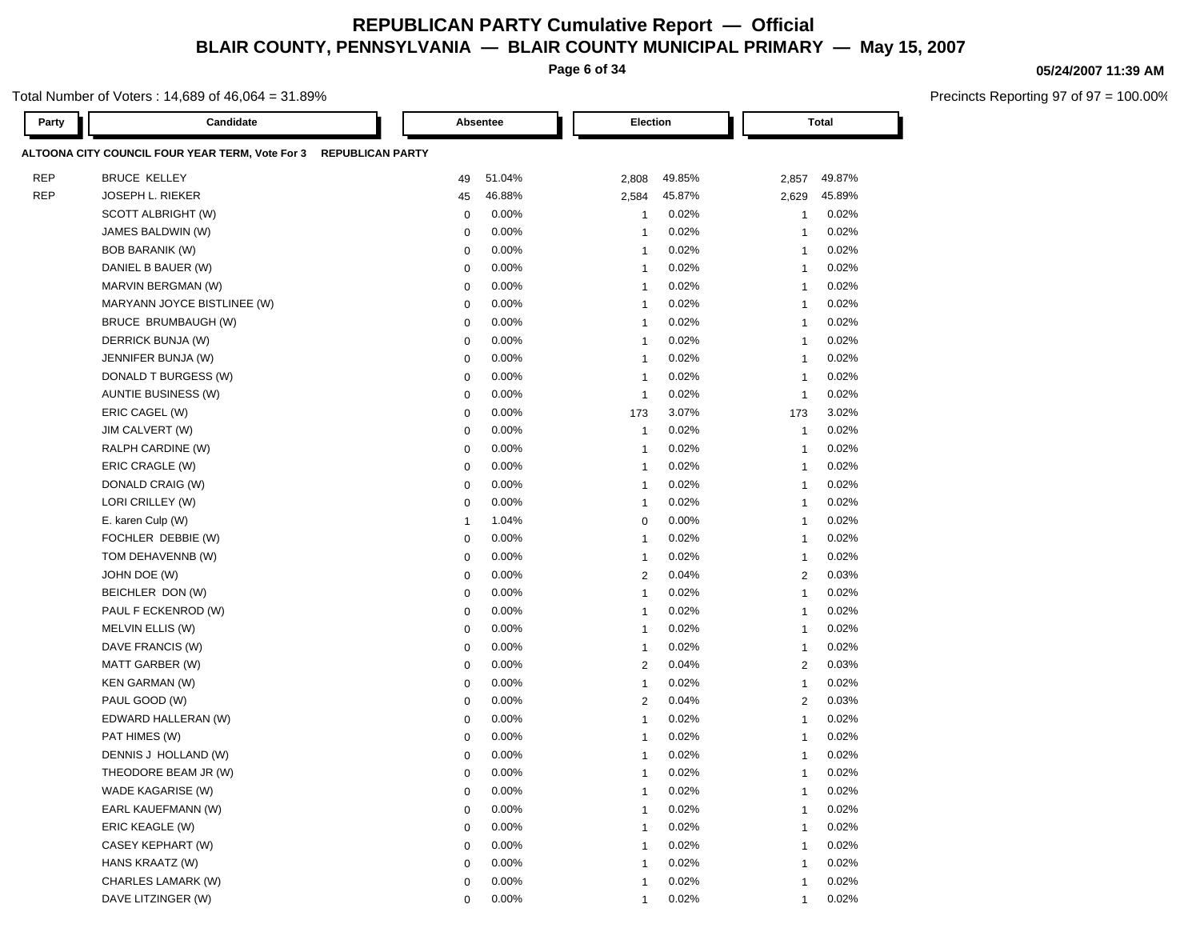**Page 6 of 34**

### Total Number of Voters : 14,689 of 46,064 = 31.89%

| Party      | Candidate                                       |                         | Absentee | Election                 |        |                | <b>Total</b> |
|------------|-------------------------------------------------|-------------------------|----------|--------------------------|--------|----------------|--------------|
|            | ALTOONA CITY COUNCIL FOUR YEAR TERM, Vote For 3 | <b>REPUBLICAN PARTY</b> |          |                          |        |                |              |
| <b>REP</b> | <b>BRUCE KELLEY</b>                             | 49                      | 51.04%   | 2,808                    | 49.85% | 2,857          | 49.87%       |
| <b>REP</b> | <b>JOSEPH L. RIEKER</b>                         | 45                      | 46.88%   | 2,584                    | 45.87% | 2,629          | 45.89%       |
|            | SCOTT ALBRIGHT (W)                              | $\mathbf 0$             | 0.00%    | $\overline{1}$           | 0.02%  | $\mathbf{1}$   | 0.02%        |
|            | JAMES BALDWIN (W)                               | $\mathbf 0$             | 0.00%    | $\overline{1}$           | 0.02%  | $\mathbf{1}$   | 0.02%        |
|            | <b>BOB BARANIK (W)</b>                          | $\mathbf 0$             | 0.00%    | $\overline{1}$           | 0.02%  | $\mathbf{1}$   | 0.02%        |
|            | DANIEL B BAUER (W)                              | $\mathbf 0$             | 0.00%    | $\overline{1}$           | 0.02%  | $\mathbf{1}$   | 0.02%        |
|            | MARVIN BERGMAN (W)                              | $\mathbf 0$             | 0.00%    | $\overline{1}$           | 0.02%  | $\mathbf{1}$   | 0.02%        |
|            | MARYANN JOYCE BISTLINEE (W)                     | $\mathbf 0$             | 0.00%    | $\overline{1}$           | 0.02%  | $\mathbf{1}$   | 0.02%        |
|            | BRUCE BRUMBAUGH (W)                             | $\mathbf 0$             | 0.00%    | $\overline{1}$           | 0.02%  | $\mathbf{1}$   | 0.02%        |
|            | DERRICK BUNJA (W)                               | $\mathbf 0$             | 0.00%    | $\overline{1}$           | 0.02%  | $\overline{1}$ | 0.02%        |
|            | JENNIFER BUNJA (W)                              | $\mathbf 0$             | 0.00%    | $\overline{1}$           | 0.02%  | $\overline{1}$ | 0.02%        |
|            | DONALD T BURGESS (W)                            | $\mathbf 0$             | 0.00%    | $\overline{1}$           | 0.02%  | -1             | 0.02%        |
|            | AUNTIE BUSINESS (W)                             | $\mathbf 0$             | 0.00%    | $\overline{1}$           | 0.02%  | $\overline{1}$ | 0.02%        |
|            | ERIC CAGEL (W)                                  | $\mathbf 0$             | 0.00%    | 173                      | 3.07%  | 173            | 3.02%        |
|            | JIM CALVERT (W)                                 | $\mathbf 0$             | 0.00%    | $\overline{1}$           | 0.02%  | $\overline{1}$ | 0.02%        |
|            | RALPH CARDINE (W)                               | $\mathbf 0$             | 0.00%    | $\overline{1}$           | 0.02%  | $\overline{1}$ | 0.02%        |
|            | ERIC CRAGLE (W)                                 | $\mathbf 0$             | 0.00%    | $\overline{1}$           | 0.02%  | $\overline{1}$ | 0.02%        |
|            | DONALD CRAIG (W)                                | $\mathbf 0$             | 0.00%    | $\overline{1}$           | 0.02%  | $\overline{1}$ | 0.02%        |
|            | LORI CRILLEY (W)                                | $\mathbf 0$             | 0.00%    | $\overline{1}$           | 0.02%  | $\overline{1}$ | 0.02%        |
|            | E. karen Culp (W)                               | $\overline{1}$          | 1.04%    | 0                        | 0.00%  | $\overline{1}$ | 0.02%        |
|            | FOCHLER DEBBIE (W)                              | $\mathbf 0$             | 0.00%    | $\overline{1}$           | 0.02%  | $\overline{1}$ | 0.02%        |
|            | TOM DEHAVENNB (W)                               | $\mathbf 0$             | 0.00%    | $\overline{1}$           | 0.02%  | $\overline{1}$ | 0.02%        |
|            | JOHN DOE (W)                                    | $\mathbf 0$             | 0.00%    | 2                        | 0.04%  | 2              | 0.03%        |
|            | BEICHLER DON (W)                                | $\mathbf 0$             | 0.00%    | $\overline{1}$           | 0.02%  | $\overline{1}$ | 0.02%        |
|            | PAUL F ECKENROD (W)                             | $\mathbf 0$             | 0.00%    | $\overline{1}$           | 0.02%  | $\overline{1}$ | 0.02%        |
|            | MELVIN ELLIS (W)                                | $\mathbf 0$             | 0.00%    | $\overline{1}$           | 0.02%  | $\overline{1}$ | 0.02%        |
|            | DAVE FRANCIS (W)                                | $\mathbf 0$             | 0.00%    | -1                       | 0.02%  | $\overline{1}$ | 0.02%        |
|            | MATT GARBER (W)                                 | $\mathbf 0$             | 0.00%    | $\overline{2}$           | 0.04%  | $\overline{c}$ | 0.03%        |
|            | <b>KEN GARMAN (W)</b>                           | $\mathbf 0$             | 0.00%    | $\overline{1}$           | 0.02%  | $\overline{1}$ | 0.02%        |
|            | PAUL GOOD (W)                                   | $\mathbf 0$             | 0.00%    | $\overline{2}$           | 0.04%  | $\overline{c}$ | 0.03%        |
|            | EDWARD HALLERAN (W)                             | $\mathbf 0$             | 0.00%    | $\overline{1}$           | 0.02%  | $\mathbf{1}$   | 0.02%        |
|            | PAT HIMES (W)                                   | $\mathbf 0$             | 0.00%    | $\overline{1}$           | 0.02%  | $\mathbf{1}$   | 0.02%        |
|            | DENNIS J HOLLAND (W)                            | $\mathbf 0$             | 0.00%    | -1                       | 0.02%  | $\overline{1}$ | 0.02%        |
|            | THEODORE BEAM JR (W)                            | 0                       | 0.00%    | -1                       | 0.02%  | $\mathbf{1}$   | 0.02%        |
|            | WADE KAGARISE (W)                               | 0                       | $0.00\%$ | $\mathbf 1$              | 0.02%  | 1              | 0.02%        |
|            | EARL KAUEFMANN (W)                              | $\mathbf 0$             | 0.00%    | $\overline{1}$           | 0.02%  | $\mathbf{1}$   | 0.02%        |
|            | ERIC KEAGLE (W)                                 | $\mathbf 0$             | 0.00%    | $\overline{1}$           | 0.02%  | $\overline{1}$ | 0.02%        |
|            | CASEY KEPHART (W)                               | $\mathbf 0$             | 0.00%    | $\overline{1}$           | 0.02%  | $\mathbf{1}$   | 0.02%        |
|            | HANS KRAATZ (W)                                 | $\mathbf 0$             | 0.00%    | $\overline{\phantom{a}}$ | 0.02%  | $\overline{1}$ | 0.02%        |
|            | CHARLES LAMARK (W)                              | $\mathbf 0$             | 0.00%    | $\overline{\phantom{a}}$ | 0.02%  | $\overline{1}$ | 0.02%        |
|            | DAVE LITZINGER (W)                              | $\mathbf 0$             | 0.00%    | 1                        | 0.02%  | $\overline{1}$ | 0.02%        |

### **05/24/2007 11:39 AM**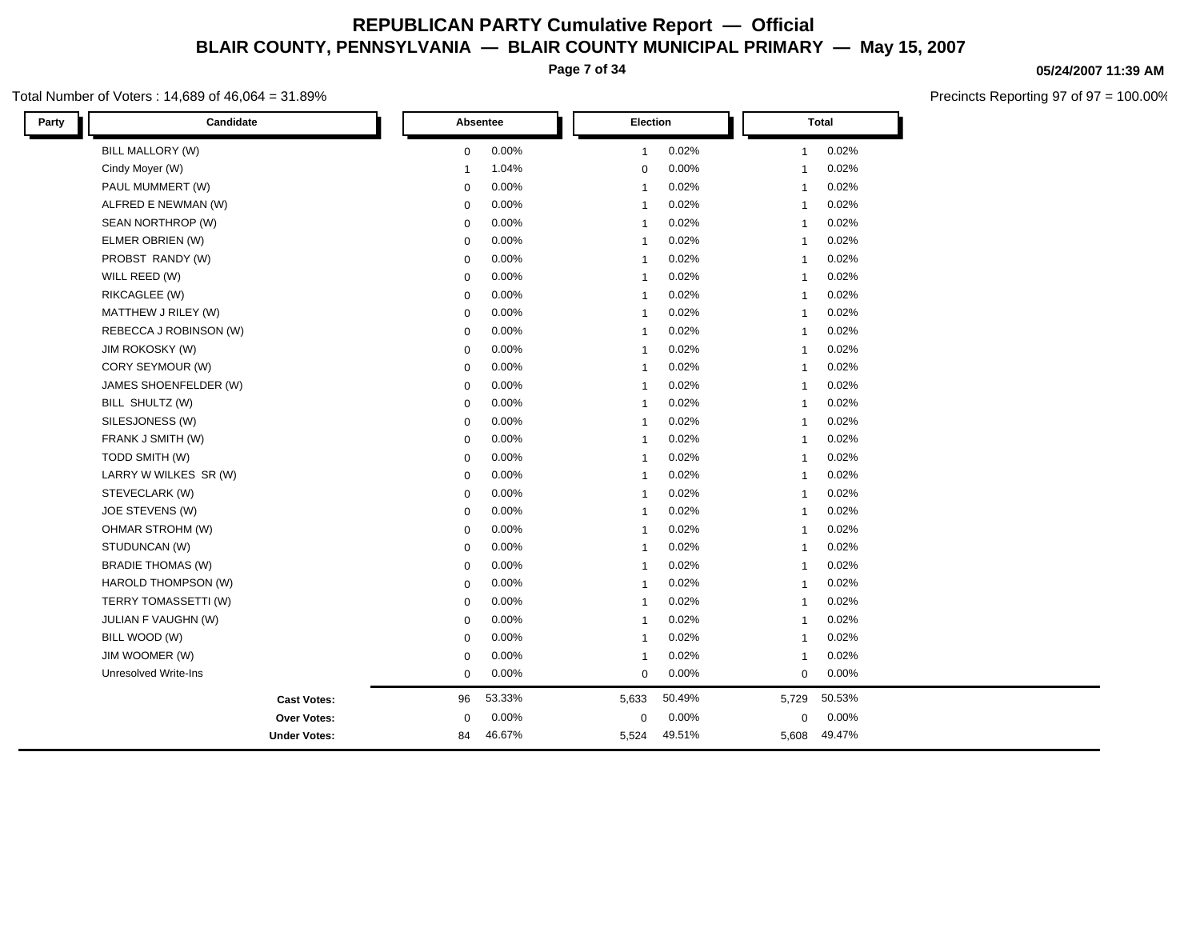**Page 7 of 34**

### Total Number of Voters : 14,689 of 46,064 = 31.89%

| BILL MALLORY (W)<br>0.00%<br>0.02%<br>0.02%<br>$\mathbf 0$<br>$\mathbf{1}$<br>1<br>Cindy Moyer (W)<br>1.04%<br>0.00%<br>0.02%<br>$\mathbf 0$<br>$\mathbf{1}$<br>-1<br>PAUL MUMMERT (W)<br>0.00%<br>0.02%<br>0.02%<br>0<br>$\mathbf{1}$<br>$\mathbf{1}$<br>0.00%<br>0.02%<br>0.02%<br>ALFRED E NEWMAN (W)<br>$\mathbf 0$<br>$\mathbf{1}$<br>1<br>0.02%<br>SEAN NORTHROP (W)<br>0.00%<br>0.02%<br>$\mathbf 0$<br>$\mathbf{1}$<br>1<br>ELMER OBRIEN (W)<br>0.02%<br>0.02%<br>0.00%<br>0<br>$\mathbf{1}$<br>1<br>PROBST RANDY (W)<br>0.00%<br>0.02%<br>0.02%<br>0<br>$\mathbf{1}$<br>$\mathbf{1}$<br>WILL REED (W)<br>0.00%<br>0.02%<br>0.02%<br>0<br>$\mathbf{1}$<br>$\mathbf{1}$<br>RIKCAGLEE (W)<br>0.02%<br>0.02%<br>$\mathbf 0$<br>0.00%<br>$\mathbf{1}$<br>1<br>0.02%<br>0.02%<br>MATTHEW J RILEY (W)<br>0.00%<br>0<br>$\mathbf{1}$<br>$\mathbf{1}$<br>REBECCA J ROBINSON (W)<br>0.00%<br>0.02%<br>0.02%<br>$\mathbf 0$<br>$\mathbf{1}$<br>$\mathbf{1}$<br>0.00%<br>0.02%<br>0.02%<br>JIM ROKOSKY (W)<br>$\mathbf 0$<br>$\mathbf{1}$<br>$\mathbf{1}$<br>0.02%<br>0.02%<br>CORY SEYMOUR (W)<br>0.00%<br>$\mathbf 0$<br>$\mathbf{1}$<br>$\mathbf{1}$<br>0.02%<br>0.02%<br>JAMES SHOENFELDER (W)<br>0.00%<br>$\mathbf 0$<br>$\mathbf{1}$<br>1<br>0.02%<br>BILL SHULTZ (W)<br>0.00%<br>0.02%<br>$\mathbf 0$<br>$\mathbf{1}$<br>$\mathbf{1}$<br>SILESJONESS (W)<br>0.02%<br>0.02%<br>0.00%<br>$\mathbf 0$<br>$\mathbf{1}$<br>1<br>FRANK J SMITH (W)<br>0.02%<br>0.02%<br>0.00%<br>$\mathbf 0$<br>$\mathbf{1}$<br>$\mathbf{1}$<br>TODD SMITH (W)<br>0.00%<br>0.02%<br>0.02%<br>$\mathbf 0$<br>$\mathbf{1}$<br>1<br>LARRY W WILKES SR (W)<br>0.00%<br>0.02%<br>0.02%<br>$\mathbf 0$<br>$\mathbf{1}$<br>$\mathbf{1}$<br>STEVECLARK (W)<br>0.00%<br>0.02%<br>0.02%<br>$\mathbf 0$<br>$\mathbf{1}$<br>1<br>0.02%<br>0.02%<br>JOE STEVENS (W)<br>0.00%<br>0<br>$\mathbf{1}$<br>$\mathbf{1}$<br>OHMAR STROHM (W)<br>0.00%<br>0.02%<br>0.02%<br>$\mathbf 0$<br>$\mathbf{1}$<br>$\mathbf{1}$<br>0.02%<br>STUDUNCAN (W)<br>0.00%<br>0.02%<br>$\mathbf 0$<br>$\mathbf{1}$<br>1<br>0.02%<br>0.02%<br><b>BRADIE THOMAS (W)</b><br>0.00%<br>0<br>$\mathbf{1}$<br>1<br>HAROLD THOMPSON (W)<br>0.02%<br>0.02%<br>0.00%<br>0<br>$\mathbf{1}$<br>1<br>TERRY TOMASSETTI (W)<br>0.02%<br>0.02%<br>0.00%<br>0<br>$\mathbf{1}$<br>$\mathbf{1}$<br>JULIAN F VAUGHN (W)<br>0.00%<br>0.02%<br>0.02%<br>$\mathbf 0$<br>$\mathbf{1}$<br>1<br>BILL WOOD (W)<br>0.00%<br>0.02%<br>0.02%<br>0<br>$\mathbf{1}$<br>$\mathbf{1}$<br>JIM WOOMER (W)<br>0.00%<br>0.02%<br>0.02%<br>$\mathbf 0$<br>$\mathbf{1}$<br>1<br><b>Unresolved Write-Ins</b><br>0.00%<br>0.00%<br>$0.00\%$<br>$\mathbf 0$<br>$\mathbf 0$<br>0<br>53.33%<br>50.49%<br>50.53%<br>96<br>5,633<br>5,729<br><b>Cast Votes:</b><br>0.00%<br>$0.00\%$<br>$\mathbf 0$<br>0.00%<br>Over Votes:<br>$\mathbf 0$<br>0<br>46.67%<br>49.51%<br>49.47%<br><b>Under Votes:</b><br>84<br>5,524<br>5,608 | Candidate<br>Party | Absentee | Election | Total |  |
|------------------------------------------------------------------------------------------------------------------------------------------------------------------------------------------------------------------------------------------------------------------------------------------------------------------------------------------------------------------------------------------------------------------------------------------------------------------------------------------------------------------------------------------------------------------------------------------------------------------------------------------------------------------------------------------------------------------------------------------------------------------------------------------------------------------------------------------------------------------------------------------------------------------------------------------------------------------------------------------------------------------------------------------------------------------------------------------------------------------------------------------------------------------------------------------------------------------------------------------------------------------------------------------------------------------------------------------------------------------------------------------------------------------------------------------------------------------------------------------------------------------------------------------------------------------------------------------------------------------------------------------------------------------------------------------------------------------------------------------------------------------------------------------------------------------------------------------------------------------------------------------------------------------------------------------------------------------------------------------------------------------------------------------------------------------------------------------------------------------------------------------------------------------------------------------------------------------------------------------------------------------------------------------------------------------------------------------------------------------------------------------------------------------------------------------------------------------------------------------------------------------------------------------------------------------------------------------------------------------------------------------------------------------------------------------------------------------------------------------------------------------------------------------------------------------------------------------------------------------------------------------------------------------------|--------------------|----------|----------|-------|--|
|                                                                                                                                                                                                                                                                                                                                                                                                                                                                                                                                                                                                                                                                                                                                                                                                                                                                                                                                                                                                                                                                                                                                                                                                                                                                                                                                                                                                                                                                                                                                                                                                                                                                                                                                                                                                                                                                                                                                                                                                                                                                                                                                                                                                                                                                                                                                                                                                                                                                                                                                                                                                                                                                                                                                                                                                                                                                                                                        |                    |          |          |       |  |
|                                                                                                                                                                                                                                                                                                                                                                                                                                                                                                                                                                                                                                                                                                                                                                                                                                                                                                                                                                                                                                                                                                                                                                                                                                                                                                                                                                                                                                                                                                                                                                                                                                                                                                                                                                                                                                                                                                                                                                                                                                                                                                                                                                                                                                                                                                                                                                                                                                                                                                                                                                                                                                                                                                                                                                                                                                                                                                                        |                    |          |          |       |  |
|                                                                                                                                                                                                                                                                                                                                                                                                                                                                                                                                                                                                                                                                                                                                                                                                                                                                                                                                                                                                                                                                                                                                                                                                                                                                                                                                                                                                                                                                                                                                                                                                                                                                                                                                                                                                                                                                                                                                                                                                                                                                                                                                                                                                                                                                                                                                                                                                                                                                                                                                                                                                                                                                                                                                                                                                                                                                                                                        |                    |          |          |       |  |
|                                                                                                                                                                                                                                                                                                                                                                                                                                                                                                                                                                                                                                                                                                                                                                                                                                                                                                                                                                                                                                                                                                                                                                                                                                                                                                                                                                                                                                                                                                                                                                                                                                                                                                                                                                                                                                                                                                                                                                                                                                                                                                                                                                                                                                                                                                                                                                                                                                                                                                                                                                                                                                                                                                                                                                                                                                                                                                                        |                    |          |          |       |  |
|                                                                                                                                                                                                                                                                                                                                                                                                                                                                                                                                                                                                                                                                                                                                                                                                                                                                                                                                                                                                                                                                                                                                                                                                                                                                                                                                                                                                                                                                                                                                                                                                                                                                                                                                                                                                                                                                                                                                                                                                                                                                                                                                                                                                                                                                                                                                                                                                                                                                                                                                                                                                                                                                                                                                                                                                                                                                                                                        |                    |          |          |       |  |
|                                                                                                                                                                                                                                                                                                                                                                                                                                                                                                                                                                                                                                                                                                                                                                                                                                                                                                                                                                                                                                                                                                                                                                                                                                                                                                                                                                                                                                                                                                                                                                                                                                                                                                                                                                                                                                                                                                                                                                                                                                                                                                                                                                                                                                                                                                                                                                                                                                                                                                                                                                                                                                                                                                                                                                                                                                                                                                                        |                    |          |          |       |  |
|                                                                                                                                                                                                                                                                                                                                                                                                                                                                                                                                                                                                                                                                                                                                                                                                                                                                                                                                                                                                                                                                                                                                                                                                                                                                                                                                                                                                                                                                                                                                                                                                                                                                                                                                                                                                                                                                                                                                                                                                                                                                                                                                                                                                                                                                                                                                                                                                                                                                                                                                                                                                                                                                                                                                                                                                                                                                                                                        |                    |          |          |       |  |
|                                                                                                                                                                                                                                                                                                                                                                                                                                                                                                                                                                                                                                                                                                                                                                                                                                                                                                                                                                                                                                                                                                                                                                                                                                                                                                                                                                                                                                                                                                                                                                                                                                                                                                                                                                                                                                                                                                                                                                                                                                                                                                                                                                                                                                                                                                                                                                                                                                                                                                                                                                                                                                                                                                                                                                                                                                                                                                                        |                    |          |          |       |  |
|                                                                                                                                                                                                                                                                                                                                                                                                                                                                                                                                                                                                                                                                                                                                                                                                                                                                                                                                                                                                                                                                                                                                                                                                                                                                                                                                                                                                                                                                                                                                                                                                                                                                                                                                                                                                                                                                                                                                                                                                                                                                                                                                                                                                                                                                                                                                                                                                                                                                                                                                                                                                                                                                                                                                                                                                                                                                                                                        |                    |          |          |       |  |
|                                                                                                                                                                                                                                                                                                                                                                                                                                                                                                                                                                                                                                                                                                                                                                                                                                                                                                                                                                                                                                                                                                                                                                                                                                                                                                                                                                                                                                                                                                                                                                                                                                                                                                                                                                                                                                                                                                                                                                                                                                                                                                                                                                                                                                                                                                                                                                                                                                                                                                                                                                                                                                                                                                                                                                                                                                                                                                                        |                    |          |          |       |  |
|                                                                                                                                                                                                                                                                                                                                                                                                                                                                                                                                                                                                                                                                                                                                                                                                                                                                                                                                                                                                                                                                                                                                                                                                                                                                                                                                                                                                                                                                                                                                                                                                                                                                                                                                                                                                                                                                                                                                                                                                                                                                                                                                                                                                                                                                                                                                                                                                                                                                                                                                                                                                                                                                                                                                                                                                                                                                                                                        |                    |          |          |       |  |
|                                                                                                                                                                                                                                                                                                                                                                                                                                                                                                                                                                                                                                                                                                                                                                                                                                                                                                                                                                                                                                                                                                                                                                                                                                                                                                                                                                                                                                                                                                                                                                                                                                                                                                                                                                                                                                                                                                                                                                                                                                                                                                                                                                                                                                                                                                                                                                                                                                                                                                                                                                                                                                                                                                                                                                                                                                                                                                                        |                    |          |          |       |  |
|                                                                                                                                                                                                                                                                                                                                                                                                                                                                                                                                                                                                                                                                                                                                                                                                                                                                                                                                                                                                                                                                                                                                                                                                                                                                                                                                                                                                                                                                                                                                                                                                                                                                                                                                                                                                                                                                                                                                                                                                                                                                                                                                                                                                                                                                                                                                                                                                                                                                                                                                                                                                                                                                                                                                                                                                                                                                                                                        |                    |          |          |       |  |
|                                                                                                                                                                                                                                                                                                                                                                                                                                                                                                                                                                                                                                                                                                                                                                                                                                                                                                                                                                                                                                                                                                                                                                                                                                                                                                                                                                                                                                                                                                                                                                                                                                                                                                                                                                                                                                                                                                                                                                                                                                                                                                                                                                                                                                                                                                                                                                                                                                                                                                                                                                                                                                                                                                                                                                                                                                                                                                                        |                    |          |          |       |  |
|                                                                                                                                                                                                                                                                                                                                                                                                                                                                                                                                                                                                                                                                                                                                                                                                                                                                                                                                                                                                                                                                                                                                                                                                                                                                                                                                                                                                                                                                                                                                                                                                                                                                                                                                                                                                                                                                                                                                                                                                                                                                                                                                                                                                                                                                                                                                                                                                                                                                                                                                                                                                                                                                                                                                                                                                                                                                                                                        |                    |          |          |       |  |
|                                                                                                                                                                                                                                                                                                                                                                                                                                                                                                                                                                                                                                                                                                                                                                                                                                                                                                                                                                                                                                                                                                                                                                                                                                                                                                                                                                                                                                                                                                                                                                                                                                                                                                                                                                                                                                                                                                                                                                                                                                                                                                                                                                                                                                                                                                                                                                                                                                                                                                                                                                                                                                                                                                                                                                                                                                                                                                                        |                    |          |          |       |  |
|                                                                                                                                                                                                                                                                                                                                                                                                                                                                                                                                                                                                                                                                                                                                                                                                                                                                                                                                                                                                                                                                                                                                                                                                                                                                                                                                                                                                                                                                                                                                                                                                                                                                                                                                                                                                                                                                                                                                                                                                                                                                                                                                                                                                                                                                                                                                                                                                                                                                                                                                                                                                                                                                                                                                                                                                                                                                                                                        |                    |          |          |       |  |
|                                                                                                                                                                                                                                                                                                                                                                                                                                                                                                                                                                                                                                                                                                                                                                                                                                                                                                                                                                                                                                                                                                                                                                                                                                                                                                                                                                                                                                                                                                                                                                                                                                                                                                                                                                                                                                                                                                                                                                                                                                                                                                                                                                                                                                                                                                                                                                                                                                                                                                                                                                                                                                                                                                                                                                                                                                                                                                                        |                    |          |          |       |  |
|                                                                                                                                                                                                                                                                                                                                                                                                                                                                                                                                                                                                                                                                                                                                                                                                                                                                                                                                                                                                                                                                                                                                                                                                                                                                                                                                                                                                                                                                                                                                                                                                                                                                                                                                                                                                                                                                                                                                                                                                                                                                                                                                                                                                                                                                                                                                                                                                                                                                                                                                                                                                                                                                                                                                                                                                                                                                                                                        |                    |          |          |       |  |
|                                                                                                                                                                                                                                                                                                                                                                                                                                                                                                                                                                                                                                                                                                                                                                                                                                                                                                                                                                                                                                                                                                                                                                                                                                                                                                                                                                                                                                                                                                                                                                                                                                                                                                                                                                                                                                                                                                                                                                                                                                                                                                                                                                                                                                                                                                                                                                                                                                                                                                                                                                                                                                                                                                                                                                                                                                                                                                                        |                    |          |          |       |  |
|                                                                                                                                                                                                                                                                                                                                                                                                                                                                                                                                                                                                                                                                                                                                                                                                                                                                                                                                                                                                                                                                                                                                                                                                                                                                                                                                                                                                                                                                                                                                                                                                                                                                                                                                                                                                                                                                                                                                                                                                                                                                                                                                                                                                                                                                                                                                                                                                                                                                                                                                                                                                                                                                                                                                                                                                                                                                                                                        |                    |          |          |       |  |
|                                                                                                                                                                                                                                                                                                                                                                                                                                                                                                                                                                                                                                                                                                                                                                                                                                                                                                                                                                                                                                                                                                                                                                                                                                                                                                                                                                                                                                                                                                                                                                                                                                                                                                                                                                                                                                                                                                                                                                                                                                                                                                                                                                                                                                                                                                                                                                                                                                                                                                                                                                                                                                                                                                                                                                                                                                                                                                                        |                    |          |          |       |  |
|                                                                                                                                                                                                                                                                                                                                                                                                                                                                                                                                                                                                                                                                                                                                                                                                                                                                                                                                                                                                                                                                                                                                                                                                                                                                                                                                                                                                                                                                                                                                                                                                                                                                                                                                                                                                                                                                                                                                                                                                                                                                                                                                                                                                                                                                                                                                                                                                                                                                                                                                                                                                                                                                                                                                                                                                                                                                                                                        |                    |          |          |       |  |
|                                                                                                                                                                                                                                                                                                                                                                                                                                                                                                                                                                                                                                                                                                                                                                                                                                                                                                                                                                                                                                                                                                                                                                                                                                                                                                                                                                                                                                                                                                                                                                                                                                                                                                                                                                                                                                                                                                                                                                                                                                                                                                                                                                                                                                                                                                                                                                                                                                                                                                                                                                                                                                                                                                                                                                                                                                                                                                                        |                    |          |          |       |  |
|                                                                                                                                                                                                                                                                                                                                                                                                                                                                                                                                                                                                                                                                                                                                                                                                                                                                                                                                                                                                                                                                                                                                                                                                                                                                                                                                                                                                                                                                                                                                                                                                                                                                                                                                                                                                                                                                                                                                                                                                                                                                                                                                                                                                                                                                                                                                                                                                                                                                                                                                                                                                                                                                                                                                                                                                                                                                                                                        |                    |          |          |       |  |
|                                                                                                                                                                                                                                                                                                                                                                                                                                                                                                                                                                                                                                                                                                                                                                                                                                                                                                                                                                                                                                                                                                                                                                                                                                                                                                                                                                                                                                                                                                                                                                                                                                                                                                                                                                                                                                                                                                                                                                                                                                                                                                                                                                                                                                                                                                                                                                                                                                                                                                                                                                                                                                                                                                                                                                                                                                                                                                                        |                    |          |          |       |  |
|                                                                                                                                                                                                                                                                                                                                                                                                                                                                                                                                                                                                                                                                                                                                                                                                                                                                                                                                                                                                                                                                                                                                                                                                                                                                                                                                                                                                                                                                                                                                                                                                                                                                                                                                                                                                                                                                                                                                                                                                                                                                                                                                                                                                                                                                                                                                                                                                                                                                                                                                                                                                                                                                                                                                                                                                                                                                                                                        |                    |          |          |       |  |
|                                                                                                                                                                                                                                                                                                                                                                                                                                                                                                                                                                                                                                                                                                                                                                                                                                                                                                                                                                                                                                                                                                                                                                                                                                                                                                                                                                                                                                                                                                                                                                                                                                                                                                                                                                                                                                                                                                                                                                                                                                                                                                                                                                                                                                                                                                                                                                                                                                                                                                                                                                                                                                                                                                                                                                                                                                                                                                                        |                    |          |          |       |  |
|                                                                                                                                                                                                                                                                                                                                                                                                                                                                                                                                                                                                                                                                                                                                                                                                                                                                                                                                                                                                                                                                                                                                                                                                                                                                                                                                                                                                                                                                                                                                                                                                                                                                                                                                                                                                                                                                                                                                                                                                                                                                                                                                                                                                                                                                                                                                                                                                                                                                                                                                                                                                                                                                                                                                                                                                                                                                                                                        |                    |          |          |       |  |
|                                                                                                                                                                                                                                                                                                                                                                                                                                                                                                                                                                                                                                                                                                                                                                                                                                                                                                                                                                                                                                                                                                                                                                                                                                                                                                                                                                                                                                                                                                                                                                                                                                                                                                                                                                                                                                                                                                                                                                                                                                                                                                                                                                                                                                                                                                                                                                                                                                                                                                                                                                                                                                                                                                                                                                                                                                                                                                                        |                    |          |          |       |  |
|                                                                                                                                                                                                                                                                                                                                                                                                                                                                                                                                                                                                                                                                                                                                                                                                                                                                                                                                                                                                                                                                                                                                                                                                                                                                                                                                                                                                                                                                                                                                                                                                                                                                                                                                                                                                                                                                                                                                                                                                                                                                                                                                                                                                                                                                                                                                                                                                                                                                                                                                                                                                                                                                                                                                                                                                                                                                                                                        |                    |          |          |       |  |
|                                                                                                                                                                                                                                                                                                                                                                                                                                                                                                                                                                                                                                                                                                                                                                                                                                                                                                                                                                                                                                                                                                                                                                                                                                                                                                                                                                                                                                                                                                                                                                                                                                                                                                                                                                                                                                                                                                                                                                                                                                                                                                                                                                                                                                                                                                                                                                                                                                                                                                                                                                                                                                                                                                                                                                                                                                                                                                                        |                    |          |          |       |  |
|                                                                                                                                                                                                                                                                                                                                                                                                                                                                                                                                                                                                                                                                                                                                                                                                                                                                                                                                                                                                                                                                                                                                                                                                                                                                                                                                                                                                                                                                                                                                                                                                                                                                                                                                                                                                                                                                                                                                                                                                                                                                                                                                                                                                                                                                                                                                                                                                                                                                                                                                                                                                                                                                                                                                                                                                                                                                                                                        |                    |          |          |       |  |

**05/24/2007 11:39 AM**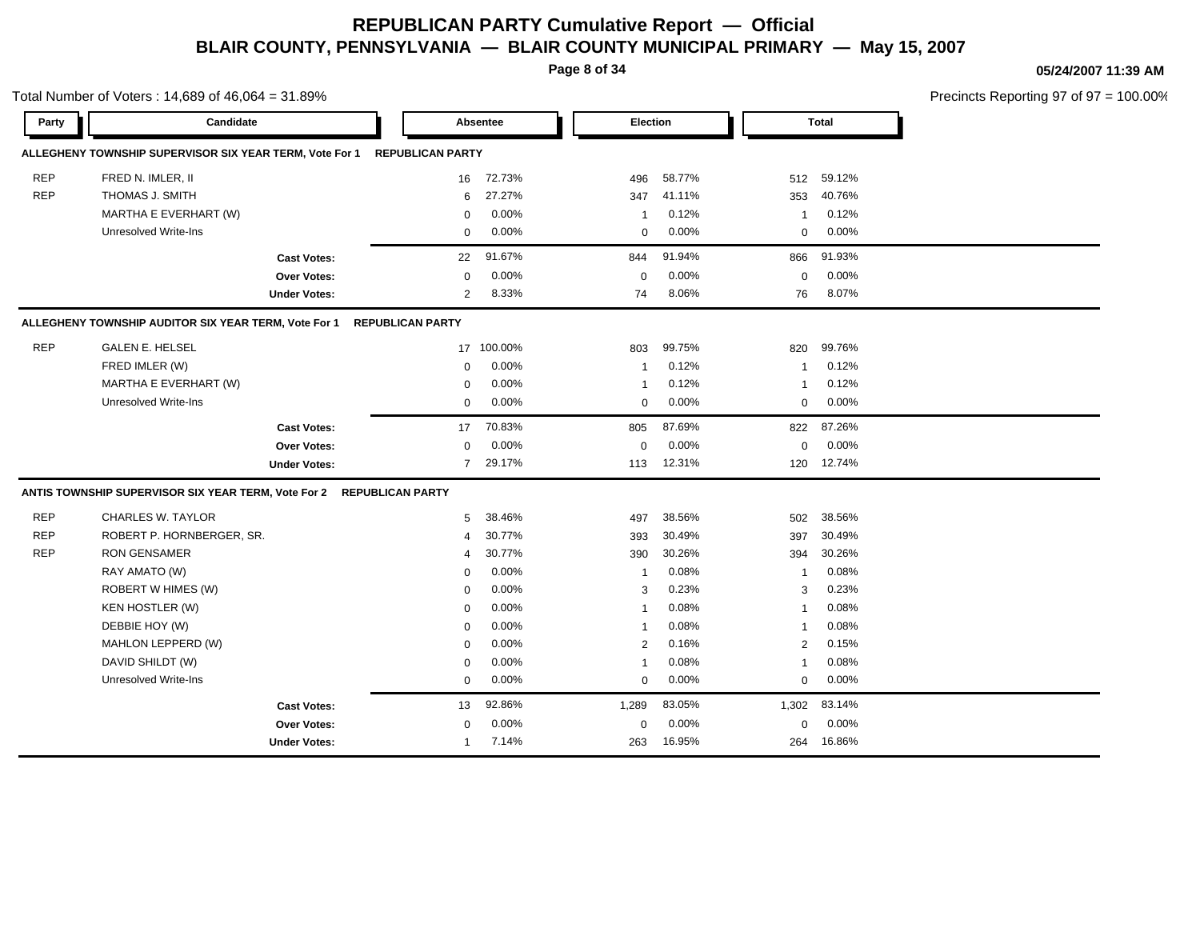**Page 8 of 34**

Total Number of Voters : 14,689 of 46,064 = 31.89%

#### **05/24/2007 11:39 AM**

| Party      | Candidate                                                            |                         | Absentee   | <b>Election</b> |        |                | Total    |  |
|------------|----------------------------------------------------------------------|-------------------------|------------|-----------------|--------|----------------|----------|--|
|            | ALLEGHENY TOWNSHIP SUPERVISOR SIX YEAR TERM, Vote For 1              | <b>REPUBLICAN PARTY</b> |            |                 |        |                |          |  |
| <b>REP</b> | FRED N. IMLER, II                                                    | 16                      | 72.73%     | 496             | 58.77% | 512            | 59.12%   |  |
| <b>REP</b> | THOMAS J. SMITH                                                      | 6                       | 27.27%     | 347             | 41.11% | 353            | 40.76%   |  |
|            | MARTHA E EVERHART (W)                                                | $\mathbf 0$             | 0.00%      | $\overline{1}$  | 0.12%  | 1              | 0.12%    |  |
|            | Unresolved Write-Ins                                                 | $\mathbf 0$             | 0.00%      | $\mathbf 0$     | 0.00%  | $\mathbf 0$    | 0.00%    |  |
|            | <b>Cast Votes:</b>                                                   | 22                      | 91.67%     | 844             | 91.94% | 866            | 91.93%   |  |
|            | <b>Over Votes:</b>                                                   | $\mathbf 0$             | 0.00%      | $\mathbf 0$     | 0.00%  | 0              | 0.00%    |  |
|            | <b>Under Votes:</b>                                                  | $\overline{2}$          | 8.33%      | 74              | 8.06%  | 76             | 8.07%    |  |
|            | ALLEGHENY TOWNSHIP AUDITOR SIX YEAR TERM, Vote For 1                 | <b>REPUBLICAN PARTY</b> |            |                 |        |                |          |  |
| <b>REP</b> | <b>GALEN E. HELSEL</b>                                               |                         | 17 100.00% | 803             | 99.75% | 820            | 99.76%   |  |
|            | FRED IMLER (W)                                                       | 0                       | 0.00%      | $\overline{1}$  | 0.12%  | $\overline{1}$ | 0.12%    |  |
|            | MARTHA E EVERHART (W)                                                | 0                       | 0.00%      | $\overline{1}$  | 0.12%  | -1             | 0.12%    |  |
|            | Unresolved Write-Ins                                                 | 0                       | 0.00%      | 0               | 0.00%  | 0              | 0.00%    |  |
|            | <b>Cast Votes:</b>                                                   | 17                      | 70.83%     | 805             | 87.69% | 822            | 87.26%   |  |
|            | <b>Over Votes:</b>                                                   | $\mathbf 0$             | 0.00%      | $\mathbf 0$     | 0.00%  | $\mathbf 0$    | $0.00\%$ |  |
|            | <b>Under Votes:</b>                                                  | 7                       | 29.17%     | 113             | 12.31% | 120            | 12.74%   |  |
|            | ANTIS TOWNSHIP SUPERVISOR SIX YEAR TERM, Vote For 2 REPUBLICAN PARTY |                         |            |                 |        |                |          |  |
| <b>REP</b> | <b>CHARLES W. TAYLOR</b>                                             | 5                       | 38.46%     | 497             | 38.56% | 502            | 38.56%   |  |
| <b>REP</b> | ROBERT P. HORNBERGER, SR.                                            | 4                       | 30.77%     | 393             | 30.49% | 397            | 30.49%   |  |
| <b>REP</b> | <b>RON GENSAMER</b>                                                  | 4                       | 30.77%     | 390             | 30.26% | 394            | 30.26%   |  |
|            | RAY AMATO (W)                                                        | $\mathbf 0$             | 0.00%      | $\overline{1}$  | 0.08%  | $\overline{1}$ | 0.08%    |  |
|            | ROBERT W HIMES (W)                                                   | $\mathbf 0$             | 0.00%      | 3               | 0.23%  | 3              | 0.23%    |  |
|            | <b>KEN HOSTLER (W)</b>                                               | $\mathbf 0$             | 0.00%      | $\mathbf{1}$    | 0.08%  | $\overline{1}$ | 0.08%    |  |
|            | DEBBIE HOY (W)                                                       | $\mathbf 0$             | 0.00%      | $\mathbf{1}$    | 0.08%  | $\overline{1}$ | 0.08%    |  |
|            | MAHLON LEPPERD (W)                                                   | $\mathbf 0$             | 0.00%      | 2               | 0.16%  | $\overline{c}$ | 0.15%    |  |
|            | DAVID SHILDT (W)                                                     | $\mathbf 0$             | 0.00%      | $\overline{1}$  | 0.08%  | $\overline{1}$ | 0.08%    |  |
|            | <b>Unresolved Write-Ins</b>                                          | $\mathbf 0$             | 0.00%      | $\Omega$        | 0.00%  | $\mathbf 0$    | 0.00%    |  |
|            | <b>Cast Votes:</b>                                                   | 13                      | 92.86%     | 1,289           | 83.05% | 1,302          | 83.14%   |  |
|            | <b>Over Votes:</b>                                                   | $\mathbf 0$             | 0.00%      | $\mathbf 0$     | 0.00%  | $\mathbf 0$    | 0.00%    |  |
|            | <b>Under Votes:</b>                                                  | $\mathbf{1}$            | 7.14%      | 263             | 16.95% | 264            | 16.86%   |  |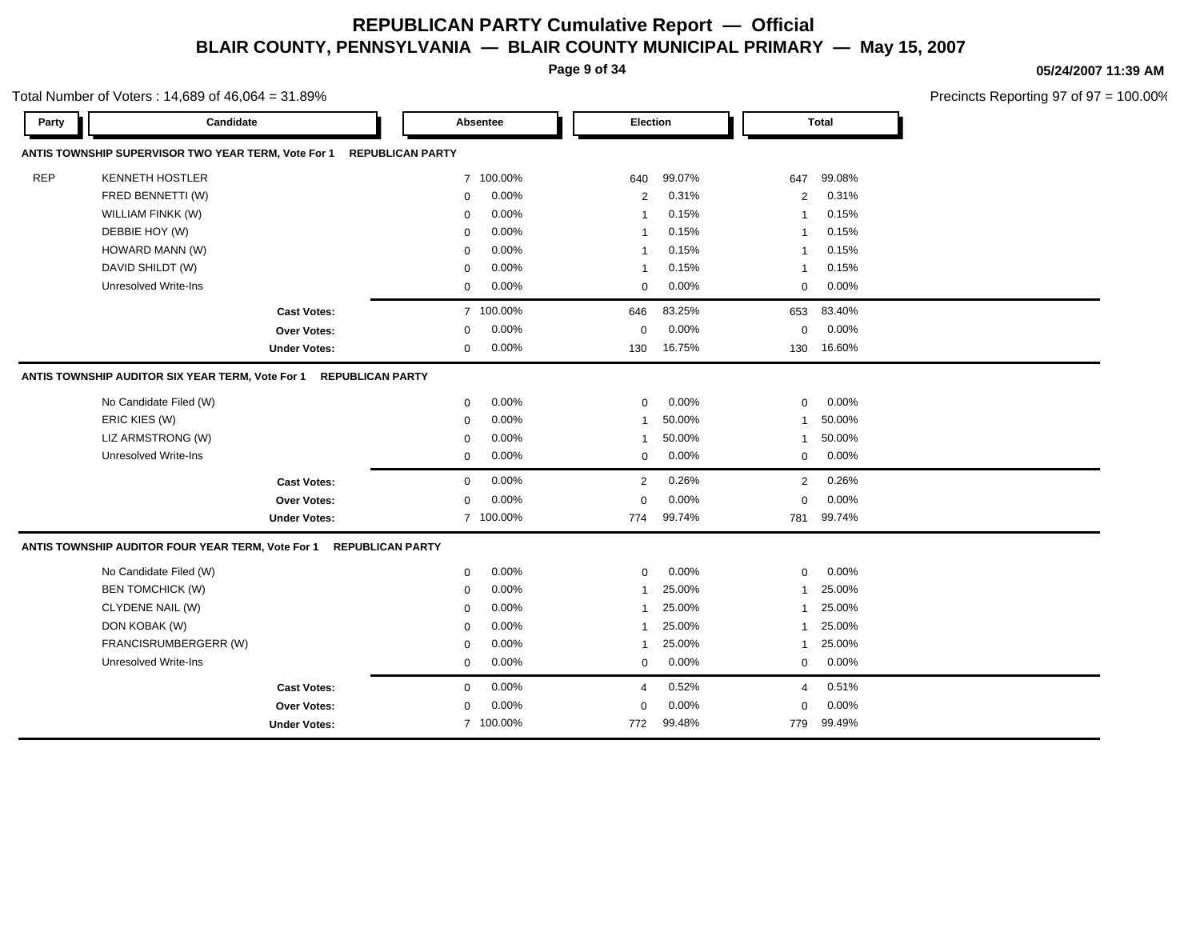**Page 9 of 34**

Total Number of Voters : 14,689 of 46,064 = 31.89%

#### **05/24/2007 11:39 AM**

| Party      | Candidate                                           |                         |                         | Absentee  | Election       |          |                | <b>Total</b> |  |
|------------|-----------------------------------------------------|-------------------------|-------------------------|-----------|----------------|----------|----------------|--------------|--|
|            | ANTIS TOWNSHIP SUPERVISOR TWO YEAR TERM, Vote For 1 |                         | <b>REPUBLICAN PARTY</b> |           |                |          |                |              |  |
| <b>REP</b> | <b>KENNETH HOSTLER</b>                              |                         |                         | 7 100.00% | 640            | 99.07%   | 647            | 99.08%       |  |
|            | FRED BENNETTI (W)                                   |                         | $\mathbf 0$             | 0.00%     | 2              | 0.31%    | $\overline{2}$ | 0.31%        |  |
|            | WILLIAM FINKK (W)                                   |                         | $\Omega$                | 0.00%     | $\overline{1}$ | 0.15%    | $\mathbf{1}$   | 0.15%        |  |
|            | DEBBIE HOY (W)                                      |                         | $\mathbf 0$             | 0.00%     | $\overline{1}$ | 0.15%    | $\mathbf{1}$   | 0.15%        |  |
|            | HOWARD MANN (W)                                     |                         | $\Omega$                | 0.00%     | $\overline{1}$ | 0.15%    | $\mathbf{1}$   | 0.15%        |  |
|            | DAVID SHILDT (W)                                    |                         | $\mathbf 0$             | 0.00%     | $\mathbf 1$    | 0.15%    | $\mathbf{1}$   | 0.15%        |  |
|            | <b>Unresolved Write-Ins</b>                         |                         | 0                       | 0.00%     | $\Omega$       | $0.00\%$ | $\mathbf 0$    | 0.00%        |  |
|            |                                                     | <b>Cast Votes:</b>      |                         | 7 100.00% | 646            | 83.25%   | 653            | 83.40%       |  |
|            |                                                     | <b>Over Votes:</b>      | $\mathbf 0$             | 0.00%     | $\mathbf 0$    | 0.00%    | $\mathbf 0$    | 0.00%        |  |
|            |                                                     | <b>Under Votes:</b>     | $\mathbf 0$             | 0.00%     | 130            | 16.75%   | 130            | 16.60%       |  |
|            | ANTIS TOWNSHIP AUDITOR SIX YEAR TERM, Vote For 1    | <b>REPUBLICAN PARTY</b> |                         |           |                |          |                |              |  |
|            | No Candidate Filed (W)                              |                         | $\mathbf 0$             | 0.00%     | $\mathbf 0$    | 0.00%    | $\mathbf 0$    | 0.00%        |  |
|            | ERIC KIES (W)                                       |                         | $\mathbf 0$             | 0.00%     | $\mathbf 1$    | 50.00%   | 1              | 50.00%       |  |
|            | LIZ ARMSTRONG (W)                                   |                         | $\mathbf 0$             | 0.00%     | $\mathbf 1$    | 50.00%   | $\mathbf{1}$   | 50.00%       |  |
|            | <b>Unresolved Write-Ins</b>                         |                         | $\mathbf 0$             | 0.00%     | $\mathbf 0$    | 0.00%    | $\mathbf 0$    | 0.00%        |  |
|            |                                                     | <b>Cast Votes:</b>      | $\mathbf 0$             | 0.00%     | 2              | 0.26%    | 2              | 0.26%        |  |
|            |                                                     | Over Votes:             | $\mathbf 0$             | 0.00%     | $\mathbf 0$    | 0.00%    | $\mathbf 0$    | 0.00%        |  |
|            |                                                     | <b>Under Votes:</b>     |                         | 7 100.00% | 774            | 99.74%   | 781            | 99.74%       |  |
|            | ANTIS TOWNSHIP AUDITOR FOUR YEAR TERM, Vote For 1   | <b>REPUBLICAN PARTY</b> |                         |           |                |          |                |              |  |
|            | No Candidate Filed (W)                              |                         | $\mathbf 0$             | 0.00%     | $\mathbf 0$    | 0.00%    | $\mathbf 0$    | 0.00%        |  |
|            | <b>BEN TOMCHICK (W)</b>                             |                         | 0                       | 0.00%     | $\mathbf{1}$   | 25.00%   | $\mathbf{1}$   | 25.00%       |  |
|            | CLYDENE NAIL (W)                                    |                         | $\mathbf 0$             | 0.00%     | $\overline{1}$ | 25.00%   | -1             | 25.00%       |  |
|            | DON KOBAK (W)                                       |                         | $\mathbf 0$             | 0.00%     | $\mathbf 1$    | 25.00%   | $\mathbf{1}$   | 25.00%       |  |
|            | FRANCISRUMBERGERR (W)                               |                         | $\mathbf 0$             | 0.00%     | $\mathbf 1$    | 25.00%   | $\mathbf{1}$   | 25.00%       |  |
|            | <b>Unresolved Write-Ins</b>                         |                         | $\mathbf 0$             | 0.00%     | $\mathbf 0$    | 0.00%    | $\mathbf 0$    | 0.00%        |  |
|            |                                                     | <b>Cast Votes:</b>      | $\mathbf 0$             | 0.00%     | 4              | 0.52%    | $\overline{4}$ | 0.51%        |  |
|            |                                                     | <b>Over Votes:</b>      | $\mathbf 0$             | 0.00%     | $\mathbf 0$    | 0.00%    | $\mathbf 0$    | 0.00%        |  |
|            |                                                     | <b>Under Votes:</b>     |                         | 7 100.00% | 772            | 99.48%   | 779            | 99.49%       |  |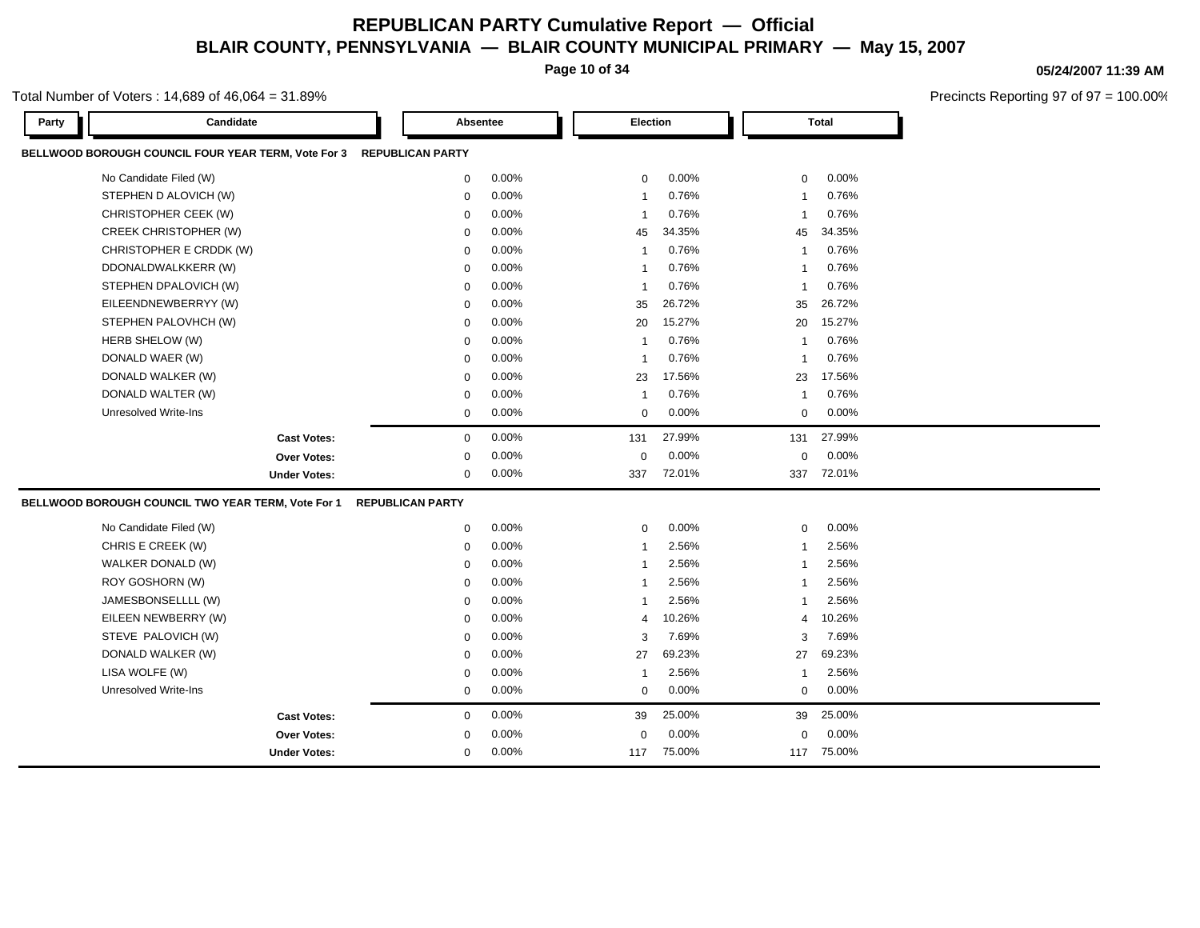**Page 10 of 34**

#### **05/24/2007 11:39 AM**

Precincts Reporting 97 of 97 = 100.00%

| Party | Candidate                                           |                         | <b>Absentee</b> | Election       |        |              | <b>Total</b> |
|-------|-----------------------------------------------------|-------------------------|-----------------|----------------|--------|--------------|--------------|
|       | BELLWOOD BOROUGH COUNCIL FOUR YEAR TERM, Vote For 3 | <b>REPUBLICAN PARTY</b> |                 |                |        |              |              |
|       | No Candidate Filed (W)                              | $\mathbf 0$             | 0.00%           | $\mathbf 0$    | 0.00%  | 0            | 0.00%        |
|       | STEPHEN D ALOVICH (W)                               | $\Omega$                | 0.00%           | $\overline{1}$ | 0.76%  | -1           | 0.76%        |
|       | CHRISTOPHER CEEK (W)                                | $\Omega$                | 0.00%           | $\overline{1}$ | 0.76%  | $\mathbf{1}$ | 0.76%        |
|       | <b>CREEK CHRISTOPHER (W)</b>                        | $\mathbf 0$             | 0.00%           | 45             | 34.35% | 45           | 34.35%       |
|       | CHRISTOPHER E CRDDK (W)                             | $\Omega$                | 0.00%           | $\overline{1}$ | 0.76%  | $\mathbf{1}$ | 0.76%        |
|       | DDONALDWALKKERR (W)                                 | $\Omega$                | 0.00%           | $\overline{1}$ | 0.76%  | $\mathbf{1}$ | 0.76%        |
|       | STEPHEN DPALOVICH (W)                               | $\Omega$                | 0.00%           | $\overline{1}$ | 0.76%  | $\mathbf{1}$ | 0.76%        |
|       | EILEENDNEWBERRYY (W)                                | $\Omega$                | 0.00%           | 35             | 26.72% | 35           | 26.72%       |
|       | STEPHEN PALOVHCH (W)                                | $\mathbf 0$             | 0.00%           | 20             | 15.27% | 20           | 15.27%       |
|       | HERB SHELOW (W)                                     | $\Omega$                | 0.00%           | $\overline{1}$ | 0.76%  | $\mathbf{1}$ | 0.76%        |
|       | DONALD WAER (W)                                     | $\Omega$                | 0.00%           | $\overline{1}$ | 0.76%  | $\mathbf{1}$ | 0.76%        |
|       | DONALD WALKER (W)                                   | $\mathbf 0$             | 0.00%           | 23             | 17.56% | 23           | 17.56%       |
|       | DONALD WALTER (W)                                   | $\mathbf 0$             | 0.00%           | $\overline{1}$ | 0.76%  | $\mathbf{1}$ | 0.76%        |
|       | <b>Unresolved Write-Ins</b>                         | $\mathbf 0$             | 0.00%           | $\mathbf 0$    | 0.00%  | $\mathbf 0$  | 0.00%        |
|       | <b>Cast Votes:</b>                                  | $\mathbf 0$             | 0.00%           | 131            | 27.99% | 131          | 27.99%       |
|       | <b>Over Votes:</b>                                  | 0                       | 0.00%           | $\mathbf 0$    | 0.00%  | $\mathbf 0$  | 0.00%        |
|       | <b>Under Votes:</b>                                 | $\Omega$                | $0.00\%$        | 337            | 72.01% | 337          | 72.01%       |
|       | BELLWOOD BOROUGH COUNCIL TWO YEAR TERM, Vote For 1  | <b>REPUBLICAN PARTY</b> |                 |                |        |              |              |
|       | No Candidate Filed (W)                              | $\mathbf 0$             | 0.00%           | $\mathbf 0$    | 0.00%  | $\pmb{0}$    | 0.00%        |
|       | CHRIS E CREEK (W)                                   | $\mathbf 0$             | 0.00%           | $\overline{1}$ | 2.56%  | $\mathbf{1}$ | 2.56%        |
|       | WALKER DONALD (W)                                   | $\mathbf 0$             | 0.00%           | $\overline{1}$ | 2.56%  | $\mathbf{1}$ | 2.56%        |
|       | ROY GOSHORN (W)                                     | $\Omega$                | 0.00%           | $\overline{1}$ | 2.56%  | $\mathbf{1}$ | 2.56%        |
|       | JAMESBONSELLLL (W)                                  | $\mathbf 0$             | 0.00%           | $\overline{1}$ | 2.56%  | $\mathbf{1}$ | 2.56%        |
|       | EILEEN NEWBERRY (W)                                 | $\Omega$                | 0.00%           | $\overline{4}$ | 10.26% | 4            | 10.26%       |
|       | STEVE PALOVICH (W)                                  | 0                       | 0.00%           | 3              | 7.69%  | 3            | 7.69%        |
|       | DONALD WALKER (W)                                   | $\Omega$                | 0.00%           | 27             | 69.23% | 27           | 69.23%       |
|       | LISA WOLFE (W)                                      | $\Omega$                | $0.00\%$        | $\overline{1}$ | 2.56%  | $\mathbf{1}$ | 2.56%        |
|       | <b>Unresolved Write-Ins</b>                         | $\mathbf 0$             | 0.00%           | $\mathbf 0$    | 0.00%  | 0            | 0.00%        |
|       | <b>Cast Votes:</b>                                  | $\mathbf 0$             | 0.00%           | 39             | 25.00% | 39           | 25.00%       |
|       | <b>Over Votes:</b>                                  | 0                       | $0.00\%$        | $\Omega$       | 0.00%  | $\mathbf 0$  | 0.00%        |
|       | <b>Under Votes:</b>                                 | $\mathbf 0$             | 0.00%           | 117            | 75.00% | 117          | 75.00%       |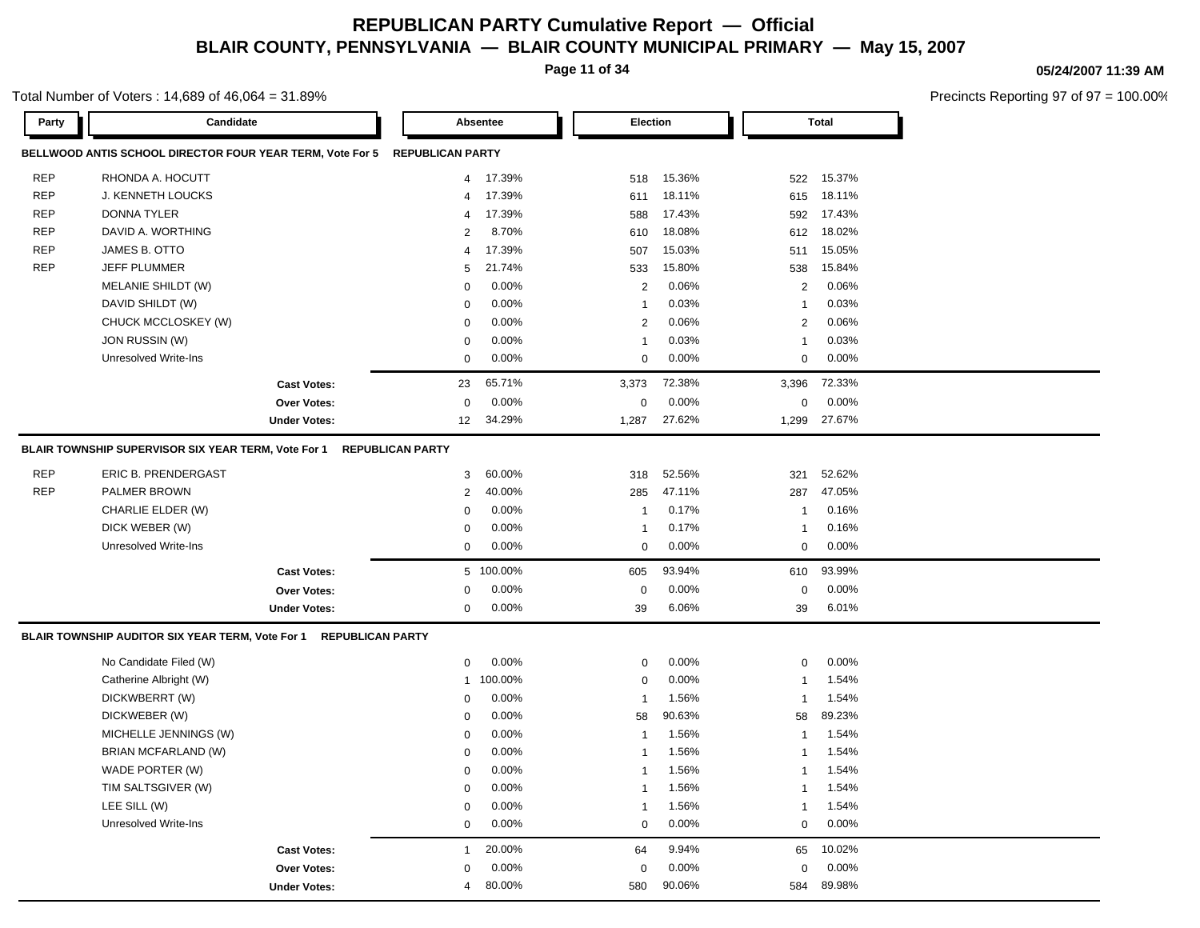**Page 11 of 34**

#### **05/24/2007 11:39 AM**

Precincts Reporting 97 of 97 = 100.00%

| Party      | Candidate                                                                  |                     |                         | Absentee  | Election       |        |                | <b>Total</b> |
|------------|----------------------------------------------------------------------------|---------------------|-------------------------|-----------|----------------|--------|----------------|--------------|
|            | BELLWOOD ANTIS SCHOOL DIRECTOR FOUR YEAR TERM, Vote For 5 REPUBLICAN PARTY |                     |                         |           |                |        |                |              |
| <b>REP</b> | RHONDA A. HOCUTT                                                           |                     | 4                       | 17.39%    | 518            | 15.36% | 522            | 15.37%       |
| <b>REP</b> | J. KENNETH LOUCKS                                                          |                     | 4                       | 17.39%    | 611            | 18.11% | 615            | 18.11%       |
| <b>REP</b> | DONNA TYLER                                                                |                     | 4                       | 17.39%    | 588            | 17.43% | 592            | 17.43%       |
| <b>REP</b> | DAVID A. WORTHING                                                          |                     | $\overline{2}$          | 8.70%     | 610            | 18.08% | 612            | 18.02%       |
| <b>REP</b> | JAMES B. OTTO                                                              |                     | 4                       | 17.39%    | 507            | 15.03% | 511            | 15.05%       |
| <b>REP</b> | <b>JEFF PLUMMER</b>                                                        |                     | 5                       | 21.74%    | 533            | 15.80% | 538            | 15.84%       |
|            | MELANIE SHILDT (W)                                                         |                     | $\Omega$                | 0.00%     | $\overline{2}$ | 0.06%  | 2              | 0.06%        |
|            | DAVID SHILDT (W)                                                           |                     | $\mathbf 0$             | 0.00%     | $\mathbf{1}$   | 0.03%  | $\mathbf 1$    | 0.03%        |
|            | CHUCK MCCLOSKEY (W)                                                        |                     | $\mathbf 0$             | 0.00%     | $\overline{2}$ | 0.06%  | 2              | 0.06%        |
|            | JON RUSSIN (W)                                                             |                     | $\mathsf 0$             | 0.00%     | $\overline{1}$ | 0.03%  | $\overline{1}$ | 0.03%        |
|            | <b>Unresolved Write-Ins</b>                                                |                     | $\mathsf 0$             | 0.00%     | $\mathbf 0$    | 0.00%  | $\mathbf 0$    | 0.00%        |
|            |                                                                            | <b>Cast Votes:</b>  | 23                      | 65.71%    | 3,373          | 72.38% | 3,396          | 72.33%       |
|            |                                                                            | <b>Over Votes:</b>  | $\mathbf 0$             | 0.00%     | $\mathbf 0$    | 0.00%  | $\mathbf 0$    | 0.00%        |
|            |                                                                            | <b>Under Votes:</b> | 12                      | 34.29%    | 1,287          | 27.62% | 1,299          | 27.67%       |
|            | BLAIR TOWNSHIP SUPERVISOR SIX YEAR TERM, Vote For 1                        |                     | <b>REPUBLICAN PARTY</b> |           |                |        |                |              |
| <b>REP</b> | ERIC B. PRENDERGAST                                                        |                     | 3                       | 60.00%    | 318            | 52.56% | 321            | 52.62%       |
| <b>REP</b> | PALMER BROWN                                                               |                     | $\overline{2}$          | 40.00%    | 285            | 47.11% | 287            | 47.05%       |
|            | CHARLIE ELDER (W)                                                          |                     | $\mathbf 0$             | 0.00%     | $\mathbf{1}$   | 0.17%  | $\mathbf 1$    | 0.16%        |
|            | DICK WEBER (W)                                                             |                     | 0                       | 0.00%     | $\mathbf{1}$   | 0.17%  | $\mathbf{1}$   | 0.16%        |
|            | <b>Unresolved Write-Ins</b>                                                |                     | $\mathbf 0$             | 0.00%     | $\mathbf 0$    | 0.00%  | $\mathbf 0$    | 0.00%        |
|            |                                                                            | <b>Cast Votes:</b>  |                         | 5 100.00% | 605            | 93.94% | 610            | 93.99%       |
|            |                                                                            | <b>Over Votes:</b>  | 0                       | 0.00%     | 0              | 0.00%  | $\mathbf 0$    | 0.00%        |
|            |                                                                            | <b>Under Votes:</b> | $\mathbf 0$             | 0.00%     | 39             | 6.06%  | 39             | 6.01%        |
|            | BLAIR TOWNSHIP AUDITOR SIX YEAR TERM, Vote For 1 REPUBLICAN PARTY          |                     |                         |           |                |        |                |              |
|            | No Candidate Filed (W)                                                     |                     | $\mathbf 0$             | 0.00%     | $\mathbf 0$    | 0.00%  | $\mathbf 0$    | 0.00%        |
|            | Catherine Albright (W)                                                     |                     | 1                       | 100.00%   | $\mathbf 0$    | 0.00%  | $\mathbf 1$    | 1.54%        |
|            | DICKWBERRT (W)                                                             |                     | 0                       | 0.00%     | $\mathbf{1}$   | 1.56%  | $\overline{1}$ | 1.54%        |
|            | DICKWEBER (W)                                                              |                     | $\mathbf 0$             | 0.00%     | 58             | 90.63% | 58             | 89.23%       |
|            | MICHELLE JENNINGS (W)                                                      |                     | $\mathbf 0$             | 0.00%     | $\mathbf{1}$   | 1.56%  | $\mathbf 1$    | 1.54%        |
|            | BRIAN MCFARLAND (W)                                                        |                     | $\Omega$                | 0.00%     | $\mathbf{1}$   | 1.56%  | $\overline{1}$ | 1.54%        |
|            | WADE PORTER (W)                                                            |                     | $\mathbf 0$             | 0.00%     | $\mathbf{1}$   | 1.56%  | -1             | 1.54%        |
|            | TIM SALTSGIVER (W)                                                         |                     | $\mathbf 0$             | 0.00%     | $\mathbf{1}$   | 1.56%  | -1             | 1.54%        |
|            | LEE SILL (W)                                                               |                     | $\mathbf 0$             | 0.00%     | $\mathbf{1}$   | 1.56%  | $\mathbf{1}$   | 1.54%        |
|            | <b>Unresolved Write-Ins</b>                                                |                     | $\mathsf 0$             | 0.00%     | 0              | 0.00%  | 0              | 0.00%        |
|            |                                                                            | <b>Cast Votes:</b>  | $\mathbf{1}$            | 20.00%    | 64             | 9.94%  | 65             | 10.02%       |
|            |                                                                            | <b>Over Votes:</b>  | $\mathbf 0$             | 0.00%     | 0              | 0.00%  | $\mathbf 0$    | 0.00%        |
|            |                                                                            | <b>Under Votes:</b> | 4                       | 80.00%    | 580            | 90.06% | 584            | 89.98%       |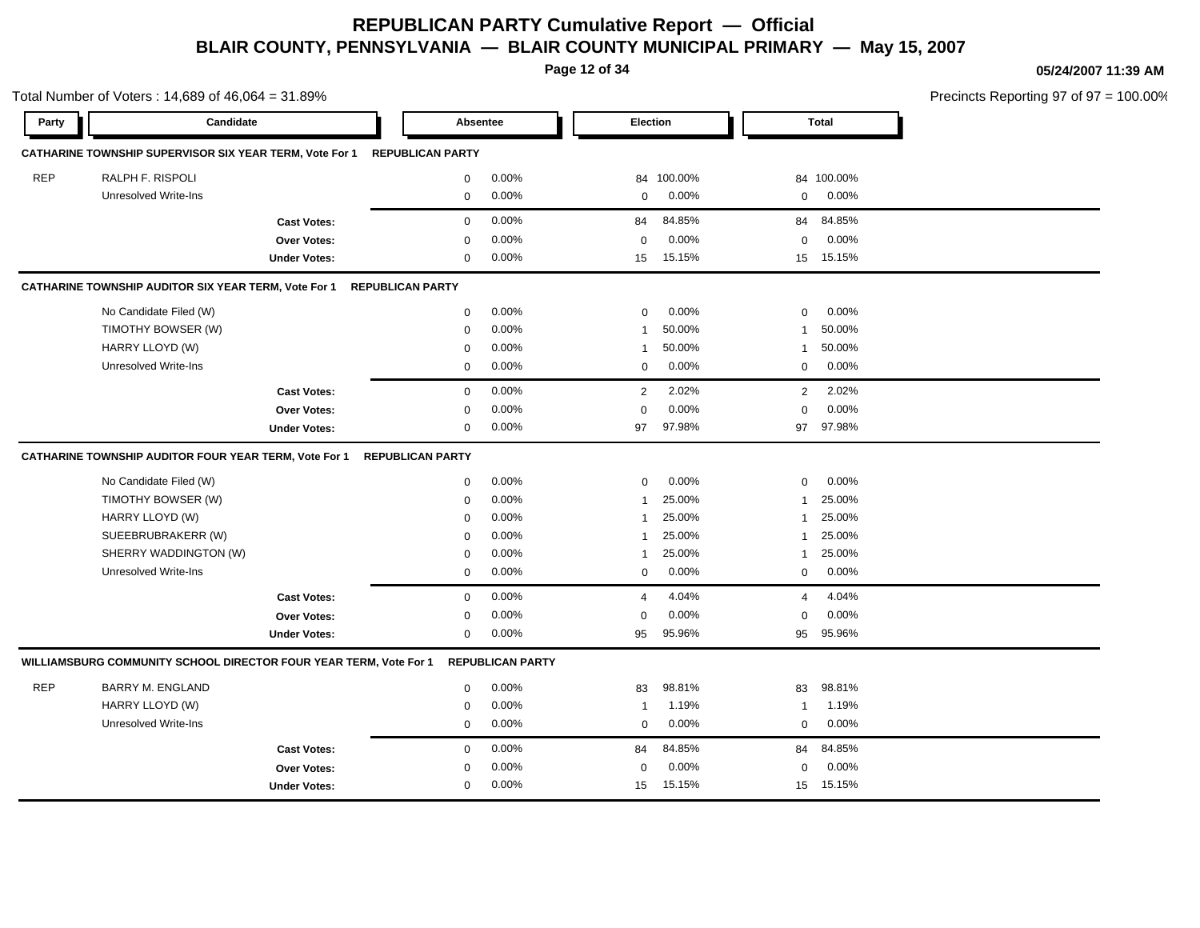**Page 12 of 34**

**05/24/2007 11:39 AM**

|       | Total Number of Voters: 14,689 of 46,064 = 31.89%                        |                          |                          |                            | Precincts Reporting 97 of 97 = 100.00% |
|-------|--------------------------------------------------------------------------|--------------------------|--------------------------|----------------------------|----------------------------------------|
| Party | Candidate                                                                | Absentee                 | Election                 | <b>Total</b>               |                                        |
|       | CATHARINE TOWNSHIP SUPERVISOR SIX YEAR TERM, Vote For 1 REPUBLICAN PARTY |                          |                          |                            |                                        |
| REP   | RALPH F. RISPOLI                                                         | $0.00\%$<br>$\mathbf{0}$ | 84 100.00%               | 84 100.00%                 |                                        |
|       | Unresolved Write-Ins                                                     | 0.00%<br>$\overline{0}$  | 0.00%<br>$\overline{0}$  | $0$ 0.00%                  |                                        |
|       | <b>Cast Votes:</b>                                                       | 0.00%<br>$\mathbf 0$     | 84.85%<br>84             | 84 84.85%                  |                                        |
|       | Over Votes:                                                              | 0.00%<br>$\mathbf 0$     | 0.00%<br>$\Omega$        | $0.00\%$<br>$\mathbf{0}$   |                                        |
|       | <b>Under Votes:</b>                                                      | 0.00%<br>$\mathbf 0$     | 15.15%<br>15             | 15 15.15%                  |                                        |
|       | CATHARINE TOWNSHIP AUDITOR SIX YEAR TERM, Vote For 1 REPUBLICAN PARTY    |                          |                          |                            |                                        |
|       | No Candidate Filed (W)                                                   | 0.00%<br>$\mathbf 0$     | 0.00%<br>$\mathbf{0}$    | 0.00%<br>$\overline{0}$    |                                        |
|       | TIMOTHY BOWSER (W)                                                       | 0.00%<br>$\Omega$        | 50.00%                   | 1 50.00%                   |                                        |
|       | HARRY LLOYD (W)                                                          | 0.00%<br>0               | 50.00%<br>$\mathbf{1}$   | 1 50.00%                   |                                        |
|       | Unresolved Write-Ins                                                     | 0.00%<br>$\mathbf{0}$    | 0.00%<br>$\mathbf{0}$    | $0\qquad 0.00\%$           |                                        |
|       | <b>Cast Votes:</b>                                                       | 0.00%<br>$\mathbf 0$     | 2.02%<br>$\overline{2}$  | 2.02%<br>2                 |                                        |
|       | Over Votes:                                                              | 0.00%<br>$\Omega$        | 0.00%<br>$\Omega$        | 0.00%<br>$\mathbf{0}$      |                                        |
|       | <b>Under Votes:</b>                                                      | $0.00\%$<br>$\mathbf{0}$ | 97.98%<br>97             | 97 97.98%                  |                                        |
|       | CATHARINE TOWNSHIP AUDITOR FOUR YEAR TERM, Vote For 1                    | <b>REPUBLICAN PARTY</b>  |                          |                            |                                        |
|       | No Candidate Filed (W)                                                   | 0.00%<br>$\mathbf 0$     | $0.00\%$<br>$\mathbf{0}$ | $0.00\%$<br>$\overline{0}$ |                                        |
|       | TIMOTHY BOWSER (W)                                                       | 0.00%<br>$\Omega$        | 25.00%<br>-1             | 1 25.00%                   |                                        |
|       | HARRY LLOYD (W)                                                          | 0.00%<br>0               | 25.00%<br>1              | 1 25.00%                   |                                        |
|       | SUEEBRUBRAKERR (W)                                                       | 0.00%<br>$\Omega$        | 25.00%<br>-1             | 25.00%<br>$\mathbf{1}$     |                                        |
|       | SHERRY WADDINGTON (W)                                                    | 0.00%<br>$\mathbf 0$     | 25.00%<br>1              | 25.00%<br>$\mathbf{1}$     |                                        |
|       | Unresolved Write-Ins                                                     | 0.00%<br>0               | 0.00%<br>$\mathbf 0$     | $0.00\%$<br>$\overline{0}$ |                                        |
|       | <b>Cast Votes:</b>                                                       | 0.00%<br>$\mathbf 0$     | 4.04%<br>$\overline{a}$  | 4.04%<br>$\overline{4}$    |                                        |
|       | Over Votes:                                                              | 0.00%<br>0               | 0.00%<br>0               | $0.00\%$<br>$\mathbf 0$    |                                        |
|       | <b>Under Votes:</b>                                                      | $0.00\%$<br>$\mathbf 0$  | 95.96%<br>95             | 95 95.96%                  |                                        |
|       | WILLIAMSBURG COMMUNITY SCHOOL DIRECTOR FOUR YEAR TERM, Vote For 1        | <b>REPUBLICAN PARTY</b>  |                          |                            |                                        |
| REP   | <b>BARRY M. ENGLAND</b>                                                  | 0.00%<br>$\mathbf{0}$    | 98.81%<br>83             | 98.81%<br>83               |                                        |
|       | HARRY LLOYD (W)                                                          | 0.00%<br>$\mathbf 0$     | 1.19%<br>$\mathbf{1}$    | 1.19%<br>$\mathbf{1}$      |                                        |
|       | Unresolved Write-Ins                                                     | $0.00\%$<br>$\mathbf 0$  | $0.00\%$<br>$\mathbf 0$  | $0.00\%$<br>$\mathbf 0$    |                                        |
|       | <b>Cast Votes:</b>                                                       | 0.00%<br>$\overline{0}$  | 84.85%<br>84             | 84 84.85%                  |                                        |
|       | Over Votes:                                                              | 0.00%<br>0               | 0.00%<br>$\mathbf 0$     | 0.00%<br>$\mathbf 0$       |                                        |
|       | <b>Under Votes:</b>                                                      | 0.00%<br>$\Omega$        | 15.15%<br>15             | 15 15.15%                  |                                        |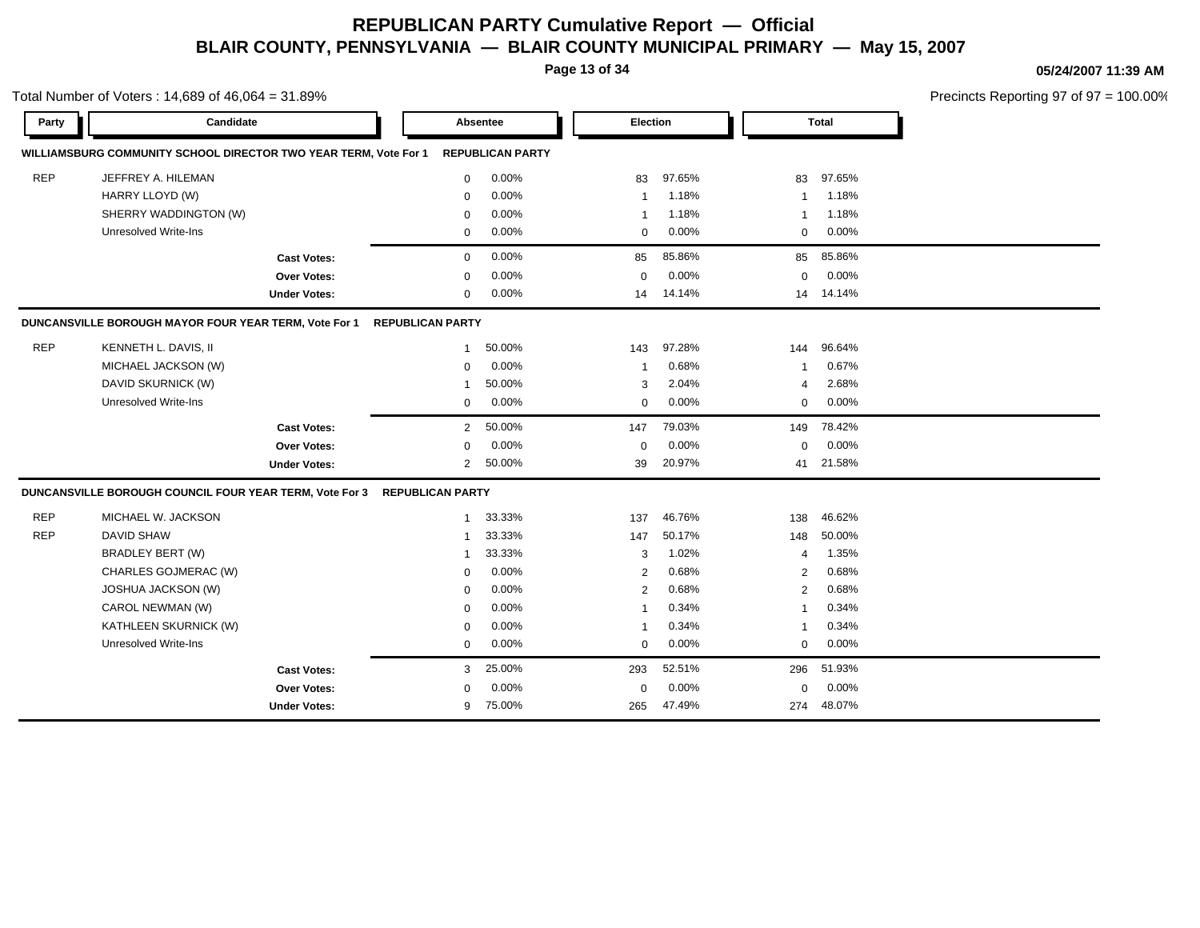**Page 13 of 34**

Total Number of Voters : 14,689 of 46,064 = 31.89%

#### **05/24/2007 11:39 AM**

| Party      | Candidate                                                        |                     |                         | Absentee                | Election       |        |                         | <b>Total</b> |
|------------|------------------------------------------------------------------|---------------------|-------------------------|-------------------------|----------------|--------|-------------------------|--------------|
|            | WILLIAMSBURG COMMUNITY SCHOOL DIRECTOR TWO YEAR TERM, Vote For 1 |                     |                         | <b>REPUBLICAN PARTY</b> |                |        |                         |              |
| <b>REP</b> | JEFFREY A. HILEMAN                                               |                     | 0                       | 0.00%                   | 83             | 97.65% | 83                      | 97.65%       |
|            | HARRY LLOYD (W)                                                  |                     | $\mathbf 0$             | 0.00%                   | $\mathbf{1}$   | 1.18%  | $\overline{1}$          | 1.18%        |
|            | SHERRY WADDINGTON (W)                                            |                     | $\mathbf 0$             | 0.00%                   | $\mathbf{1}$   | 1.18%  | $\overline{1}$          | 1.18%        |
|            | <b>Unresolved Write-Ins</b>                                      |                     | 0                       | 0.00%                   | $\mathbf 0$    | 0.00%  | $\mathbf 0$             | 0.00%        |
|            |                                                                  | <b>Cast Votes:</b>  | 0                       | 0.00%                   | 85             | 85.86% | 85                      | 85.86%       |
|            |                                                                  | Over Votes:         | $\mathbf 0$             | 0.00%                   | $\mathbf 0$    | 0.00%  | 0                       | 0.00%        |
|            |                                                                  | <b>Under Votes:</b> | $\mathbf{0}$            | 0.00%                   | 14             | 14.14% | 14                      | 14.14%       |
|            | DUNCANSVILLE BOROUGH MAYOR FOUR YEAR TERM, Vote For 1            |                     | <b>REPUBLICAN PARTY</b> |                         |                |        |                         |              |
| <b>REP</b> | KENNETH L. DAVIS, II                                             |                     | -1                      | 50.00%                  | 143            | 97.28% | 144                     | 96.64%       |
|            | MICHAEL JACKSON (W)                                              |                     | 0                       | 0.00%                   | $\overline{1}$ | 0.68%  | $\overline{1}$          | 0.67%        |
|            | DAVID SKURNICK (W)                                               |                     | 1                       | 50.00%                  | 3              | 2.04%  | 4                       | 2.68%        |
|            | <b>Unresolved Write-Ins</b>                                      |                     | 0                       | 0.00%                   | 0              | 0.00%  | 0                       | 0.00%        |
|            |                                                                  | <b>Cast Votes:</b>  | $\overline{2}$          | 50.00%                  | 147            | 79.03% | 149                     | 78.42%       |
|            |                                                                  | Over Votes:         | $\mathbf 0$             | 0.00%                   | $\mathbf 0$    | 0.00%  | $\mathbf 0$             | 0.00%        |
|            |                                                                  | <b>Under Votes:</b> | $\overline{2}$          | 50.00%                  | 39             | 20.97% | 41                      | 21.58%       |
|            | DUNCANSVILLE BOROUGH COUNCIL FOUR YEAR TERM, Vote For 3          |                     | <b>REPUBLICAN PARTY</b> |                         |                |        |                         |              |
| <b>REP</b> | MICHAEL W. JACKSON                                               |                     | $\mathbf{1}$            | 33.33%                  | 137            | 46.76% | 138                     | 46.62%       |
| <b>REP</b> | <b>DAVID SHAW</b>                                                |                     | -1                      | 33.33%                  | 147            | 50.17% | 148                     | 50.00%       |
|            | <b>BRADLEY BERT (W)</b>                                          |                     | 1                       | 33.33%                  | 3              | 1.02%  | 4                       | 1.35%        |
|            | CHARLES GOJMERAC (W)                                             |                     | 0                       | 0.00%                   | 2              | 0.68%  | $\overline{2}$          | 0.68%        |
|            | <b>JOSHUA JACKSON (W)</b>                                        |                     | 0                       | 0.00%                   | $\overline{2}$ | 0.68%  | 2                       | 0.68%        |
|            | CAROL NEWMAN (W)                                                 |                     | $\Omega$                | 0.00%                   | $\overline{1}$ | 0.34%  | $\overline{1}$          | 0.34%        |
|            | KATHLEEN SKURNICK (W)                                            |                     | $\mathbf 0$             | 0.00%                   | 1              | 0.34%  | $\overline{\mathbf{1}}$ | 0.34%        |
|            | <b>Unresolved Write-Ins</b>                                      |                     | 0                       | 0.00%                   | $\mathbf 0$    | 0.00%  | 0                       | 0.00%        |
|            |                                                                  | <b>Cast Votes:</b>  | 3                       | 25.00%                  | 293            | 52.51% | 296                     | 51.93%       |
|            |                                                                  | <b>Over Votes:</b>  | 0                       | 0.00%                   | $\mathbf 0$    | 0.00%  | $\Omega$                | 0.00%        |
|            |                                                                  | <b>Under Votes:</b> | 9                       | 75.00%                  | 265            | 47.49% | 274                     | 48.07%       |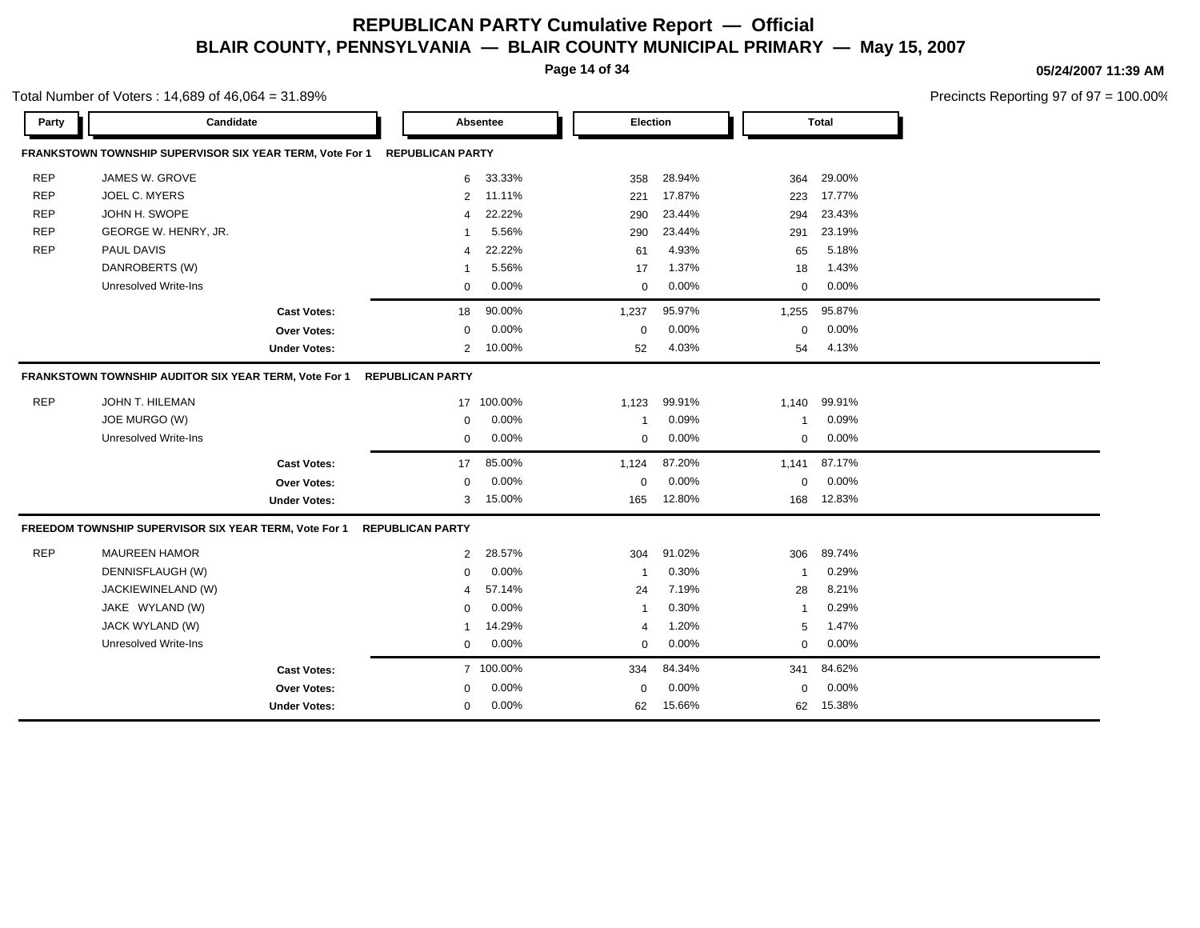**Page 14 of 34**

#### **05/24/2007 11:39 AM**

Precincts Reporting 97 of 97 = 100.00%

| Party      | Candidate                                                |                     |                         | Absentee   | Election                |        |              | <b>Total</b> |  |
|------------|----------------------------------------------------------|---------------------|-------------------------|------------|-------------------------|--------|--------------|--------------|--|
|            | FRANKSTOWN TOWNSHIP SUPERVISOR SIX YEAR TERM, Vote For 1 |                     | <b>REPUBLICAN PARTY</b> |            |                         |        |              |              |  |
| <b>REP</b> | JAMES W. GROVE                                           |                     | 6                       | 33.33%     | 358                     | 28.94% | 364          | 29.00%       |  |
| <b>REP</b> | JOEL C. MYERS                                            |                     | 2                       | 11.11%     | 221                     | 17.87% | 223          | 17.77%       |  |
| <b>REP</b> | JOHN H. SWOPE                                            |                     | 4                       | 22.22%     | 290                     | 23.44% | 294          | 23.43%       |  |
| <b>REP</b> | GEORGE W. HENRY, JR.                                     |                     | -1                      | 5.56%      | 290                     | 23.44% | 291          | 23.19%       |  |
| <b>REP</b> | PAUL DAVIS                                               |                     | $\overline{4}$          | 22.22%     | 61                      | 4.93%  | 65           | 5.18%        |  |
|            | DANROBERTS (W)                                           |                     | $\mathbf{1}$            | 5.56%      | 17                      | 1.37%  | 18           | 1.43%        |  |
|            | <b>Unresolved Write-Ins</b>                              |                     | $\mathbf 0$             | 0.00%      | $\mathbf 0$             | 0.00%  | $\Omega$     | 0.00%        |  |
|            |                                                          | <b>Cast Votes:</b>  | 18                      | 90.00%     | 1,237                   | 95.97% | 1,255        | 95.87%       |  |
|            |                                                          | Over Votes:         | $\mathbf 0$             | 0.00%      | $\mathbf 0$             | 0.00%  | $\mathbf 0$  | 0.00%        |  |
|            |                                                          | <b>Under Votes:</b> | 2                       | 10.00%     | 52                      | 4.03%  | 54           | 4.13%        |  |
|            | FRANKSTOWN TOWNSHIP AUDITOR SIX YEAR TERM, Vote For 1    |                     | <b>REPUBLICAN PARTY</b> |            |                         |        |              |              |  |
| <b>REP</b> | JOHN T. HILEMAN                                          |                     |                         | 17 100.00% | 1,123                   | 99.91% | 1,140        | 99.91%       |  |
|            | JOE MURGO (W)                                            |                     | $\mathbf 0$             | 0.00%      | $\overline{\mathbf{1}}$ | 0.09%  | -1           | 0.09%        |  |
|            | <b>Unresolved Write-Ins</b>                              |                     | $\mathbf 0$             | 0.00%      | 0                       | 0.00%  | $\mathbf 0$  | 0.00%        |  |
|            |                                                          | <b>Cast Votes:</b>  | 17                      | 85.00%     | 1,124                   | 87.20% | 1,141        | 87.17%       |  |
|            |                                                          | Over Votes:         | $\mathbf 0$             | 0.00%      | $\mathbf 0$             | 0.00%  | $\Omega$     | 0.00%        |  |
|            |                                                          | <b>Under Votes:</b> | 3                       | 15.00%     | 165                     | 12.80% | 168          | 12.83%       |  |
|            | FREEDOM TOWNSHIP SUPERVISOR SIX YEAR TERM, Vote For 1    |                     | <b>REPUBLICAN PARTY</b> |            |                         |        |              |              |  |
| <b>REP</b> | <b>MAUREEN HAMOR</b>                                     |                     | 2                       | 28.57%     | 304                     | 91.02% | 306          | 89.74%       |  |
|            | DENNISFLAUGH (W)                                         |                     | $\mathbf 0$             | 0.00%      | -1                      | 0.30%  | $\mathbf{1}$ | 0.29%        |  |
|            | JACKIEWINELAND (W)                                       |                     | 4                       | 57.14%     | 24                      | 7.19%  | 28           | 8.21%        |  |
|            | JAKE WYLAND (W)                                          |                     | $\mathbf 0$             | 0.00%      | $\overline{\mathbf{1}}$ | 0.30%  | $\mathbf{1}$ | 0.29%        |  |
|            | JACK WYLAND (W)                                          |                     | $\mathbf 1$             | 14.29%     | 4                       | 1.20%  | 5            | 1.47%        |  |
|            | <b>Unresolved Write-Ins</b>                              |                     | $\mathbf 0$             | $0.00\%$   | $\mathbf 0$             | 0.00%  | $\mathbf 0$  | 0.00%        |  |
|            |                                                          | <b>Cast Votes:</b>  |                         | 7 100.00%  | 334                     | 84.34% | 341          | 84.62%       |  |
|            |                                                          | <b>Over Votes:</b>  | 0                       | 0.00%      | $\mathbf 0$             | 0.00%  | $\mathbf 0$  | 0.00%        |  |
|            |                                                          | <b>Under Votes:</b> | 0                       | 0.00%      | 62                      | 15.66% | 62           | 15.38%       |  |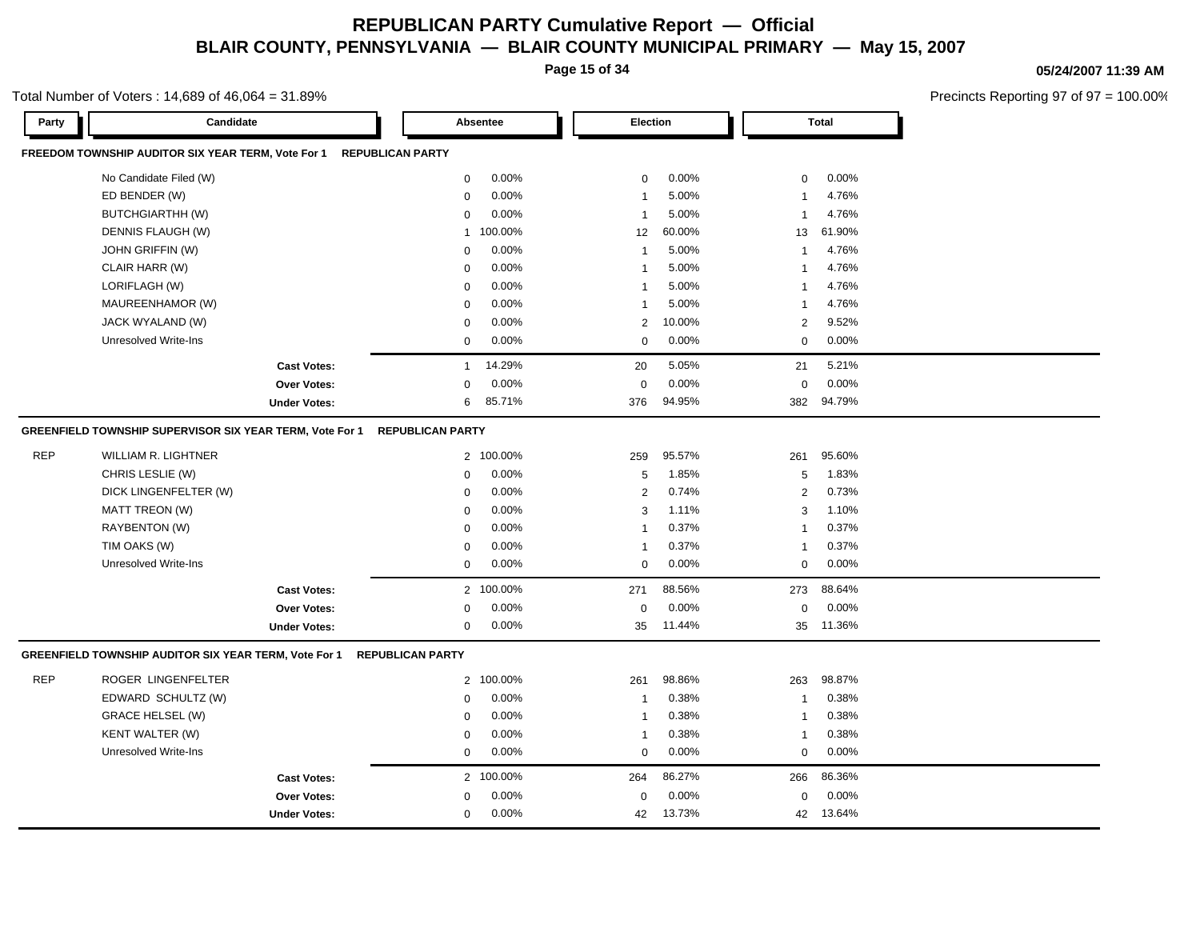**Page 15 of 34**

#### **05/24/2007 11:39 AM**

Precincts Reporting 97 of 97 = 100.00%

| Party      | Candidate                                                |                         |                         | Absentee  | Election     |        |                | <b>Total</b> |
|------------|----------------------------------------------------------|-------------------------|-------------------------|-----------|--------------|--------|----------------|--------------|
|            | FREEDOM TOWNSHIP AUDITOR SIX YEAR TERM, Vote For 1       | <b>REPUBLICAN PARTY</b> |                         |           |              |        |                |              |
|            | No Candidate Filed (W)                                   |                         | $\mathbf 0$             | 0.00%     | $\mathbf 0$  | 0.00%  | 0              | 0.00%        |
|            | ED BENDER (W)                                            |                         | $\mathbf 0$             | 0.00%     | $\mathbf{1}$ | 5.00%  | 1              | 4.76%        |
|            | <b>BUTCHGIARTHH (W)</b>                                  |                         | $\Omega$                | 0.00%     | $\mathbf{1}$ | 5.00%  | $\overline{1}$ | 4.76%        |
|            | DENNIS FLAUGH (W)                                        |                         | $\mathbf{1}$            | 100.00%   | 12           | 60.00% | 13             | 61.90%       |
|            | JOHN GRIFFIN (W)                                         |                         | $\mathbf 0$             | 0.00%     | $\mathbf{1}$ | 5.00%  | $\mathbf{1}$   | 4.76%        |
|            | CLAIR HARR (W)                                           |                         | 0                       | 0.00%     | $\mathbf{1}$ | 5.00%  | $\overline{1}$ | 4.76%        |
|            | LORIFLAGH (W)                                            |                         | $\mathbf 0$             | 0.00%     | $\mathbf{1}$ | 5.00%  | 1              | 4.76%        |
|            | MAUREENHAMOR (W)                                         |                         | $\Omega$                | 0.00%     | $\mathbf{1}$ | 5.00%  | $\overline{1}$ | 4.76%        |
|            | JACK WYALAND (W)                                         |                         | $\Omega$                | 0.00%     | 2            | 10.00% | $\overline{c}$ | 9.52%        |
|            | Unresolved Write-Ins                                     |                         | 0                       | 0.00%     | 0            | 0.00%  | 0              | 0.00%        |
|            |                                                          | <b>Cast Votes:</b>      | $\mathbf{1}$            | 14.29%    | 20           | 5.05%  | 21             | 5.21%        |
|            |                                                          | <b>Over Votes:</b>      | $\mathbf 0$             | 0.00%     | $\mathbf 0$  | 0.00%  | $\mathsf 0$    | 0.00%        |
|            |                                                          | <b>Under Votes:</b>     | 6                       | 85.71%    | 376          | 94.95% | 382            | 94.79%       |
|            | GREENFIELD TOWNSHIP SUPERVISOR SIX YEAR TERM, Vote For 1 |                         | <b>REPUBLICAN PARTY</b> |           |              |        |                |              |
| <b>REP</b> | <b>WILLIAM R. LIGHTNER</b>                               |                         |                         | 2 100.00% | 259          | 95.57% | 261            | 95.60%       |
|            | CHRIS LESLIE (W)                                         |                         | $\mathbf 0$             | 0.00%     | 5            | 1.85%  | 5              | 1.83%        |
|            | DICK LINGENFELTER (W)                                    |                         | 0                       | 0.00%     | 2            | 0.74%  | $\overline{c}$ | 0.73%        |
|            | MATT TREON (W)                                           |                         | $\mathbf 0$             | 0.00%     | 3            | 1.11%  | 3              | 1.10%        |
|            | RAYBENTON (W)                                            |                         | $\mathbf 0$             | 0.00%     | $\mathbf{1}$ | 0.37%  | $\mathbf{1}$   | 0.37%        |
|            | TIM OAKS (W)                                             |                         | $\mathbf 0$             | 0.00%     | $\mathbf{1}$ | 0.37%  | 1              | 0.37%        |
|            | Unresolved Write-Ins                                     |                         | $\mathbf 0$             | 0.00%     | 0            | 0.00%  | 0              | 0.00%        |
|            |                                                          | <b>Cast Votes:</b>      |                         | 2 100.00% | 271          | 88.56% | 273            | 88.64%       |
|            |                                                          | Over Votes:             | $\Omega$                | 0.00%     | $\mathbf 0$  | 0.00%  | $\mathsf 0$    | 0.00%        |
|            |                                                          | <b>Under Votes:</b>     | 0                       | 0.00%     | 35           | 11.44% | 35             | 11.36%       |
|            | GREENFIELD TOWNSHIP AUDITOR SIX YEAR TERM, Vote For 1    |                         | <b>REPUBLICAN PARTY</b> |           |              |        |                |              |
| <b>REP</b> | ROGER LINGENFELTER                                       |                         | $\overline{2}$          | 100.00%   | 261          | 98.86% | 263            | 98.87%       |
|            | EDWARD SCHULTZ (W)                                       |                         | 0                       | 0.00%     | $\mathbf{1}$ | 0.38%  | $\overline{1}$ | 0.38%        |
|            | <b>GRACE HELSEL (W)</b>                                  |                         | $\mathbf 0$             | 0.00%     | $\mathbf{1}$ | 0.38%  | $\overline{1}$ | 0.38%        |
|            | KENT WALTER (W)                                          |                         | $\Omega$                | 0.00%     | $\mathbf{1}$ | 0.38%  | 1              | 0.38%        |
|            | <b>Unresolved Write-Ins</b>                              |                         | $\mathbf 0$             | 0.00%     | 0            | 0.00%  | 0              | 0.00%        |
|            |                                                          | <b>Cast Votes:</b>      |                         | 2 100.00% | 264          | 86.27% | 266            | 86.36%       |
|            |                                                          | Over Votes:             | $\Omega$                | 0.00%     | $\mathbf 0$  | 0.00%  | $\mathbf 0$    | 0.00%        |
|            |                                                          | <b>Under Votes:</b>     | 0                       | 0.00%     | 42           | 13.73% | 42             | 13.64%       |
|            |                                                          |                         |                         |           |              |        |                |              |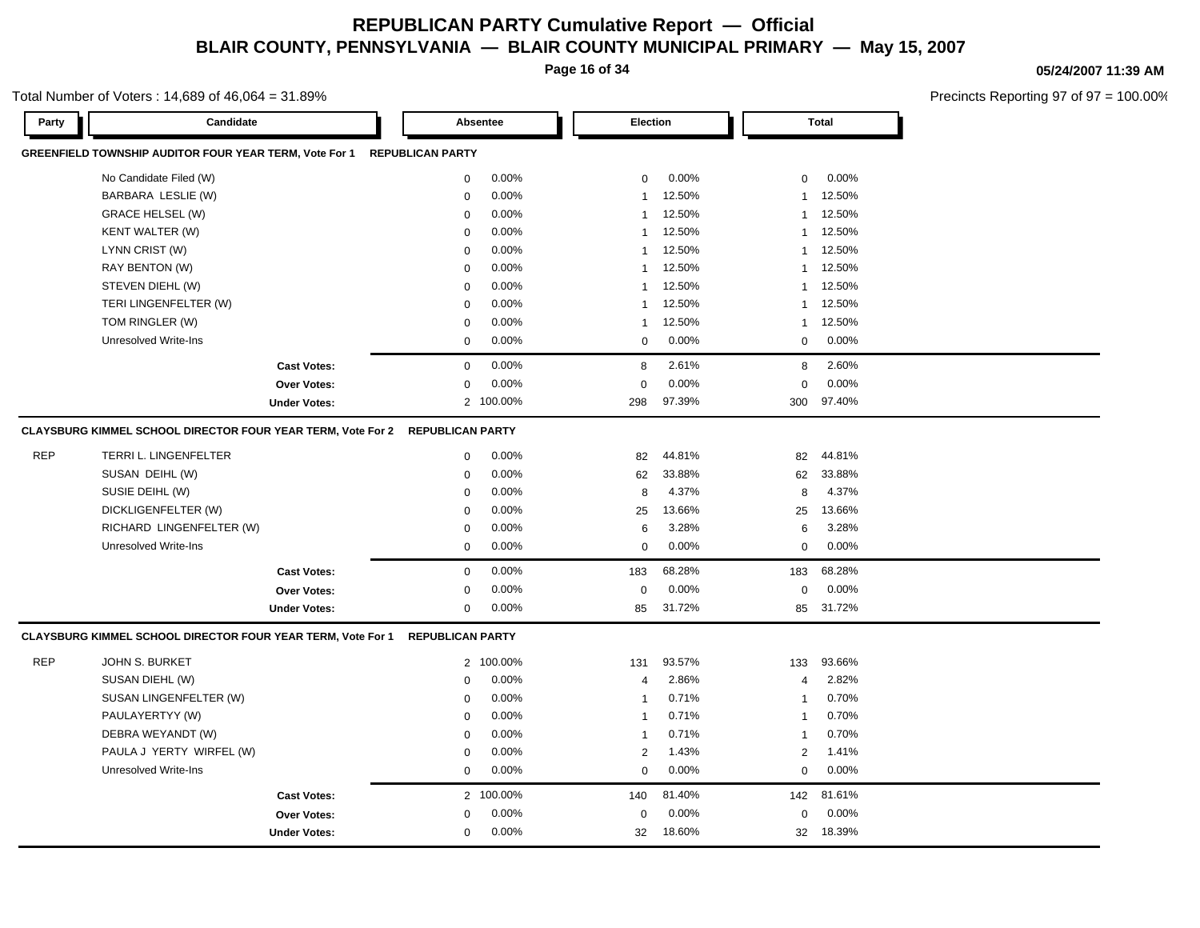**Page 16 of 34**

#### **05/24/2007 11:39 AM**

Precincts Reporting 97 of 97 = 100.00%

| Party      | Candidate                                                          |                     |                         | Absentee  | Election       |        |              | <b>Total</b> |
|------------|--------------------------------------------------------------------|---------------------|-------------------------|-----------|----------------|--------|--------------|--------------|
|            | GREENFIELD TOWNSHIP AUDITOR FOUR YEAR TERM, Vote For 1             |                     | <b>REPUBLICAN PARTY</b> |           |                |        |              |              |
|            | No Candidate Filed (W)                                             |                     | 0                       | 0.00%     | $\mathbf 0$    | 0.00%  | 0            | 0.00%        |
|            | BARBARA LESLIE (W)                                                 |                     | $\mathbf 0$             | 0.00%     | $\mathbf{1}$   | 12.50% | 1            | 12.50%       |
|            | <b>GRACE HELSEL (W)</b>                                            |                     | $\mathbf 0$             | 0.00%     | $\mathbf{1}$   | 12.50% | $\mathbf{1}$ | 12.50%       |
|            | <b>KENT WALTER (W)</b>                                             |                     | $\mathbf 0$             | 0.00%     | $\mathbf{1}$   | 12.50% | $\mathbf{1}$ | 12.50%       |
|            | LYNN CRIST (W)                                                     |                     | $\mathbf 0$             | 0.00%     | $\mathbf{1}$   | 12.50% | $\mathbf{1}$ | 12.50%       |
|            | RAY BENTON (W)                                                     |                     | $\mathbf 0$             | 0.00%     | $\mathbf{1}$   | 12.50% | $\mathbf{1}$ | 12.50%       |
|            | STEVEN DIEHL (W)                                                   |                     | 0                       | 0.00%     | $\mathbf{1}$   | 12.50% | 1            | 12.50%       |
|            | TERI LINGENFELTER (W)                                              |                     | $\mathbf 0$             | 0.00%     | $\mathbf{1}$   | 12.50% | $\mathbf{1}$ | 12.50%       |
|            | TOM RINGLER (W)                                                    |                     | $\mathsf 0$             | 0.00%     | 1              | 12.50% | $\mathbf{1}$ | 12.50%       |
|            | Unresolved Write-Ins                                               |                     | $\mathbf 0$             | 0.00%     | $\mathbf 0$    | 0.00%  | $\mathbf 0$  | 0.00%        |
|            |                                                                    | <b>Cast Votes:</b>  | $\mathbf 0$             | 0.00%     | 8              | 2.61%  | 8            | 2.60%        |
|            |                                                                    | Over Votes:         | $\mathbf 0$             | 0.00%     | $\mathbf 0$    | 0.00%  | $\mathbf 0$  | 0.00%        |
|            |                                                                    | <b>Under Votes:</b> |                         | 2 100.00% | 298            | 97.39% | 300          | 97.40%       |
|            | <b>CLAYSBURG KIMMEL SCHOOL DIRECTOR FOUR YEAR TERM, Vote For 2</b> |                     | <b>REPUBLICAN PARTY</b> |           |                |        |              |              |
| <b>REP</b> | TERRI L. LINGENFELTER                                              |                     | $\mathbf 0$             | 0.00%     | 82             | 44.81% | 82           | 44.81%       |
|            | SUSAN DEIHL (W)                                                    |                     | $\mathbf 0$             | 0.00%     | 62             | 33.88% | 62           | 33.88%       |
|            | SUSIE DEIHL (W)                                                    |                     | $\mathbf 0$             | 0.00%     | 8              | 4.37%  | 8            | 4.37%        |
|            | DICKLIGENFELTER (W)                                                |                     | $\mathbf 0$             | 0.00%     | 25             | 13.66% | 25           | 13.66%       |
|            | RICHARD LINGENFELTER (W)                                           |                     | $\mathbf 0$             | 0.00%     | 6              | 3.28%  | 6            | 3.28%        |
|            | <b>Unresolved Write-Ins</b>                                        |                     | $\mathbf 0$             | 0.00%     | $\mathbf 0$    | 0.00%  | $\mathbf 0$  | 0.00%        |
|            |                                                                    | <b>Cast Votes:</b>  | $\mathbf 0$             | 0.00%     | 183            | 68.28% | 183          | 68.28%       |
|            |                                                                    | Over Votes:         | $\mathbf 0$             | 0.00%     | $\mathbf 0$    | 0.00%  | $\mathbf 0$  | 0.00%        |
|            |                                                                    | <b>Under Votes:</b> | $\mathbf 0$             | 0.00%     | 85             | 31.72% | 85           | 31.72%       |
|            | CLAYSBURG KIMMEL SCHOOL DIRECTOR FOUR YEAR TERM, Vote For 1        |                     | <b>REPUBLICAN PARTY</b> |           |                |        |              |              |
| <b>REP</b> | JOHN S. BURKET                                                     |                     |                         | 2 100.00% | 131            | 93.57% | 133          | 93.66%       |
|            | SUSAN DIEHL (W)                                                    |                     | $\mathbf 0$             | 0.00%     | $\overline{4}$ | 2.86%  | 4            | 2.82%        |
|            | SUSAN LINGENFELTER (W)                                             |                     | $\mathbf 0$             | 0.00%     | $\mathbf{1}$   | 0.71%  | $\mathbf{1}$ | 0.70%        |
|            | PAULAYERTYY (W)                                                    |                     | $\mathbf 0$             | 0.00%     | $\mathbf{1}$   | 0.71%  | $\mathbf{1}$ | 0.70%        |
|            | DEBRA WEYANDT (W)                                                  |                     | $\mathbf 0$             | 0.00%     | $\mathbf{1}$   | 0.71%  | -1           | 0.70%        |
|            | PAULA J YERTY WIRFEL (W)                                           |                     | $\mathbf 0$             | 0.00%     | $\overline{2}$ | 1.43%  | $\mathbf{2}$ | 1.41%        |
|            | Unresolved Write-Ins                                               |                     | $\mathbf 0$             | $0.00\%$  | $\mathbf 0$    | 0.00%  | 0            | 0.00%        |
|            |                                                                    | <b>Cast Votes:</b>  |                         | 2 100.00% | 140            | 81.40% | 142          | 81.61%       |
|            |                                                                    | Over Votes:         | 0                       | $0.00\%$  | 0              | 0.00%  | $\mathbf 0$  | 0.00%        |
|            |                                                                    | <b>Under Votes:</b> | $\mathbf 0$             | $0.00\%$  | 32             | 18.60% | 32           | 18.39%       |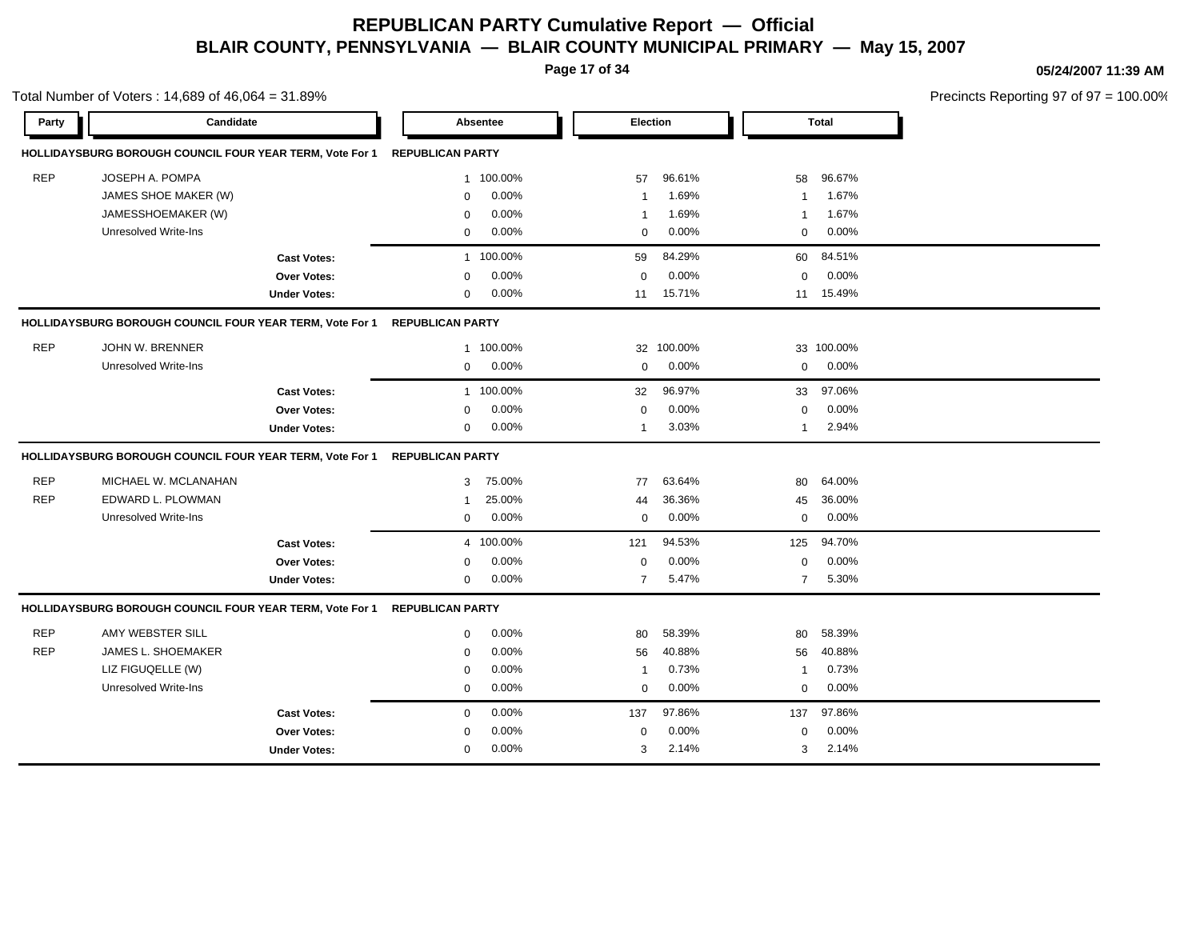**Page 17 of 34**

Total Number of Voters : 14,689 of 46,064 = 31.89%

#### **05/24/2007 11:39 AM**

| Party      | Candidate                                                       |                     |                         | Absentee  | Election       |         |                | <b>Total</b> |  |
|------------|-----------------------------------------------------------------|---------------------|-------------------------|-----------|----------------|---------|----------------|--------------|--|
|            | HOLLIDAYSBURG BOROUGH COUNCIL FOUR YEAR TERM, Vote For 1        |                     | <b>REPUBLICAN PARTY</b> |           |                |         |                |              |  |
| <b>REP</b> | JOSEPH A. POMPA                                                 |                     |                         | 1 100.00% | 57             | 96.61%  | 58             | 96.67%       |  |
|            | JAMES SHOE MAKER (W)                                            |                     | $\mathbf 0$             | 0.00%     | -1             | 1.69%   | -1             | 1.67%        |  |
|            | JAMESSHOEMAKER (W)                                              |                     | $\mathbf 0$             | 0.00%     | $\mathbf{1}$   | 1.69%   | 1              | 1.67%        |  |
|            | Unresolved Write-Ins                                            |                     | $\Omega$                | 0.00%     | $\mathbf 0$    | 0.00%   | $\mathbf 0$    | $0.00\%$     |  |
|            |                                                                 | <b>Cast Votes:</b>  |                         | 1 100.00% | 59             | 84.29%  | 60             | 84.51%       |  |
|            |                                                                 | Over Votes:         | $\mathbf 0$             | 0.00%     | $\mathbf 0$    | 0.00%   | $\mathbf 0$    | 0.00%        |  |
|            |                                                                 | <b>Under Votes:</b> | $\mathbf 0$             | 0.00%     | 11             | 15.71%  |                | 11 15.49%    |  |
|            | <b>HOLLIDAYSBURG BOROUGH COUNCIL FOUR YEAR TERM, Vote For 1</b> |                     | <b>REPUBLICAN PARTY</b> |           |                |         |                |              |  |
| <b>REP</b> | <b>JOHN W. BRENNER</b>                                          |                     |                         | 1 100.00% | 32             | 100.00% |                | 33 100.00%   |  |
|            | Unresolved Write-Ins                                            |                     | $\mathbf 0$             | 0.00%     | $\mathbf 0$    | 0.00%   | 0              | 0.00%        |  |
|            |                                                                 | <b>Cast Votes:</b>  |                         | 1 100.00% | 32             | 96.97%  | 33             | 97.06%       |  |
|            |                                                                 | <b>Over Votes:</b>  | $\Omega$                | 0.00%     | $\Omega$       | 0.00%   | $\mathbf 0$    | 0.00%        |  |
|            |                                                                 | <b>Under Votes:</b> | $\mathbf 0$             | $0.00\%$  | $\mathbf{1}$   | 3.03%   | $\mathbf 1$    | 2.94%        |  |
|            | HOLLIDAYSBURG BOROUGH COUNCIL FOUR YEAR TERM, Vote For 1        |                     | <b>REPUBLICAN PARTY</b> |           |                |         |                |              |  |
| <b>REP</b> | MICHAEL W. MCLANAHAN                                            |                     | 3                       | 75.00%    | 77             | 63.64%  | 80             | 64.00%       |  |
| <b>REP</b> | EDWARD L. PLOWMAN                                               |                     | $\mathbf{1}$            | 25.00%    | 44             | 36.36%  | 45             | 36.00%       |  |
|            | Unresolved Write-Ins                                            |                     | $\mathbf 0$             | 0.00%     | 0              | 0.00%   | $\mathbf 0$    | 0.00%        |  |
|            |                                                                 | <b>Cast Votes:</b>  |                         | 4 100.00% | 121            | 94.53%  | 125            | 94.70%       |  |
|            |                                                                 | Over Votes:         | $\mathbf 0$             | 0.00%     | $\Omega$       | 0.00%   | $\mathbf 0$    | 0.00%        |  |
|            |                                                                 | <b>Under Votes:</b> | $\mathbf 0$             | $0.00\%$  | $\overline{7}$ | 5.47%   | $\overline{7}$ | 5.30%        |  |
|            | HOLLIDAYSBURG BOROUGH COUNCIL FOUR YEAR TERM, Vote For 1        |                     | <b>REPUBLICAN PARTY</b> |           |                |         |                |              |  |
| <b>REP</b> | AMY WEBSTER SILL                                                |                     | $\mathbf 0$             | 0.00%     | 80             | 58.39%  | 80             | 58.39%       |  |
| <b>REP</b> | <b>JAMES L. SHOEMAKER</b>                                       |                     | $\mathbf 0$             | 0.00%     | 56             | 40.88%  | 56             | 40.88%       |  |
|            | LIZ FIGUQELLE (W)                                               |                     | $\mathbf 0$             | 0.00%     | $\overline{1}$ | 0.73%   | $\overline{1}$ | 0.73%        |  |
|            | <b>Unresolved Write-Ins</b>                                     |                     | $\mathbf 0$             | 0.00%     | $\mathbf 0$    | 0.00%   | $\mathbf 0$    | 0.00%        |  |
|            |                                                                 | <b>Cast Votes:</b>  | $\mathbf 0$             | 0.00%     | 137            | 97.86%  | 137            | 97.86%       |  |
|            |                                                                 | <b>Over Votes:</b>  | $\Omega$                | 0.00%     | $\mathbf 0$    | 0.00%   | $\mathbf 0$    | 0.00%        |  |
|            |                                                                 | <b>Under Votes:</b> | $\mathbf 0$             | 0.00%     | 3              | 2.14%   | 3              | 2.14%        |  |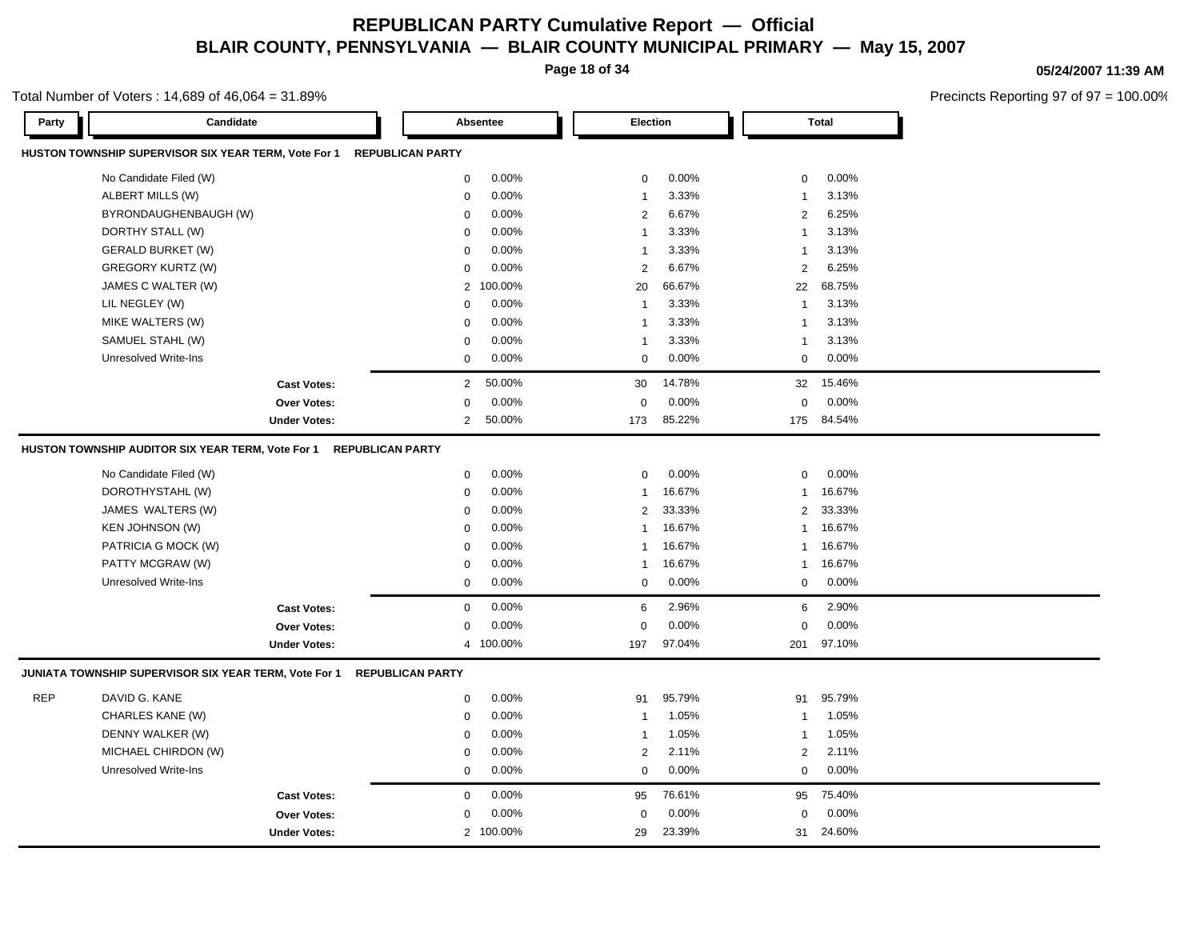**Page 18 of 34**

#### **05/24/2007 11:39 AM**

Precincts Reporting 97 of 97 = 100.00%

| Party      | Candidate                                                                    |                         | Absentee  | Election       |        |                | Total  |  |
|------------|------------------------------------------------------------------------------|-------------------------|-----------|----------------|--------|----------------|--------|--|
|            | HUSTON TOWNSHIP SUPERVISOR SIX YEAR TERM, Vote For 1                         | <b>REPUBLICAN PARTY</b> |           |                |        |                |        |  |
|            | No Candidate Filed (W)                                                       | $\mathbf 0$             | 0.00%     | $\mathbf 0$    | 0.00%  | 0              | 0.00%  |  |
|            | ALBERT MILLS (W)                                                             | $\pmb{0}$               | 0.00%     | $\mathbf{1}$   | 3.33%  | $\mathbf{1}$   | 3.13%  |  |
|            | BYRONDAUGHENBAUGH (W)                                                        | $\mathbf 0$             | 0.00%     | 2              | 6.67%  | 2              | 6.25%  |  |
|            | DORTHY STALL (W)                                                             | $\mathbf 0$             | 0.00%     | $\overline{1}$ | 3.33%  | $\mathbf{1}$   | 3.13%  |  |
|            | <b>GERALD BURKET (W)</b>                                                     | $\mathbf 0$             | 0.00%     | $\overline{1}$ | 3.33%  | $\mathbf{1}$   | 3.13%  |  |
|            | <b>GREGORY KURTZ (W)</b>                                                     | $\mathbf 0$             | 0.00%     | 2              | 6.67%  | 2              | 6.25%  |  |
|            | JAMES C WALTER (W)                                                           | $\overline{2}$          | 100.00%   | 20             | 66.67% | 22             | 68.75% |  |
|            | LIL NEGLEY (W)                                                               | $\mathbf 0$             | 0.00%     | $\mathbf{1}$   | 3.33%  | $\mathbf{1}$   | 3.13%  |  |
|            | MIKE WALTERS (W)                                                             | 0                       | 0.00%     | -1             | 3.33%  | $\mathbf{1}$   | 3.13%  |  |
|            | SAMUEL STAHL (W)                                                             | $\mathbf 0$             | 0.00%     | $\overline{1}$ | 3.33%  | $\overline{1}$ | 3.13%  |  |
|            | <b>Unresolved Write-Ins</b>                                                  | $\mathbf 0$             | 0.00%     | $\mathbf 0$    | 0.00%  | $\mathbf 0$    | 0.00%  |  |
|            | <b>Cast Votes:</b>                                                           | $\overline{2}$          | 50.00%    | 30             | 14.78% | 32             | 15.46% |  |
|            | Over Votes:                                                                  | $\mathbf 0$             | 0.00%     | $\mathbf 0$    | 0.00%  | $\mathbf 0$    | 0.00%  |  |
|            | <b>Under Votes:</b>                                                          | $\overline{2}$          | 50.00%    | 173            | 85.22% | 175            | 84.54% |  |
|            | HUSTON TOWNSHIP AUDITOR SIX YEAR TERM, Vote For 1<br><b>REPUBLICAN PARTY</b> |                         |           |                |        |                |        |  |
|            | No Candidate Filed (W)                                                       | $\mathbf 0$             | 0.00%     | 0              | 0.00%  | 0              | 0.00%  |  |
|            | DOROTHYSTAHL (W)                                                             | $\mathbf 0$             | 0.00%     | $\mathbf{1}$   | 16.67% | $\mathbf{1}$   | 16.67% |  |
|            | JAMES WALTERS (W)                                                            | $\mathbf 0$             | 0.00%     | 2              | 33.33% | $\mathbf{2}$   | 33.33% |  |
|            | KEN JOHNSON (W)                                                              | $\mathbf 0$             | 0.00%     | $\mathbf{1}$   | 16.67% | $\mathbf{1}$   | 16.67% |  |
|            | PATRICIA G MOCK (W)                                                          | $\mathbf 0$             | 0.00%     | $\mathbf{1}$   | 16.67% | $\mathbf{1}$   | 16.67% |  |
|            | PATTY MCGRAW (W)                                                             | $\mathbf 0$             | 0.00%     | $\mathbf{1}$   | 16.67% | $\mathbf{1}$   | 16.67% |  |
|            | Unresolved Write-Ins                                                         | $\mathsf 0$             | 0.00%     | 0              | 0.00%  | 0              | 0.00%  |  |
|            | <b>Cast Votes:</b>                                                           | $\mathbf 0$             | 0.00%     | 6              | 2.96%  | 6              | 2.90%  |  |
|            | Over Votes:                                                                  | $\mathbf 0$             | 0.00%     | $\mathbf 0$    | 0.00%  | $\mathbf 0$    | 0.00%  |  |
|            | <b>Under Votes:</b>                                                          |                         | 4 100.00% | 197            | 97.04% | 201            | 97.10% |  |
|            | JUNIATA TOWNSHIP SUPERVISOR SIX YEAR TERM, Vote For 1                        | <b>REPUBLICAN PARTY</b> |           |                |        |                |        |  |
| <b>REP</b> | DAVID G. KANE                                                                | $\mathsf 0$             | 0.00%     | 91             | 95.79% | 91             | 95.79% |  |
|            | CHARLES KANE (W)                                                             | $\mathbf 0$             | 0.00%     | $\mathbf{1}$   | 1.05%  | $\mathbf{1}$   | 1.05%  |  |
|            | DENNY WALKER (W)                                                             | $\mathbf 0$             | 0.00%     | $\mathbf{1}$   | 1.05%  | $\mathbf{1}$   | 1.05%  |  |
|            | MICHAEL CHIRDON (W)                                                          | $\mathbf 0$             | 0.00%     | 2              | 2.11%  | $\mathbf{2}$   | 2.11%  |  |
|            | <b>Unresolved Write-Ins</b>                                                  | $\mathbf 0$             | 0.00%     | $\mathbf 0$    | 0.00%  | 0              | 0.00%  |  |
|            | <b>Cast Votes:</b>                                                           | $\mathsf 0$             | 0.00%     | 95             | 76.61% | 95             | 75.40% |  |
|            | <b>Over Votes:</b>                                                           | $\mathbf 0$             | 0.00%     | $\mathbf 0$    | 0.00%  | $\mathbf 0$    | 0.00%  |  |
|            | <b>Under Votes:</b>                                                          |                         | 2 100.00% | 29             | 23.39% | 31             | 24.60% |  |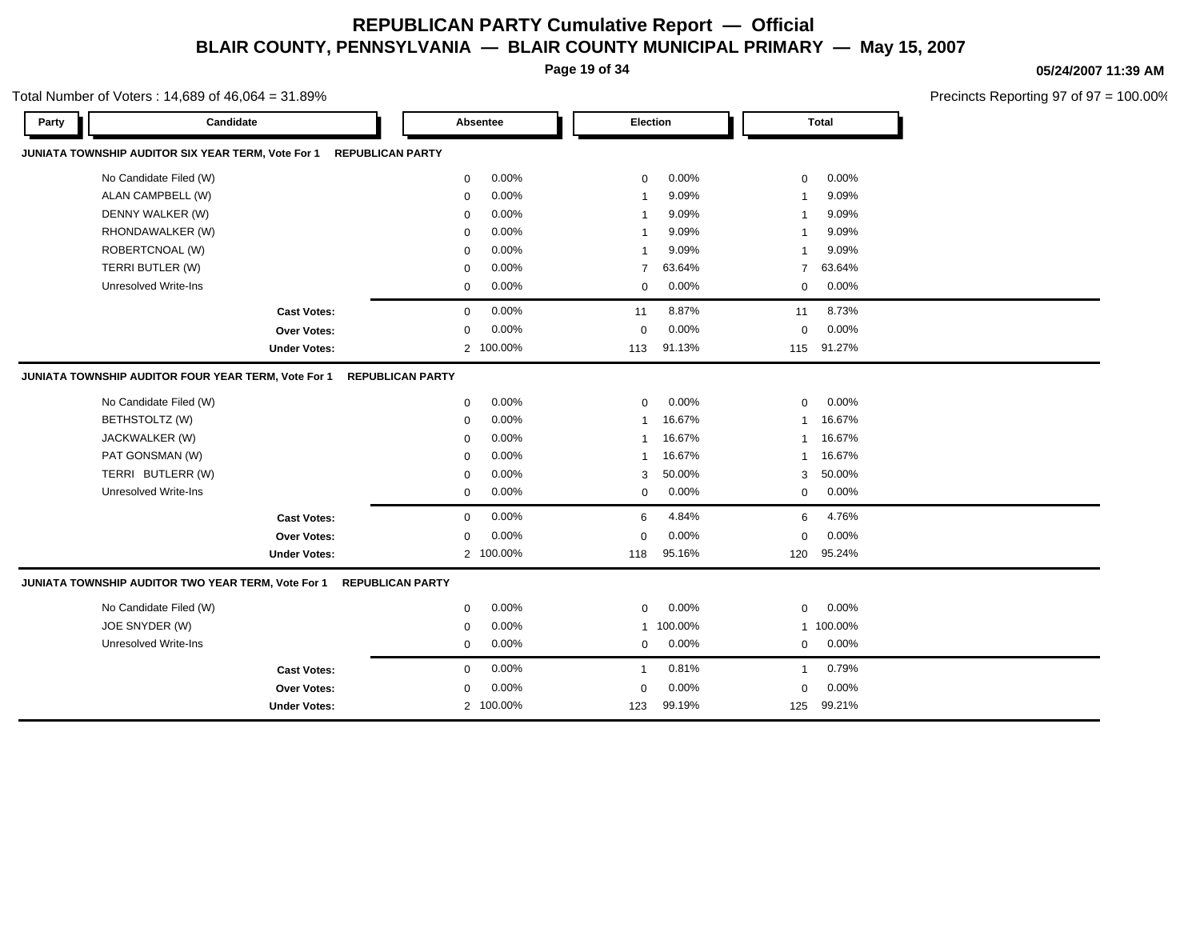**Page 19 of 34**

Total Number of Voters : 14,689 of 46,064 = 31.89%

#### **05/24/2007 11:39 AM**

| Party | Candidate                                           |                         | Absentee  | Election       |         |                | <b>Total</b> |  |
|-------|-----------------------------------------------------|-------------------------|-----------|----------------|---------|----------------|--------------|--|
|       | JUNIATA TOWNSHIP AUDITOR SIX YEAR TERM, Vote For 1  | <b>REPUBLICAN PARTY</b> |           |                |         |                |              |  |
|       | No Candidate Filed (W)                              | $\mathbf 0$             | 0.00%     | $\mathbf 0$    | 0.00%   | $\mathbf 0$    | 0.00%        |  |
|       | ALAN CAMPBELL (W)                                   | $\mathbf 0$             | 0.00%     | -1             | 9.09%   | -1             | 9.09%        |  |
|       | DENNY WALKER (W)                                    | $\Omega$                | 0.00%     | $\overline{1}$ | 9.09%   | -1             | 9.09%        |  |
|       | RHONDAWALKER (W)                                    | $\mathbf 0$             | 0.00%     | -1             | 9.09%   | -1             | 9.09%        |  |
|       | ROBERTCNOAL (W)                                     | $\Omega$                | 0.00%     | -1             | 9.09%   | -1             | 9.09%        |  |
|       | TERRI BUTLER (W)                                    | $\mathbf 0$             | 0.00%     | $\overline{7}$ | 63.64%  | $\overline{7}$ | 63.64%       |  |
|       | <b>Unresolved Write-Ins</b>                         | $\pmb{0}$               | 0.00%     | $\mathbf 0$    | 0.00%   | $\mathbf 0$    | 0.00%        |  |
|       | <b>Cast Votes:</b>                                  | $\mathbf 0$             | 0.00%     | 11             | 8.87%   | 11             | 8.73%        |  |
|       | Over Votes:                                         | $\mathbf 0$             | 0.00%     | $\mathbf 0$    | 0.00%   | $\mathbf 0$    | 0.00%        |  |
|       | <b>Under Votes:</b>                                 |                         | 2 100.00% | 113            | 91.13%  | 115            | 91.27%       |  |
|       | JUNIATA TOWNSHIP AUDITOR FOUR YEAR TERM, Vote For 1 | <b>REPUBLICAN PARTY</b> |           |                |         |                |              |  |
|       | No Candidate Filed (W)                              | $\mathbf 0$             | 0.00%     | $\mathbf 0$    | 0.00%   | $\mathbf 0$    | 0.00%        |  |
|       | BETHSTOLTZ (W)                                      | $\mathbf 0$             | 0.00%     | -1             | 16.67%  | -1             | 16.67%       |  |
|       | JACKWALKER (W)                                      | $\mathbf 0$             | 0.00%     | -1             | 16.67%  | -1             | 16.67%       |  |
|       | PAT GONSMAN (W)                                     | $\mathbf 0$             | 0.00%     | $\overline{1}$ | 16.67%  | $\mathbf 1$    | 16.67%       |  |
|       | TERRI BUTLERR (W)                                   | $\mathbf 0$             | 0.00%     | 3              | 50.00%  | 3              | 50.00%       |  |
|       | <b>Unresolved Write-Ins</b>                         | 0                       | 0.00%     | $\mathbf 0$    | 0.00%   | 0              | 0.00%        |  |
|       | <b>Cast Votes:</b>                                  | $\mathbf 0$             | 0.00%     | 6              | 4.84%   | 6              | 4.76%        |  |
|       | <b>Over Votes:</b>                                  | $\mathbf 0$             | 0.00%     | $\mathbf 0$    | 0.00%   | $\mathbf 0$    | 0.00%        |  |
|       | <b>Under Votes:</b>                                 |                         | 2 100.00% | 118            | 95.16%  | 120            | 95.24%       |  |
|       | JUNIATA TOWNSHIP AUDITOR TWO YEAR TERM, Vote For 1  | <b>REPUBLICAN PARTY</b> |           |                |         |                |              |  |
|       | No Candidate Filed (W)                              | $\Omega$                | 0.00%     | $\Omega$       | 0.00%   | $\Omega$       | 0.00%        |  |
|       | JOE SNYDER (W)                                      | $\mathbf 0$             | 0.00%     | $\mathbf{1}$   | 100.00% |                | 1 100.00%    |  |
|       | Unresolved Write-Ins                                | $\mathbf 0$             | 0.00%     | $\mathbf 0$    | 0.00%   | $\mathbf 0$    | 0.00%        |  |
|       | <b>Cast Votes:</b>                                  | $\mathbf 0$             | 0.00%     | $\mathbf{1}$   | 0.81%   | $\mathbf{1}$   | 0.79%        |  |
|       | <b>Over Votes:</b>                                  | $\mathbf 0$             | 0.00%     | $\mathbf 0$    | 0.00%   | 0              | 0.00%        |  |
|       | <b>Under Votes:</b>                                 |                         | 2 100.00% |                | 99.19%  |                | 99.21%       |  |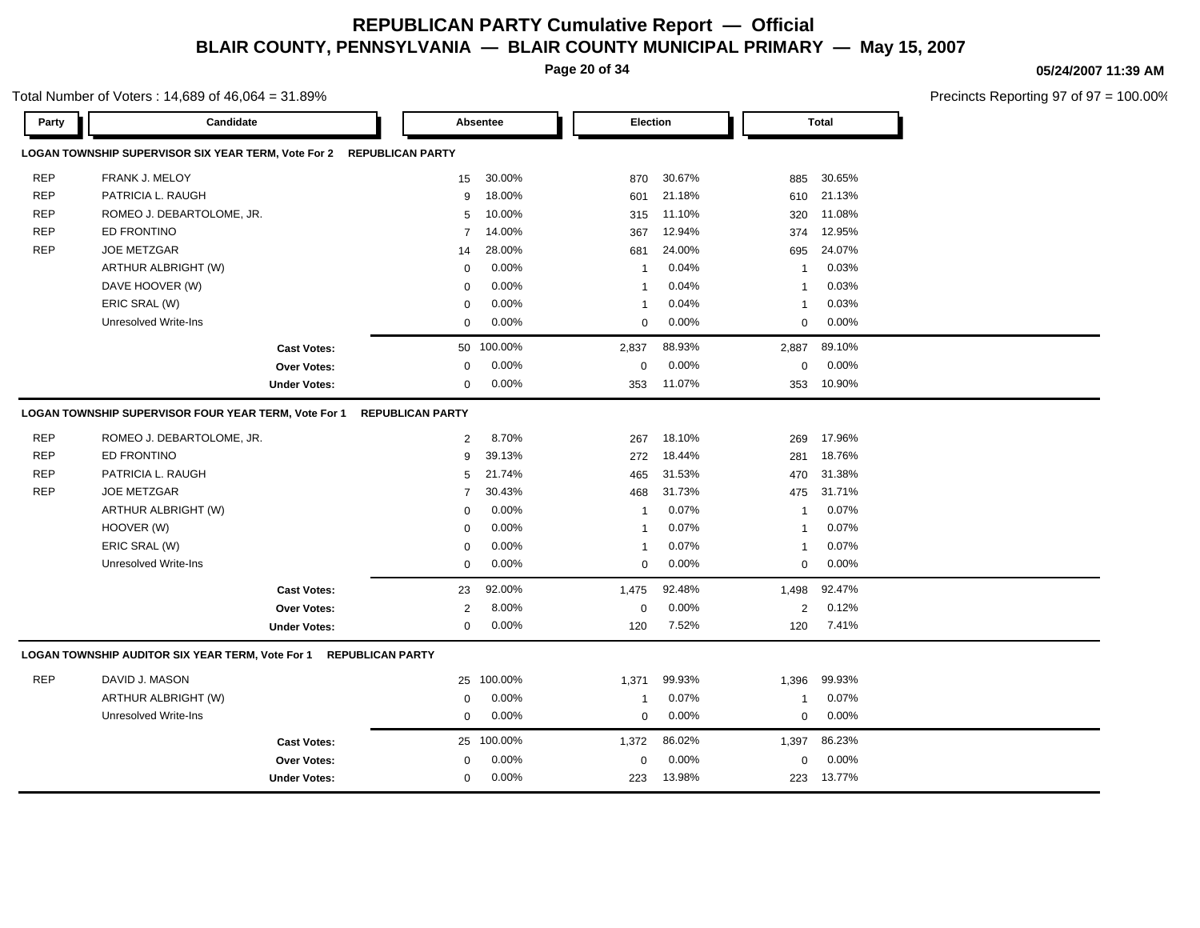**Page 20 of 34**

### **05/24/2007 11:39 AM**

Precincts Reporting 97 of 97 = 100.00%

| Party      | Candidate                                                                   |                         | Absentee   | <b>Election</b>         |        | <b>Total</b>   |        |  |
|------------|-----------------------------------------------------------------------------|-------------------------|------------|-------------------------|--------|----------------|--------|--|
|            | LOGAN TOWNSHIP SUPERVISOR SIX YEAR TERM, Vote For 2 REPUBLICAN PARTY        |                         |            |                         |        |                |        |  |
| <b>REP</b> | FRANK J. MELOY                                                              | 15                      | 30.00%     | 870                     | 30.67% | 885            | 30.65% |  |
| <b>REP</b> | PATRICIA L. RAUGH                                                           | 9                       | 18.00%     | 601                     | 21.18% | 610            | 21.13% |  |
| <b>REP</b> | ROMEO J. DEBARTOLOME, JR.                                                   | 5                       | 10.00%     | 315                     | 11.10% | 320            | 11.08% |  |
| <b>REP</b> | ED FRONTINO                                                                 | $\overline{7}$          | 14.00%     | 367                     | 12.94% | 374            | 12.95% |  |
| <b>REP</b> | <b>JOE METZGAR</b>                                                          | 14                      | 28.00%     | 681                     | 24.00% | 695            | 24.07% |  |
|            | ARTHUR ALBRIGHT (W)                                                         | $\mathbf 0$             | 0.00%      | $\overline{\mathbf{1}}$ | 0.04%  | $\overline{1}$ | 0.03%  |  |
|            | DAVE HOOVER (W)                                                             | $\mathbf 0$             | 0.00%      | $\overline{1}$          | 0.04%  | $\overline{1}$ | 0.03%  |  |
|            | ERIC SRAL (W)                                                               | $\mathbf 0$             | 0.00%      | $\overline{\mathbf{1}}$ | 0.04%  | $\overline{1}$ | 0.03%  |  |
|            | <b>Unresolved Write-Ins</b>                                                 | $\mathbf 0$             | 0.00%      | 0                       | 0.00%  | $\mathbf 0$    | 0.00%  |  |
|            | <b>Cast Votes:</b>                                                          |                         | 50 100.00% | 2,837                   | 88.93% | 2,887          | 89.10% |  |
|            | <b>Over Votes:</b>                                                          | 0                       | 0.00%      | $\pmb{0}$               | 0.00%  | $\mathbf 0$    | 0.00%  |  |
|            | <b>Under Votes:</b>                                                         | $\mathbf 0$             | 0.00%      | 353                     | 11.07% | 353            | 10.90% |  |
|            | LOGAN TOWNSHIP SUPERVISOR FOUR YEAR TERM, Vote For 1                        | <b>REPUBLICAN PARTY</b> |            |                         |        |                |        |  |
| <b>REP</b> | ROMEO J. DEBARTOLOME, JR.                                                   | $\overline{2}$          | 8.70%      | 267                     | 18.10% | 269            | 17.96% |  |
| <b>REP</b> | <b>ED FRONTINO</b>                                                          | 9                       | 39.13%     | 272                     | 18.44% | 281            | 18.76% |  |
| <b>REP</b> | PATRICIA L. RAUGH                                                           | 5                       | 21.74%     | 465                     | 31.53% | 470            | 31.38% |  |
| <b>REP</b> | <b>JOE METZGAR</b>                                                          | $\overline{7}$          | 30.43%     | 468                     | 31.73% | 475            | 31.71% |  |
|            | ARTHUR ALBRIGHT (W)                                                         | $\mathbf 0$             | 0.00%      | $\overline{1}$          | 0.07%  | $\overline{1}$ | 0.07%  |  |
|            | HOOVER (W)                                                                  | $\Omega$                | 0.00%      | $\overline{1}$          | 0.07%  | $\overline{1}$ | 0.07%  |  |
|            | ERIC SRAL (W)                                                               | $\mathbf 0$             | 0.00%      | $\overline{1}$          | 0.07%  | $\overline{1}$ | 0.07%  |  |
|            | <b>Unresolved Write-Ins</b>                                                 | $\mathbf 0$             | 0.00%      | $\mathbf 0$             | 0.00%  | $\mathbf 0$    | 0.00%  |  |
|            | <b>Cast Votes:</b>                                                          | 23                      | 92.00%     | 1,475                   | 92.48% | 1,498          | 92.47% |  |
|            | <b>Over Votes:</b>                                                          | $\overline{2}$          | 8.00%      | $\mathbf 0$             | 0.00%  | 2              | 0.12%  |  |
|            | <b>Under Votes:</b>                                                         | $\mathbf 0$             | $0.00\%$   | 120                     | 7.52%  | 120            | 7.41%  |  |
|            | LOGAN TOWNSHIP AUDITOR SIX YEAR TERM, Vote For 1<br><b>REPUBLICAN PARTY</b> |                         |            |                         |        |                |        |  |
| <b>REP</b> | DAVID J. MASON                                                              | 25                      | 100.00%    | 1,371                   | 99.93% | 1,396          | 99.93% |  |
|            | ARTHUR ALBRIGHT (W)                                                         | 0                       | 0.00%      | $\overline{\mathbf{1}}$ | 0.07%  | -1             | 0.07%  |  |
|            | <b>Unresolved Write-Ins</b>                                                 | $\mathbf 0$             | 0.00%      | 0                       | 0.00%  | $\mathbf 0$    | 0.00%  |  |
|            | <b>Cast Votes:</b>                                                          |                         | 25 100.00% | 1,372                   | 86.02% | 1,397          | 86.23% |  |
|            | <b>Over Votes:</b>                                                          | $\mathbf 0$             | 0.00%      | $\mathbf 0$             | 0.00%  | $\mathbf 0$    | 0.00%  |  |
|            | <b>Under Votes:</b>                                                         | $\mathbf 0$             | 0.00%      | 223                     | 13.98% | 223            | 13.77% |  |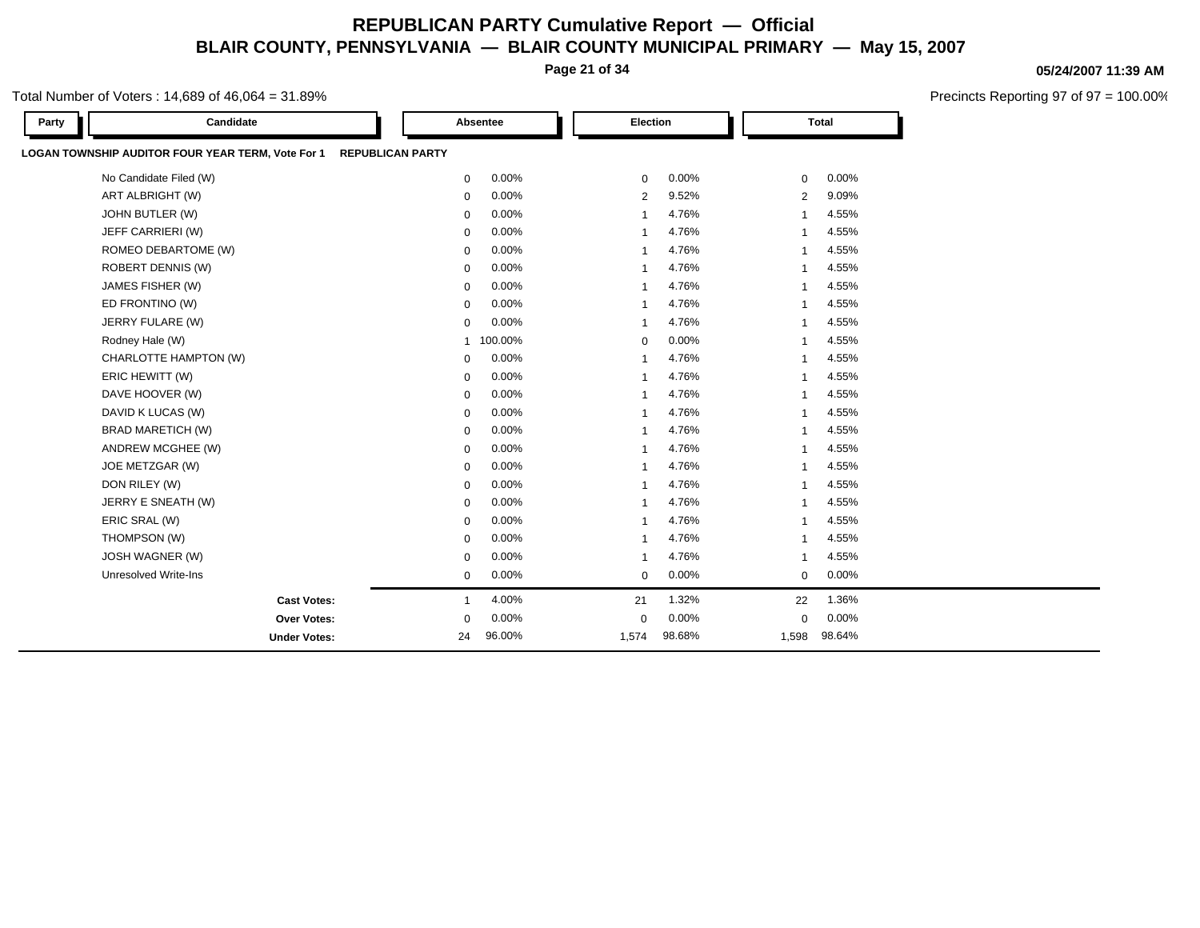**Page 21 of 34**

### Total Number of Voters : 14,689 of 46,064 = 31.89%

| Party | Candidate                                         |                         | Absentee | Election       |        |                | <b>Total</b> |  |
|-------|---------------------------------------------------|-------------------------|----------|----------------|--------|----------------|--------------|--|
|       | LOGAN TOWNSHIP AUDITOR FOUR YEAR TERM, Vote For 1 | <b>REPUBLICAN PARTY</b> |          |                |        |                |              |  |
|       | No Candidate Filed (W)                            | 0                       | 0.00%    | $\mathbf 0$    | 0.00%  | $\mathbf 0$    | 0.00%        |  |
|       | ART ALBRIGHT (W)                                  | 0                       | 0.00%    | $\overline{2}$ | 9.52%  | 2              | 9.09%        |  |
|       | JOHN BUTLER (W)                                   | 0                       | 0.00%    | $\mathbf{1}$   | 4.76%  | $\overline{1}$ | 4.55%        |  |
|       | JEFF CARRIERI (W)                                 | 0                       | 0.00%    |                | 4.76%  | -1             | 4.55%        |  |
|       | ROMEO DEBARTOME (W)                               | 0                       | 0.00%    |                | 4.76%  | 1              | 4.55%        |  |
|       | <b>ROBERT DENNIS (W)</b>                          | 0                       | 0.00%    |                | 4.76%  | 1              | 4.55%        |  |
|       | JAMES FISHER (W)                                  | 0                       | 0.00%    |                | 4.76%  | 1              | 4.55%        |  |
|       | ED FRONTINO (W)                                   | 0                       | 0.00%    |                | 4.76%  | 1              | 4.55%        |  |
|       | JERRY FULARE (W)                                  | 0                       | 0.00%    |                | 4.76%  | 1              | 4.55%        |  |
|       | Rodney Hale (W)                                   | $\mathbf{1}$            | 100.00%  | $\mathbf 0$    | 0.00%  | 1              | 4.55%        |  |
|       | CHARLOTTE HAMPTON (W)                             | 0                       | 0.00%    |                | 4.76%  | 1              | 4.55%        |  |
|       | ERIC HEWITT (W)                                   | 0                       | 0.00%    |                | 4.76%  | 1              | 4.55%        |  |
|       | DAVE HOOVER (W)                                   | 0                       | 0.00%    |                | 4.76%  | 1              | 4.55%        |  |
|       | DAVID K LUCAS (W)                                 | 0                       | 0.00%    |                | 4.76%  | 1              | 4.55%        |  |
|       | <b>BRAD MARETICH (W)</b>                          | 0                       | 0.00%    |                | 4.76%  | 1              | 4.55%        |  |
|       | ANDREW MCGHEE (W)                                 | $\mathbf 0$             | 0.00%    | $\overline{1}$ | 4.76%  | $\overline{1}$ | 4.55%        |  |
|       | JOE METZGAR (W)                                   | 0                       | 0.00%    |                | 4.76%  | 1              | 4.55%        |  |
|       | DON RILEY (W)                                     | $\mathbf 0$             | 0.00%    | $\overline{1}$ | 4.76%  | $\overline{1}$ | 4.55%        |  |
|       | JERRY E SNEATH (W)                                | 0                       | 0.00%    |                | 4.76%  | 1              | 4.55%        |  |
|       | ERIC SRAL (W)                                     | $\mathbf 0$             | 0.00%    | -1             | 4.76%  | $\overline{1}$ | 4.55%        |  |
|       | THOMPSON (W)                                      | 0                       | 0.00%    | -1             | 4.76%  | 1              | 4.55%        |  |
|       | JOSH WAGNER (W)                                   | 0                       | 0.00%    |                | 4.76%  | $\overline{1}$ | 4.55%        |  |
|       | <b>Unresolved Write-Ins</b>                       | 0                       | 0.00%    | 0              | 0.00%  | 0              | 0.00%        |  |
|       | <b>Cast Votes:</b>                                | 1                       | 4.00%    | 21             | 1.32%  | 22             | 1.36%        |  |
|       | Over Votes:                                       | 0                       | 0.00%    | $\mathbf 0$    | 0.00%  | 0              | 0.00%        |  |
|       | <b>Under Votes:</b>                               | 24                      | 96.00%   | 1,574          | 98.68% | 1,598          | 98.64%       |  |

**05/24/2007 11:39 AM**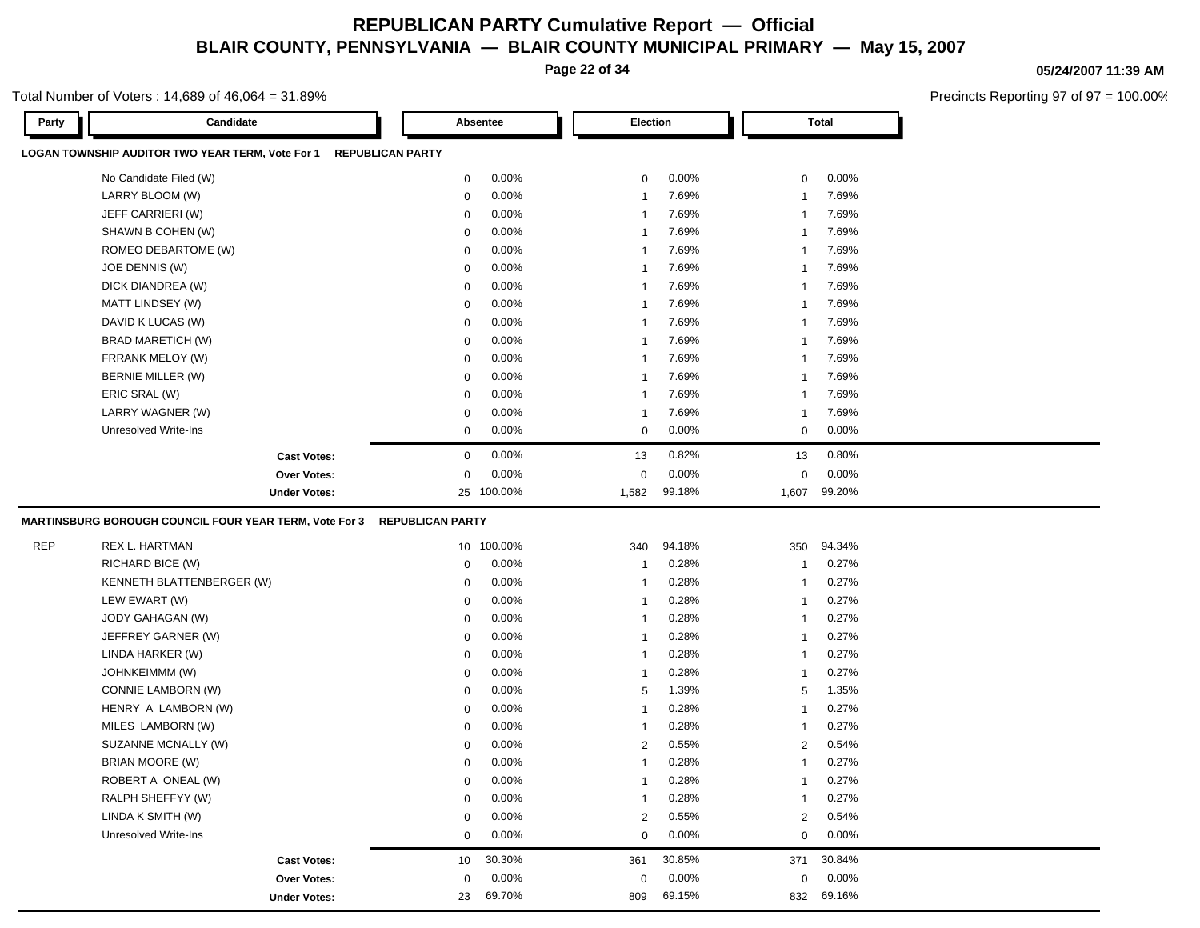**Page 22 of 34**

#### **05/24/2007 11:39 AM**

Precincts Reporting 97 of 97 = 100.00%

| Party      | Candidate                                                                   |                         | Absentee   | Election       |        |                | <b>Total</b> |
|------------|-----------------------------------------------------------------------------|-------------------------|------------|----------------|--------|----------------|--------------|
|            | LOGAN TOWNSHIP AUDITOR TWO YEAR TERM, Vote For 1<br><b>REPUBLICAN PARTY</b> |                         |            |                |        |                |              |
|            | No Candidate Filed (W)                                                      | 0                       | 0.00%      | 0              | 0.00%  | 0              | 0.00%        |
|            | LARRY BLOOM (W)                                                             | 0                       | 0.00%      | $\mathbf{1}$   | 7.69%  | -1             | 7.69%        |
|            | JEFF CARRIERI (W)                                                           | 0                       | 0.00%      | $\mathbf{1}$   | 7.69%  | -1             | 7.69%        |
|            | SHAWN B COHEN (W)                                                           | 0                       | 0.00%      | $\mathbf{1}$   | 7.69%  | -1             | 7.69%        |
|            | ROMEO DEBARTOME (W)                                                         | 0                       | 0.00%      | 1              | 7.69%  | -1             | 7.69%        |
|            | JOE DENNIS (W)                                                              | 0                       | 0.00%      | 1              | 7.69%  | -1             | 7.69%        |
|            | DICK DIANDREA (W)                                                           | 0                       | 0.00%      | -1             | 7.69%  | -1             | 7.69%        |
|            | MATT LINDSEY (W)                                                            | 0                       | 0.00%      | -1             | 7.69%  | -1             | 7.69%        |
|            | DAVID K LUCAS (W)                                                           | 0                       | 0.00%      | -1             | 7.69%  | -1             | 7.69%        |
|            | BRAD MARETICH (W)                                                           | 0                       | 0.00%      | -1             | 7.69%  | -1             | 7.69%        |
|            | FRRANK MELOY (W)                                                            | 0                       | 0.00%      | -1             | 7.69%  | -1             | 7.69%        |
|            | <b>BERNIE MILLER (W)</b>                                                    | 0                       | 0.00%      | -1             | 7.69%  | -1             | 7.69%        |
|            | ERIC SRAL (W)                                                               | 0                       | 0.00%      | -1             | 7.69%  | -1             | 7.69%        |
|            | LARRY WAGNER (W)                                                            | 0                       | 0.00%      | 1              | 7.69%  | -1             | 7.69%        |
|            | Unresolved Write-Ins                                                        | 0                       | 0.00%      | $\mathbf 0$    | 0.00%  | $\mathbf 0$    | 0.00%        |
|            | <b>Cast Votes:</b>                                                          | 0                       | 0.00%      | 13             | 0.82%  | 13             | 0.80%        |
|            | Over Votes:                                                                 | 0                       | 0.00%      | 0              | 0.00%  | $\mathbf 0$    | 0.00%        |
|            | <b>Under Votes:</b>                                                         |                         | 25 100.00% | 1,582          | 99.18% | 1,607          | 99.20%       |
|            | <b>MARTINSBURG BOROUGH COUNCIL FOUR YEAR TERM, Vote For 3</b>               | <b>REPUBLICAN PARTY</b> |            |                |        |                |              |
| <b>REP</b> | REX L. HARTMAN                                                              |                         | 10 100.00% | 340            | 94.18% | 350            | 94.34%       |
|            | RICHARD BICE (W)                                                            | 0                       | 0.00%      | -1             | 0.28%  | $\overline{1}$ | 0.27%        |
|            | KENNETH BLATTENBERGER (W)                                                   | $\mathbf 0$             | 0.00%      | $\mathbf{1}$   | 0.28%  | -1             | 0.27%        |
|            | LEW EWART (W)                                                               | $\mathbf 0$             | 0.00%      | $\mathbf{1}$   | 0.28%  | -1             | 0.27%        |
|            | JODY GAHAGAN (W)                                                            | $\mathbf 0$             | 0.00%      | $\mathbf{1}$   | 0.28%  | -1             | 0.27%        |
|            | JEFFREY GARNER (W)                                                          | $\mathbf 0$             | 0.00%      | $\mathbf{1}$   | 0.28%  | -1             | 0.27%        |
|            | LINDA HARKER (W)                                                            | $\mathbf 0$             | 0.00%      | $\mathbf{1}$   | 0.28%  | -1             | 0.27%        |
|            | JOHNKEIMMM (W)                                                              | $\mathbf 0$             | 0.00%      | $\mathbf{1}$   | 0.28%  | -1             | 0.27%        |
|            | CONNIE LAMBORN (W)                                                          | $\mathbf 0$             | 0.00%      | 5              | 1.39%  | 5              | 1.35%        |
|            | HENRY A LAMBORN (W)                                                         | $\mathbf 0$             | 0.00%      | $\mathbf{1}$   | 0.28%  | -1             | 0.27%        |
|            | MILES LAMBORN (W)                                                           | $\mathbf 0$             | 0.00%      | $\mathbf{1}$   | 0.28%  | -1             | 0.27%        |
|            | SUZANNE MCNALLY (W)                                                         | $\mathbf 0$             | 0.00%      | $\overline{c}$ | 0.55%  | $\overline{2}$ | 0.54%        |
|            | <b>BRIAN MOORE (W)</b>                                                      | $\mathbf 0$             | 0.00%      | $\mathbf{1}$   | 0.28%  |                | 0.27%        |
|            | ROBERT A ONEAL (W)                                                          | $\mathbf 0$             | 0.00%      | -1             | 0.28%  | -1             | 0.27%        |
|            | RALPH SHEFFYY (W)                                                           | 0                       | 0.00%      | 1              | 0.28%  | -1             | 0.27%        |
|            | LINDA K SMITH (W)                                                           | 0                       | 0.00%      | 2              | 0.55%  | 2              | 0.54%        |
|            | <b>Unresolved Write-Ins</b>                                                 | 0                       | 0.00%      | 0              | 0.00%  | 0              | 0.00%        |
|            | <b>Cast Votes:</b>                                                          | 10                      | 30.30%     | 361            | 30.85% | 371            | 30.84%       |
|            | Over Votes:                                                                 | 0                       | 0.00%      | 0              | 0.00%  | $\mathbf 0$    | 0.00%        |
|            | <b>Under Votes:</b>                                                         | 23                      | 69.70%     | 809            | 69.15% |                | 832 69.16%   |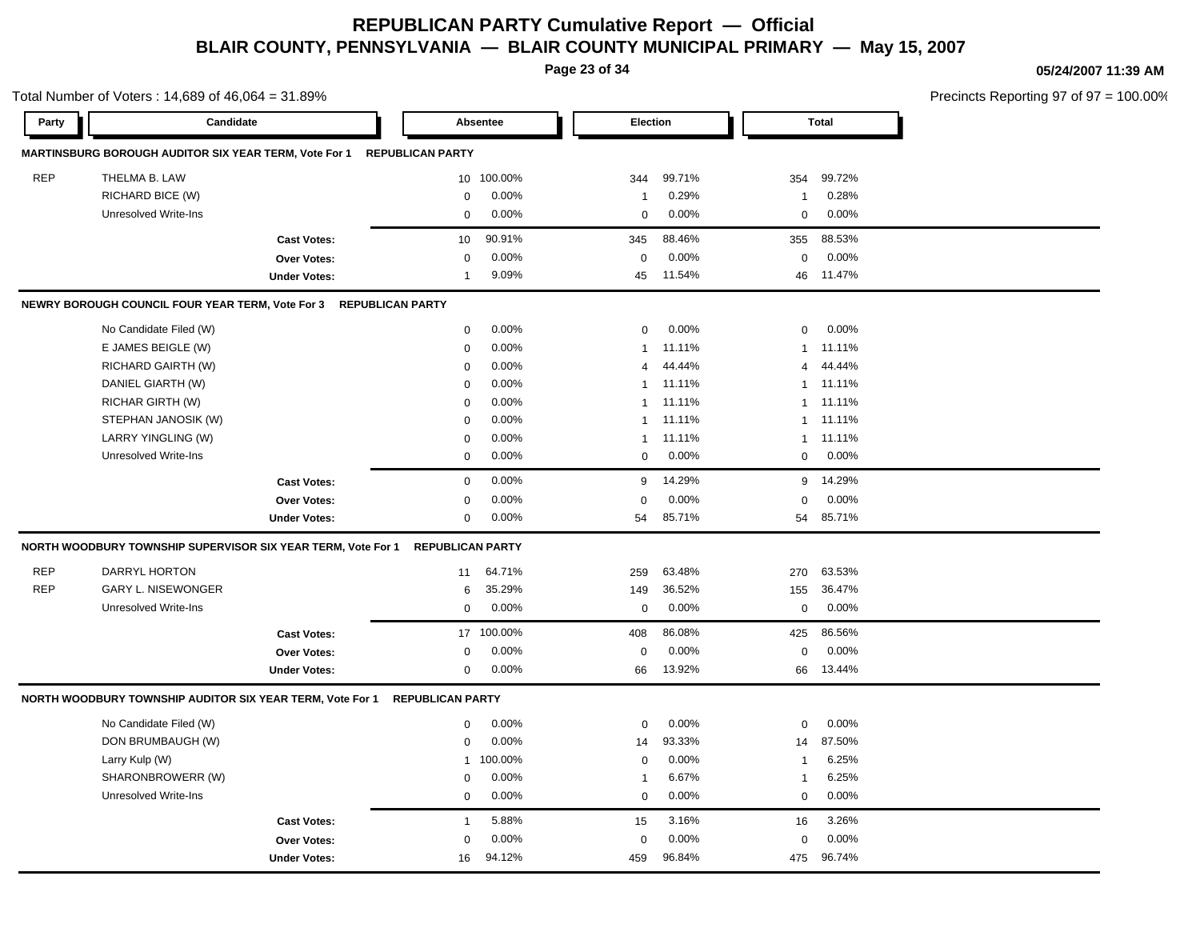**Page 23 of 34**

**05/24/2007 11:39 AM**

|            | Total Number of Voters: 14,689 of 46,064 = 31.89%                             |                     |                 |            |                |          |                |                 | Precincts Reporting 97 of 97 = 100.00% |  |  |  |
|------------|-------------------------------------------------------------------------------|---------------------|-----------------|------------|----------------|----------|----------------|-----------------|----------------------------------------|--|--|--|
| Party      | Candidate                                                                     |                     | Absentee        |            | Election       |          |                | Total           |                                        |  |  |  |
|            | MARTINSBURG BOROUGH AUDITOR SIX YEAR TERM, Vote For 1 REPUBLICAN PARTY        |                     |                 |            |                |          |                |                 |                                        |  |  |  |
| REP        | THELMA B. LAW                                                                 |                     |                 | 10 100.00% | 344            | 99.71%   | 354            | 99.72%          |                                        |  |  |  |
|            | RICHARD BICE (W)                                                              |                     | 0               | 0.00%      | 1              | 0.29%    | $\mathbf{1}$   | 0.28%           |                                        |  |  |  |
|            | <b>Unresolved Write-Ins</b>                                                   |                     | $\mathbf 0$     | 0.00%      | 0              | 0.00%    | $\mathbf 0$    | 0.00%           |                                        |  |  |  |
|            |                                                                               | <b>Cast Votes:</b>  | 10 <sup>1</sup> | 90.91%     | 345            | 88.46%   |                | 355 88.53%      |                                        |  |  |  |
|            |                                                                               | Over Votes:         | $\mathbf 0$     | 0.00%      | $\mathbf 0$    | 0.00%    | $\mathbf{0}$   | $0.00\%$        |                                        |  |  |  |
|            |                                                                               | <b>Under Votes:</b> | $\mathbf 1$     | 9.09%      | 45             | 11.54%   |                | 46 11.47%       |                                        |  |  |  |
|            | NEWRY BOROUGH COUNCIL FOUR YEAR TERM, Vote For 3 REPUBLICAN PARTY             |                     |                 |            |                |          |                |                 |                                        |  |  |  |
|            | No Candidate Filed (W)                                                        |                     | $\mathbf 0$     | 0.00%      | $\mathbf{0}$   | 0.00%    | $\overline{0}$ | $0.00\%$        |                                        |  |  |  |
|            | E JAMES BEIGLE (W)                                                            |                     | 0               | 0.00%      |                | 1 11.11% |                | 1 11.11%        |                                        |  |  |  |
|            | RICHARD GAIRTH (W)                                                            |                     | $\mathbf 0$     | 0.00%      | $\overline{4}$ | 44.44%   |                | 4 44.44%        |                                        |  |  |  |
|            | DANIEL GIARTH (W)                                                             |                     | $\Omega$        | 0.00%      |                | 1 11.11% |                | 1 11.11%        |                                        |  |  |  |
|            | <b>RICHAR GIRTH (W)</b>                                                       |                     | $\mathbf 0$     | 0.00%      |                | 1 11.11% |                | 1 11.11%        |                                        |  |  |  |
|            | STEPHAN JANOSIK (W)                                                           |                     | 0               | 0.00%      |                | 1 11.11% |                | 1 11.11%        |                                        |  |  |  |
|            | LARRY YINGLING (W)                                                            |                     | $\Omega$        | 0.00%      |                | 1 11.11% |                | 1 11.11%        |                                        |  |  |  |
|            | Unresolved Write-Ins                                                          |                     | $\mathbf 0$     | 0.00%      | $\overline{0}$ | $0.00\%$ |                | $0\quad 0.00\%$ |                                        |  |  |  |
|            |                                                                               | <b>Cast Votes:</b>  | $\mathbf 0$     | 0.00%      |                | 9 14.29% |                | 9 14.29%        |                                        |  |  |  |
|            |                                                                               | Over Votes:         | 0               | 0.00%      | $\Omega$       | 0.00%    | $\Omega$       | $0.00\%$        |                                        |  |  |  |
|            |                                                                               | <b>Under Votes:</b> | $\mathbf{0}$    | $0.00\%$   | 54             | 85.71%   |                | 54 85.71%       |                                        |  |  |  |
|            | NORTH WOODBURY TOWNSHIP SUPERVISOR SIX YEAR TERM, Vote For 1 REPUBLICAN PARTY |                     |                 |            |                |          |                |                 |                                        |  |  |  |
| <b>REP</b> | DARRYL HORTON                                                                 |                     |                 | 11 64.71%  | 259            | 63.48%   | 270            | 63.53%          |                                        |  |  |  |
| <b>REP</b> | <b>GARY L. NISEWONGER</b>                                                     |                     | 6               | 35.29%     | 149            | 36.52%   |                | 155 36.47%      |                                        |  |  |  |
|            | Unresolved Write-Ins                                                          |                     | $\mathbf 0$     | 0.00%      | $\mathbf 0$    | 0.00%    | $\mathbf{0}$   | $0.00\%$        |                                        |  |  |  |
|            |                                                                               | <b>Cast Votes:</b>  |                 | 17 100.00% | 408            | 86.08%   |                | 425 86.56%      |                                        |  |  |  |
|            |                                                                               | Over Votes:         | $\mathbf 0$     | 0.00%      | $\Omega$       | 0.00%    | $\mathbf 0$    | 0.00%           |                                        |  |  |  |
|            |                                                                               | <b>Under Votes:</b> | $\mathbf 0$     | $0.00\%$   | 66             | 13.92%   |                | 66 13.44%       |                                        |  |  |  |
|            | NORTH WOODBURY TOWNSHIP AUDITOR SIX YEAR TERM, Vote For 1 REPUBLICAN PARTY    |                     |                 |            |                |          |                |                 |                                        |  |  |  |
|            | No Candidate Filed (W)                                                        |                     | $\mathbf 0$     | 0.00%      | $\Omega$       | 0.00%    | $\mathbf 0$    | $0.00\%$        |                                        |  |  |  |
|            | DON BRUMBAUGH (W)                                                             |                     | $\mathbf{0}$    | 0.00%      | 14             | 93.33%   | 14             | 87.50%          |                                        |  |  |  |
|            | Larry Kulp (W)                                                                |                     | 1               | 100.00%    | $\Omega$       | 0.00%    | -1             | 6.25%           |                                        |  |  |  |
|            | SHARONBROWERR (W)                                                             |                     | $\mathbf 0$     | 0.00%      | -1             | 6.67%    | $\overline{1}$ | 6.25%           |                                        |  |  |  |
|            | Unresolved Write-Ins                                                          |                     | $\mathbf 0$     | 0.00%      | $\overline{0}$ | 0.00%    | $\mathbf 0$    | $0.00\%$        |                                        |  |  |  |
|            |                                                                               | <b>Cast Votes:</b>  | $\overline{1}$  | 5.88%      | 15             | 3.16%    | 16             | 3.26%           |                                        |  |  |  |
|            |                                                                               | Over Votes:         | $\mathbf 0$     | 0.00%      | $\Omega$       | 0.00%    | $\mathbf 0$    | 0.00%           |                                        |  |  |  |
|            |                                                                               | <b>Under Votes:</b> | 16              | 94.12%     | 459            | 96.84%   |                | 475 96.74%      |                                        |  |  |  |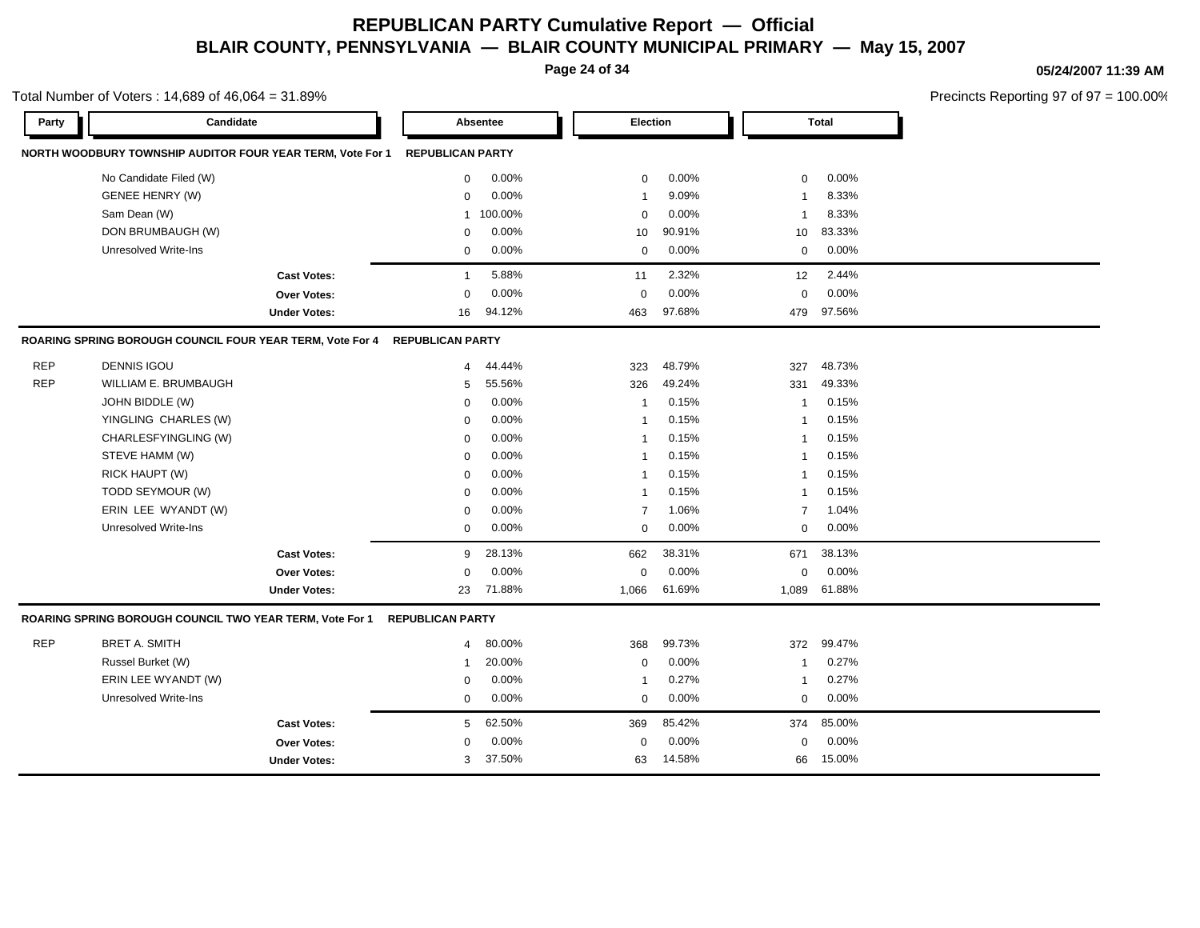**Page 24 of 34**

#### **05/24/2007 11:39 AM**

Precincts Reporting 97 of 97 = 100.00%

| Party      | Candidate                                                  |                     |                         | Absentee  | Election       |        |                | <b>Total</b> |  |
|------------|------------------------------------------------------------|---------------------|-------------------------|-----------|----------------|--------|----------------|--------------|--|
|            | NORTH WOODBURY TOWNSHIP AUDITOR FOUR YEAR TERM, Vote For 1 |                     | <b>REPUBLICAN PARTY</b> |           |                |        |                |              |  |
|            | No Candidate Filed (W)                                     |                     | 0                       | 0.00%     | $\mathbf 0$    | 0.00%  | 0              | 0.00%        |  |
|            | <b>GENEE HENRY (W)</b>                                     |                     | 0                       | 0.00%     | $\mathbf 1$    | 9.09%  | $\mathbf{1}$   | 8.33%        |  |
|            | Sam Dean (W)                                               |                     |                         | 1 100.00% | $\Omega$       | 0.00%  | $\mathbf{1}$   | 8.33%        |  |
|            | DON BRUMBAUGH (W)                                          |                     | $\mathbf 0$             | 0.00%     | 10             | 90.91% | 10             | 83.33%       |  |
|            | <b>Unresolved Write-Ins</b>                                |                     | $\mathbf 0$             | 0.00%     | 0              | 0.00%  | $\mathbf 0$    | 0.00%        |  |
|            |                                                            | <b>Cast Votes:</b>  | $\mathbf{1}$            | 5.88%     | 11             | 2.32%  | 12             | 2.44%        |  |
|            |                                                            | Over Votes:         | $\mathbf 0$             | 0.00%     | $\mathbf 0$    | 0.00%  | $\mathbf 0$    | 0.00%        |  |
|            |                                                            | <b>Under Votes:</b> | 16                      | 94.12%    | 463            | 97.68% | 479            | 97.56%       |  |
|            | ROARING SPRING BOROUGH COUNCIL FOUR YEAR TERM, Vote For 4  |                     | <b>REPUBLICAN PARTY</b> |           |                |        |                |              |  |
| <b>REP</b> | <b>DENNIS IGOU</b>                                         |                     | 4                       | 44.44%    | 323            | 48.79% | 327            | 48.73%       |  |
| <b>REP</b> | WILLIAM E. BRUMBAUGH                                       |                     | 5                       | 55.56%    | 326            | 49.24% | 331            | 49.33%       |  |
|            | JOHN BIDDLE (W)                                            |                     | 0                       | 0.00%     | $\mathbf{1}$   | 0.15%  | $\mathbf{1}$   | 0.15%        |  |
|            | YINGLING CHARLES (W)                                       |                     | 0                       | 0.00%     | $\mathbf{1}$   | 0.15%  | $\mathbf{1}$   | 0.15%        |  |
|            | CHARLESFYINGLING (W)                                       |                     | $\mathbf 0$             | 0.00%     | $\mathbf{1}$   | 0.15%  | $\mathbf{1}$   | 0.15%        |  |
|            | STEVE HAMM (W)                                             |                     | $\mathbf 0$             | 0.00%     | $\overline{1}$ | 0.15%  | $\overline{1}$ | 0.15%        |  |
|            | RICK HAUPT (W)                                             |                     | $\mathbf 0$             | 0.00%     | $\overline{1}$ | 0.15%  | -1             | 0.15%        |  |
|            | TODD SEYMOUR (W)                                           |                     | $\mathbf 0$             | 0.00%     | $\overline{1}$ | 0.15%  | -1             | 0.15%        |  |
|            | ERIN LEE WYANDT (W)                                        |                     | $\mathbf 0$             | 0.00%     | $\overline{7}$ | 1.06%  | $\overline{7}$ | 1.04%        |  |
|            | <b>Unresolved Write-Ins</b>                                |                     | $\mathbf 0$             | 0.00%     | $\Omega$       | 0.00%  | $\mathbf 0$    | 0.00%        |  |
|            |                                                            | <b>Cast Votes:</b>  | 9                       | 28.13%    | 662            | 38.31% | 671            | 38.13%       |  |
|            |                                                            | Over Votes:         | $\mathbf 0$             | 0.00%     | $\mathbf 0$    | 0.00%  | $\mathbf 0$    | 0.00%        |  |
|            |                                                            | <b>Under Votes:</b> | 23                      | 71.88%    | 1,066          | 61.69% | 1,089          | 61.88%       |  |
|            | ROARING SPRING BOROUGH COUNCIL TWO YEAR TERM, Vote For 1   |                     | <b>REPUBLICAN PARTY</b> |           |                |        |                |              |  |
| <b>REP</b> | <b>BRET A. SMITH</b>                                       |                     | 4                       | 80.00%    | 368            | 99.73% | 372            | 99.47%       |  |
|            | Russel Burket (W)                                          |                     | 1                       | 20.00%    | 0              | 0.00%  | $\mathbf{1}$   | 0.27%        |  |
|            | ERIN LEE WYANDT (W)                                        |                     | $\mathbf 0$             | 0.00%     | $\overline{1}$ | 0.27%  | $\mathbf{1}$   | 0.27%        |  |
|            | <b>Unresolved Write-Ins</b>                                |                     | $\mathbf 0$             | 0.00%     | $\Omega$       | 0.00%  | $\mathbf 0$    | 0.00%        |  |
|            |                                                            | <b>Cast Votes:</b>  | 5                       | 62.50%    | 369            | 85.42% | 374            | 85.00%       |  |
|            |                                                            | Over Votes:         | $\mathbf 0$             | 0.00%     | $\mathbf 0$    | 0.00%  | $\mathbf 0$    | 0.00%        |  |
|            |                                                            | <b>Under Votes:</b> | 3                       | 37.50%    | 63             | 14.58% | 66             | 15.00%       |  |
|            |                                                            |                     |                         |           |                |        |                |              |  |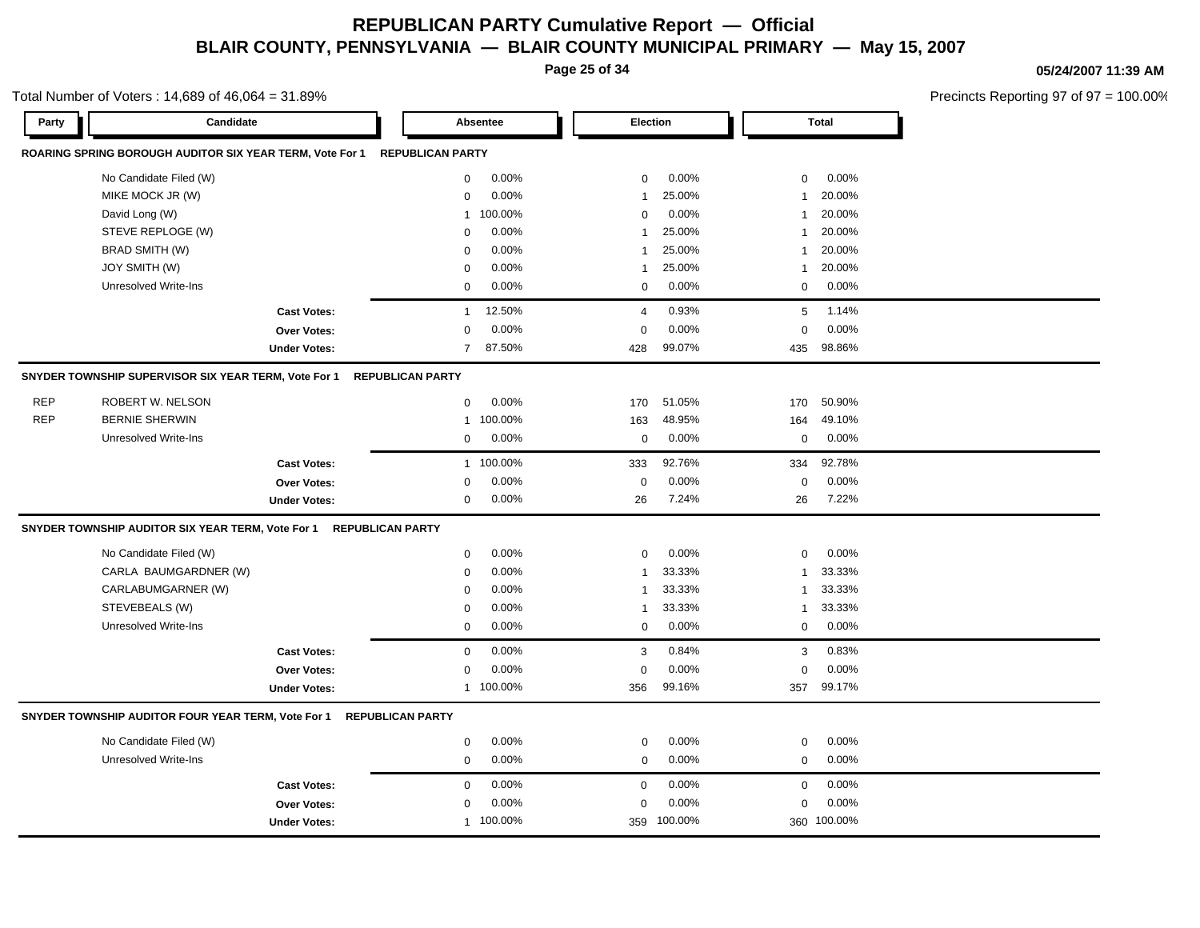**Page 25 of 34**

Total Number of Voters : 14,689 of 46,064 = 31.89%

#### **05/24/2007 11:39 AM**

| Party      | Candidate                                                |                         |                         | Absentee  | Election       |             |              | <b>Total</b> |  |
|------------|----------------------------------------------------------|-------------------------|-------------------------|-----------|----------------|-------------|--------------|--------------|--|
|            | ROARING SPRING BOROUGH AUDITOR SIX YEAR TERM, Vote For 1 |                         | <b>REPUBLICAN PARTY</b> |           |                |             |              |              |  |
|            | No Candidate Filed (W)                                   |                         | 0                       | 0.00%     | $\mathbf 0$    | 0.00%       | $\mathbf 0$  | 0.00%        |  |
|            | MIKE MOCK JR (W)                                         |                         | $\mathbf 0$             | 0.00%     | $\mathbf{1}$   | 25.00%      | 1            | 20.00%       |  |
|            | David Long (W)                                           |                         | 1                       | 100.00%   | $\mathbf 0$    | 0.00%       | 1            | 20.00%       |  |
|            | STEVE REPLOGE (W)                                        |                         | $\mathbf 0$             | 0.00%     | $\overline{1}$ | 25.00%      | 1            | 20.00%       |  |
|            | <b>BRAD SMITH (W)</b>                                    |                         | $\mathbf 0$             | 0.00%     | $\mathbf{1}$   | 25.00%      | $\mathbf{1}$ | 20.00%       |  |
|            | JOY SMITH (W)                                            |                         | $\Omega$                | 0.00%     | $\overline{1}$ | 25.00%      | $\mathbf{1}$ | 20.00%       |  |
|            | <b>Unresolved Write-Ins</b>                              |                         | $\Omega$                | 0.00%     | $\Omega$       | 0.00%       | $\mathbf 0$  | 0.00%        |  |
|            |                                                          | <b>Cast Votes:</b>      | $\mathbf{1}$            | 12.50%    | $\overline{4}$ | 0.93%       | 5            | 1.14%        |  |
|            |                                                          | <b>Over Votes:</b>      | $\mathbf 0$             | 0.00%     | $\mathbf 0$    | 0.00%       | $\mathbf 0$  | 0.00%        |  |
|            |                                                          | <b>Under Votes:</b>     | $\overline{7}$          | 87.50%    | 428            | 99.07%      | 435          | 98.86%       |  |
|            | SNYDER TOWNSHIP SUPERVISOR SIX YEAR TERM, Vote For 1     |                         | <b>REPUBLICAN PARTY</b> |           |                |             |              |              |  |
| <b>REP</b> | ROBERT W. NELSON                                         |                         | 0                       | 0.00%     | 170            | 51.05%      | 170          | 50.90%       |  |
| <b>REP</b> | <b>BERNIE SHERWIN</b>                                    |                         | 1                       | 100.00%   | 163            | 48.95%      | 164          | 49.10%       |  |
|            | Unresolved Write-Ins                                     |                         | $\mathbf 0$             | 0.00%     | $\mathbf 0$    | 0.00%       | $\mathbf 0$  | 0.00%        |  |
|            |                                                          | <b>Cast Votes:</b>      |                         | 1 100.00% | 333            | 92.76%      | 334          | 92.78%       |  |
|            |                                                          | <b>Over Votes:</b>      | 0                       | 0.00%     | $\mathbf 0$    | 0.00%       | $\mathbf 0$  | 0.00%        |  |
|            |                                                          | <b>Under Votes:</b>     | 0                       | 0.00%     | 26             | 7.24%       | 26           | 7.22%        |  |
|            | SNYDER TOWNSHIP AUDITOR SIX YEAR TERM, Vote For 1        | <b>REPUBLICAN PARTY</b> |                         |           |                |             |              |              |  |
|            | No Candidate Filed (W)                                   |                         | 0                       | 0.00%     | $\mathbf 0$    | 0.00%       | $\mathbf 0$  | 0.00%        |  |
|            | CARLA BAUMGARDNER (W)                                    |                         | $\mathbf 0$             | 0.00%     | $\mathbf{1}$   | 33.33%      | $\mathbf{1}$ | 33.33%       |  |
|            | CARLABUMGARNER (W)                                       |                         | $\mathbf 0$             | 0.00%     | $\mathbf{1}$   | 33.33%      | $\mathbf{1}$ | 33.33%       |  |
|            | STEVEBEALS (W)                                           |                         | $\mathbf 0$             | 0.00%     | $\overline{1}$ | 33.33%      | 1            | 33.33%       |  |
|            | <b>Unresolved Write-Ins</b>                              |                         | $\mathbf 0$             | 0.00%     | $\mathbf 0$    | 0.00%       | $\mathbf 0$  | 0.00%        |  |
|            |                                                          | <b>Cast Votes:</b>      | 0                       | 0.00%     | 3              | 0.84%       | 3            | 0.83%        |  |
|            |                                                          | <b>Over Votes:</b>      | $\mathbf 0$             | 0.00%     | $\mathbf 0$    | 0.00%       | $\mathbf 0$  | 0.00%        |  |
|            |                                                          | <b>Under Votes:</b>     |                         | 1 100.00% | 356            | 99.16%      | 357          | 99.17%       |  |
|            | SNYDER TOWNSHIP AUDITOR FOUR YEAR TERM, Vote For 1       | <b>REPUBLICAN PARTY</b> |                         |           |                |             |              |              |  |
|            | No Candidate Filed (W)                                   |                         | 0                       | 0.00%     | $\mathbf 0$    | 0.00%       | $\mathbf 0$  | 0.00%        |  |
|            | <b>Unresolved Write-Ins</b>                              |                         | $\mathbf 0$             | 0.00%     | $\mathbf 0$    | 0.00%       | $\mathbf 0$  | 0.00%        |  |
|            |                                                          | <b>Cast Votes:</b>      | $\Omega$                | 0.00%     | $\mathbf 0$    | 0.00%       | $\mathbf 0$  | 0.00%        |  |
|            |                                                          | Over Votes:             | $\mathbf 0$             | 0.00%     | $\mathbf 0$    | 0.00%       | $\mathbf 0$  | 0.00%        |  |
|            |                                                          | <b>Under Votes:</b>     |                         | 1 100.00% |                | 359 100.00% |              | 360 100.00%  |  |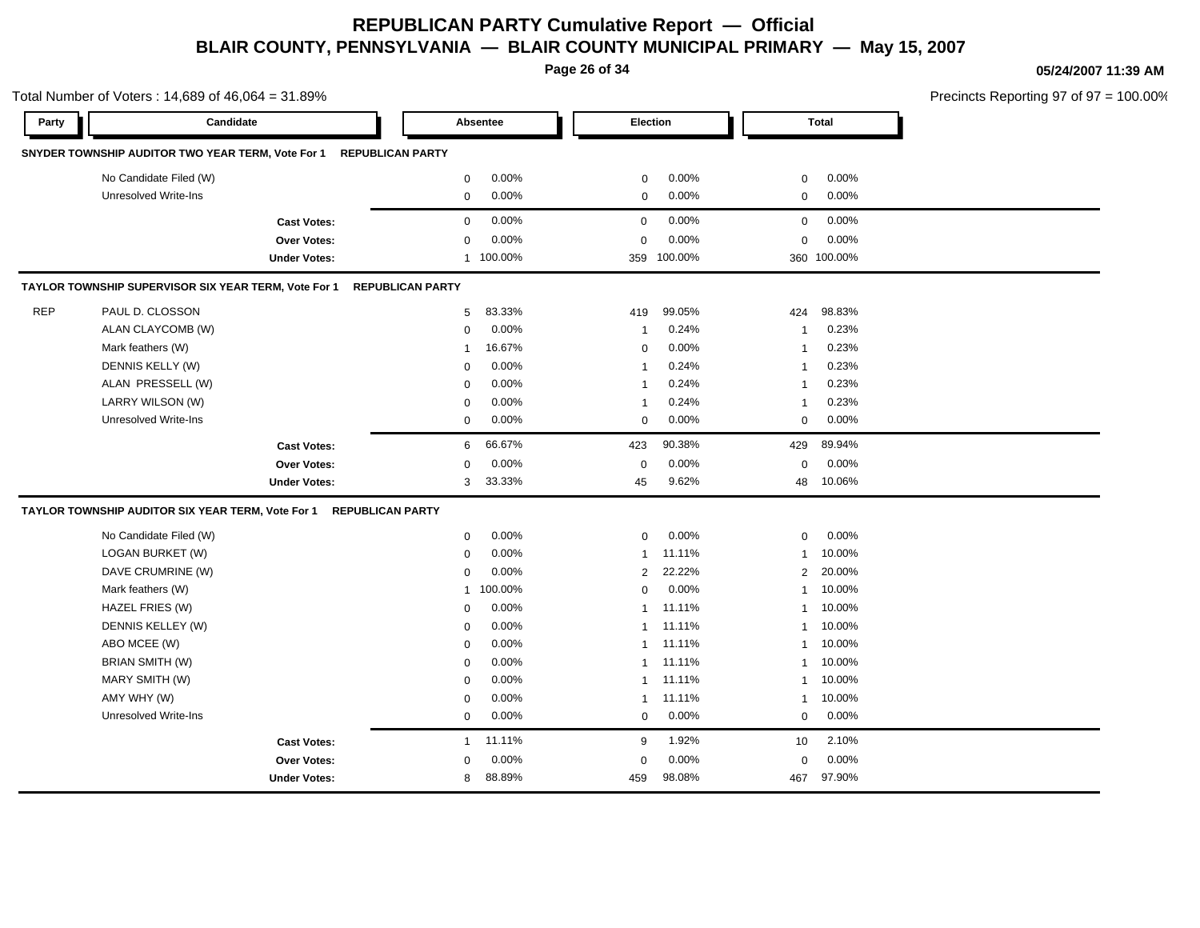**Page 26 of 34**

**05/24/2007 11:39 AM**

|            | Total Number of Voters: 14,689 of 46,064 = 31.89%                  |                         |                |           |                         |             |              |             | Precincts Reporting 97 of 97 = 100.00% |
|------------|--------------------------------------------------------------------|-------------------------|----------------|-----------|-------------------------|-------------|--------------|-------------|----------------------------------------|
| Party      | Candidate                                                          |                         |                | Absentee  | Election                |             |              | Total       |                                        |
|            | SNYDER TOWNSHIP AUDITOR TWO YEAR TERM, Vote For 1 REPUBLICAN PARTY |                         |                |           |                         |             |              |             |                                        |
|            | No Candidate Filed (W)                                             |                         | 0              | 0.00%     | $\mathbf 0$             | 0.00%       | 0            | 0.00%       |                                        |
|            | Unresolved Write-Ins                                               |                         | $\mathbf 0$    | 0.00%     | $\mathbf 0$             | 0.00%       | $\mathbf 0$  | 0.00%       |                                        |
|            | <b>Cast Votes:</b>                                                 |                         | $\mathbf 0$    | 0.00%     | 0                       | 0.00%       | 0            | 0.00%       |                                        |
|            | Over Votes:                                                        |                         | $\mathbf 0$    | 0.00%     | $\mathbf 0$             | 0.00%       | $\mathbf 0$  | 0.00%       |                                        |
|            | <b>Under Votes:</b>                                                |                         |                | 1 100.00% |                         | 359 100.00% |              | 360 100.00% |                                        |
|            | TAYLOR TOWNSHIP SUPERVISOR SIX YEAR TERM, Vote For 1               | <b>REPUBLICAN PARTY</b> |                |           |                         |             |              |             |                                        |
| <b>REP</b> | PAUL D. CLOSSON                                                    |                         | 5              | 83.33%    | 419                     | 99.05%      | 424          | 98.83%      |                                        |
|            | ALAN CLAYCOMB (W)                                                  |                         | 0              | 0.00%     | $\overline{1}$          | 0.24%       | $\mathbf{1}$ | 0.23%       |                                        |
|            | Mark feathers (W)                                                  |                         | $\overline{1}$ | 16.67%    | $\mathbf 0$             | 0.00%       | $\mathbf{1}$ | 0.23%       |                                        |
|            | DENNIS KELLY (W)                                                   |                         | $\mathbf 0$    | 0.00%     | -1                      | 0.24%       | $\mathbf{1}$ | 0.23%       |                                        |
|            | ALAN PRESSELL (W)                                                  |                         | $\mathbf 0$    | 0.00%     | -1                      | 0.24%       | 1            | 0.23%       |                                        |
|            | LARRY WILSON (W)                                                   |                         | 0              | 0.00%     | $\overline{\mathbf{1}}$ | 0.24%       | $\mathbf{1}$ | 0.23%       |                                        |
|            | Unresolved Write-Ins                                               |                         | 0              | 0.00%     | $\mathbf 0$             | 0.00%       | $\mathbf 0$  | 0.00%       |                                        |
|            | <b>Cast Votes:</b>                                                 |                         | 6              | 66.67%    | 423                     | 90.38%      | 429          | 89.94%      |                                        |
|            | Over Votes:                                                        |                         | $\mathbf 0$    | 0.00%     | $\mathbf 0$             | 0.00%       | $\mathbf 0$  | 0.00%       |                                        |
|            | <b>Under Votes:</b>                                                |                         | 3              | 33.33%    | 45                      | 9.62%       | 48           | 10.06%      |                                        |
|            | TAYLOR TOWNSHIP AUDITOR SIX YEAR TERM, Vote For 1                  | <b>REPUBLICAN PARTY</b> |                |           |                         |             |              |             |                                        |
|            | No Candidate Filed (W)                                             |                         | 0              | 0.00%     | 0                       | 0.00%       | 0            | 0.00%       |                                        |
|            | LOGAN BURKET (W)                                                   |                         | 0              | 0.00%     | -1                      | 11.11%      | $\mathbf{1}$ | 10.00%      |                                        |
|            | DAVE CRUMRINE (W)                                                  |                         | $\mathbf 0$    | 0.00%     | $\overline{2}$          | 22.22%      | 2            | 20.00%      |                                        |
|            | Mark feathers (W)                                                  |                         | $\mathbf{1}$   | 100.00%   | $\mathbf 0$             | 0.00%       | $\mathbf{1}$ | 10.00%      |                                        |
|            | HAZEL FRIES (W)                                                    |                         | $\mathbf 0$    | 0.00%     | $\overline{1}$          | 11.11%      | $\mathbf{1}$ | 10.00%      |                                        |
|            | DENNIS KELLEY (W)                                                  |                         | $\mathbf 0$    | 0.00%     | -1                      | 11.11%      | $\mathbf{1}$ | 10.00%      |                                        |
|            | ABO MCEE (W)                                                       |                         | $\mathbf 0$    | 0.00%     | -1                      | 11.11%      | $\mathbf{1}$ | 10.00%      |                                        |
|            | BRIAN SMITH (W)                                                    |                         | 0              | 0.00%     | $\mathbf{1}$            | 11.11%      | $\mathbf{1}$ | 10.00%      |                                        |
|            | MARY SMITH (W)                                                     |                         | $\mathbf 0$    | 0.00%     | 1                       | 11.11%      | $\mathbf{1}$ | 10.00%      |                                        |
|            | AMY WHY (W)                                                        |                         | $\mathbf 0$    | 0.00%     | -1                      | 11.11%      | 1            | 10.00%      |                                        |
|            | Unresolved Write-Ins                                               |                         | $\mathbf 0$    | 0.00%     | $\mathbf 0$             | 0.00%       | $\mathbf 0$  | 0.00%       |                                        |
|            | <b>Cast Votes:</b>                                                 |                         | $\overline{1}$ | 11.11%    | 9                       | 1.92%       | 10           | 2.10%       |                                        |
|            | Over Votes:                                                        |                         | $\mathbf 0$    | 0.00%     | 0                       | 0.00%       | 0            | 0.00%       |                                        |
|            | <b>Under Votes:</b>                                                |                         | 8              | 88.89%    | 459                     | 98.08%      | 467          | 97.90%      |                                        |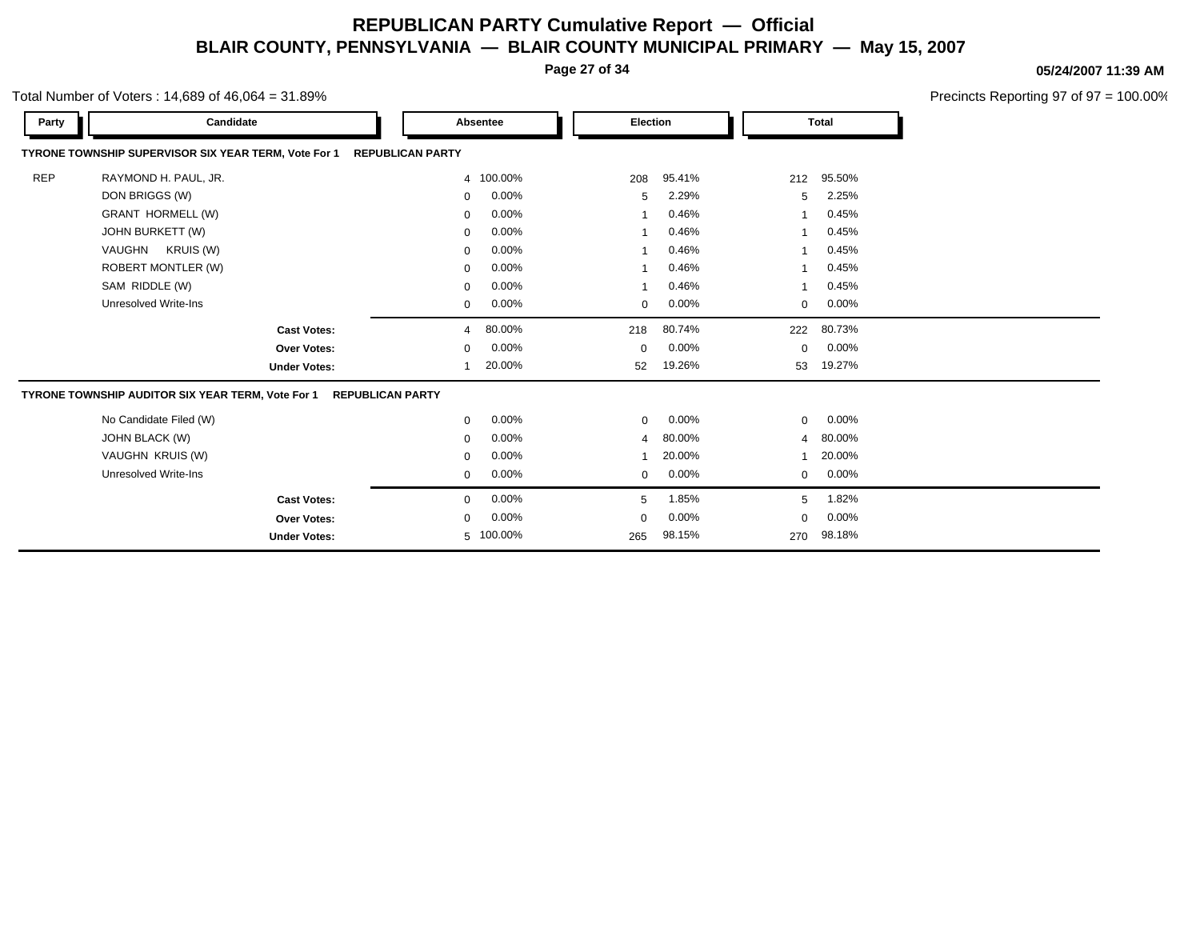**Page 27 of 34**

**05/24/2007 11:39 AM**

|            | otal Number of Voters: $14,689$ of $46,064 = 31.89\%$                           |                         |           | Precincts Reporting 97 of 97 = 100.00% |        |                |              |  |  |  |  |  |  |
|------------|---------------------------------------------------------------------------------|-------------------------|-----------|----------------------------------------|--------|----------------|--------------|--|--|--|--|--|--|
| Party      | Candidate                                                                       |                         | Absentee  | <b>Election</b>                        |        |                | <b>Total</b> |  |  |  |  |  |  |
|            | TYRONE TOWNSHIP SUPERVISOR SIX YEAR TERM, Vote For 1<br><b>REPUBLICAN PARTY</b> |                         |           |                                        |        |                |              |  |  |  |  |  |  |
| <b>REP</b> | RAYMOND H. PAUL, JR.                                                            |                         | 4 100.00% | 208                                    | 95.41% | 212            | 95.50%       |  |  |  |  |  |  |
|            | DON BRIGGS (W)                                                                  | 0                       | 0.00%     | 5                                      | 2.29%  | 5              | 2.25%        |  |  |  |  |  |  |
|            | <b>GRANT HORMELL (W)</b>                                                        | 0                       | 0.00%     |                                        | 0.46%  | 1              | 0.45%        |  |  |  |  |  |  |
|            | JOHN BURKETT (W)                                                                | 0                       | 0.00%     |                                        | 0.46%  |                | 0.45%        |  |  |  |  |  |  |
|            | VAUGHN KRUIS (W)                                                                | 0                       | 0.00%     |                                        | 0.46%  |                | 0.45%        |  |  |  |  |  |  |
|            | <b>ROBERT MONTLER (W)</b>                                                       | 0                       | 0.00%     |                                        | 0.46%  |                | 0.45%        |  |  |  |  |  |  |
|            | SAM RIDDLE (W)                                                                  | 0                       | 0.00%     |                                        | 0.46%  | 1              | 0.45%        |  |  |  |  |  |  |
|            | <b>Unresolved Write-Ins</b>                                                     | 0                       | 0.00%     | 0                                      | 0.00%  | 0              | 0.00%        |  |  |  |  |  |  |
|            | <b>Cast Votes:</b>                                                              | 4                       | 80.00%    | 218                                    | 80.74% | 222            | 80.73%       |  |  |  |  |  |  |
|            | Over Votes:                                                                     | 0                       | 0.00%     | 0                                      | 0.00%  | 0              | 0.00%        |  |  |  |  |  |  |
|            | <b>Under Votes:</b>                                                             |                         | 20.00%    | 52                                     | 19.26% | 53             | 19.27%       |  |  |  |  |  |  |
|            | TYRONE TOWNSHIP AUDITOR SIX YEAR TERM, Vote For 1                               | <b>REPUBLICAN PARTY</b> |           |                                        |        |                |              |  |  |  |  |  |  |
|            | No Candidate Filed (W)                                                          | 0                       | 0.00%     | $\mathbf 0$                            | 0.00%  | 0              | 0.00%        |  |  |  |  |  |  |
|            | JOHN BLACK (W)                                                                  | 0                       | 0.00%     | 4                                      | 80.00% | $\overline{4}$ | 80.00%       |  |  |  |  |  |  |
|            | VAUGHN KRUIS (W)                                                                | 0                       | 0.00%     |                                        | 20.00% |                | 20.00%       |  |  |  |  |  |  |
|            | <b>Unresolved Write-Ins</b>                                                     | 0                       | 0.00%     | 0                                      | 0.00%  | 0              | 0.00%        |  |  |  |  |  |  |
|            | <b>Cast Votes:</b>                                                              | 0                       | 0.00%     | 5                                      | 1.85%  | 5              | 1.82%        |  |  |  |  |  |  |
|            | <b>Over Votes:</b>                                                              | 0                       | 0.00%     | $\mathbf 0$                            | 0.00%  | 0              | 0.00%        |  |  |  |  |  |  |
|            | <b>Under Votes:</b>                                                             |                         | 5 100.00% | 265                                    | 98.15% | 270            | 98.18%       |  |  |  |  |  |  |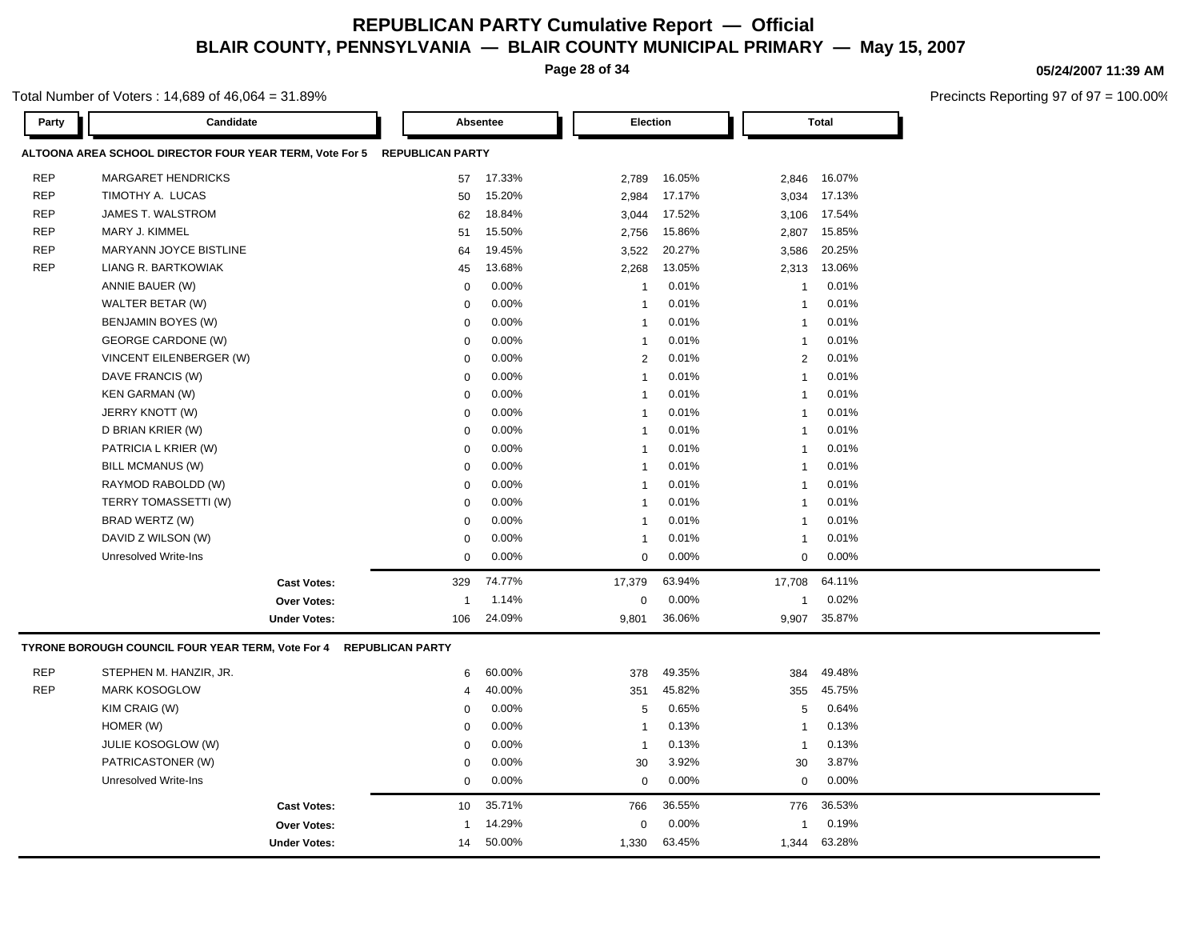**Page 28 of 34**

### Total Number of Voters : 14,689 of 46,064 = 31.89%

| Party      | Candidate                                                                |                         | Absentee |                | Election |                | <b>Total</b> |  |
|------------|--------------------------------------------------------------------------|-------------------------|----------|----------------|----------|----------------|--------------|--|
|            | ALTOONA AREA SCHOOL DIRECTOR FOUR YEAR TERM, Vote For 5 REPUBLICAN PARTY |                         |          |                |          |                |              |  |
| <b>REP</b> | <b>MARGARET HENDRICKS</b>                                                | 57                      | 17.33%   | 2,789          | 16.05%   | 2,846          | 16.07%       |  |
| <b>REP</b> | TIMOTHY A. LUCAS                                                         | 50                      | 15.20%   | 2,984          | 17.17%   | 3,034          | 17.13%       |  |
| <b>REP</b> | <b>JAMES T. WALSTROM</b>                                                 | 62                      | 18.84%   | 3,044          | 17.52%   | 3,106          | 17.54%       |  |
| <b>REP</b> | MARY J. KIMMEL                                                           | 51                      | 15.50%   | 2,756          | 15.86%   | 2,807          | 15.85%       |  |
| <b>REP</b> | MARYANN JOYCE BISTLINE                                                   | 64                      | 19.45%   | 3,522          | 20.27%   | 3,586          | 20.25%       |  |
| <b>REP</b> | LIANG R. BARTKOWIAK                                                      | 45                      | 13.68%   | 2,268          | 13.05%   | 2,313          | 13.06%       |  |
|            | ANNIE BAUER (W)                                                          | $\mathbf 0$             | 0.00%    | -1             | 0.01%    | $\overline{1}$ | 0.01%        |  |
|            | WALTER BETAR (W)                                                         | $\mathbf 0$             | 0.00%    | -1             | 0.01%    | $\overline{1}$ | 0.01%        |  |
|            | <b>BENJAMIN BOYES (W)</b>                                                | $\mathbf 0$             | 0.00%    | $\mathbf{1}$   | 0.01%    | $\overline{1}$ | 0.01%        |  |
|            | GEORGE CARDONE (W)                                                       | $\Omega$                | 0.00%    | $\mathbf{1}$   | 0.01%    | $\overline{1}$ | 0.01%        |  |
|            | VINCENT EILENBERGER (W)                                                  | $\mathbf 0$             | 0.00%    | $\overline{2}$ | 0.01%    | $\overline{2}$ | 0.01%        |  |
|            | DAVE FRANCIS (W)                                                         | $\mathbf 0$             | 0.00%    | $\mathbf{1}$   | 0.01%    | $\overline{1}$ | 0.01%        |  |
|            | <b>KEN GARMAN (W)</b>                                                    | $\mathbf 0$             | 0.00%    | $\mathbf{1}$   | 0.01%    | $\overline{1}$ | 0.01%        |  |
|            | JERRY KNOTT (W)                                                          | $\mathbf 0$             | 0.00%    | $\mathbf{1}$   | 0.01%    | $\mathbf{1}$   | 0.01%        |  |
|            | D BRIAN KRIER (W)                                                        | $\mathbf 0$             | 0.00%    | $\mathbf{1}$   | 0.01%    | $\overline{1}$ | 0.01%        |  |
|            | PATRICIA L KRIER (W)                                                     | $\mathbf 0$             | 0.00%    | $\mathbf{1}$   | 0.01%    | $\overline{1}$ | 0.01%        |  |
|            | <b>BILL MCMANUS (W)</b>                                                  | $\mathbf 0$             | 0.00%    | $\mathbf{1}$   | 0.01%    | $\overline{1}$ | 0.01%        |  |
|            | RAYMOD RABOLDD (W)                                                       | $\mathbf 0$             | 0.00%    | $\mathbf{1}$   | 0.01%    | $\overline{1}$ | 0.01%        |  |
|            | TERRY TOMASSETTI (W)                                                     | $\Omega$                | 0.00%    | $\mathbf{1}$   | 0.01%    | $\overline{1}$ | 0.01%        |  |
|            | BRAD WERTZ (W)                                                           | $\mathbf 0$             | 0.00%    | $\mathbf{1}$   | 0.01%    | $\overline{1}$ | 0.01%        |  |
|            | DAVID Z WILSON (W)                                                       | $\mathbf 0$             | 0.00%    | $\mathbf{1}$   | 0.01%    | $\overline{1}$ | 0.01%        |  |
|            | <b>Unresolved Write-Ins</b>                                              | $\mathbf 0$             | 0.00%    | $\mathbf 0$    | 0.00%    | $\Omega$       | 0.00%        |  |
|            | <b>Cast Votes:</b>                                                       | 329                     | 74.77%   | 17,379         | 63.94%   | 17,708         | 64.11%       |  |
|            | <b>Over Votes:</b>                                                       | $\overline{1}$          | 1.14%    | 0              | 0.00%    | $\mathbf{1}$   | 0.02%        |  |
|            | <b>Under Votes:</b>                                                      | 106                     | 24.09%   | 9,801          | 36.06%   | 9,907          | 35.87%       |  |
|            | TYRONE BOROUGH COUNCIL FOUR YEAR TERM, Vote For 4                        | <b>REPUBLICAN PARTY</b> |          |                |          |                |              |  |
| <b>REP</b> | STEPHEN M. HANZIR, JR.                                                   | 6                       | 60.00%   | 378            | 49.35%   | 384            | 49.48%       |  |
| <b>REP</b> | <b>MARK KOSOGLOW</b>                                                     | $\overline{4}$          | 40.00%   | 351            | 45.82%   | 355            | 45.75%       |  |
|            | KIM CRAIG (W)                                                            | $\mathbf 0$             | 0.00%    | 5              | 0.65%    | 5              | 0.64%        |  |
|            | HOMER (W)                                                                | $\mathbf 0$             | 0.00%    | $\mathbf{1}$   | 0.13%    | $\overline{1}$ | 0.13%        |  |
|            | <b>JULIE KOSOGLOW (W)</b>                                                | $\mathbf 0$             | 0.00%    | $\mathbf{1}$   | 0.13%    | $\overline{1}$ | 0.13%        |  |
|            | PATRICASTONER (W)                                                        | $\mathbf 0$             | 0.00%    | 30             | 3.92%    | 30             | 3.87%        |  |
|            | <b>Unresolved Write-Ins</b>                                              | $\mathbf 0$             | 0.00%    | $\mathbf 0$    | 0.00%    | $\mathbf 0$    | 0.00%        |  |
|            | <b>Cast Votes:</b>                                                       | 10                      | 35.71%   | 766            | 36.55%   | 776            | 36.53%       |  |
|            | <b>Over Votes:</b>                                                       | $\overline{1}$          | 14.29%   | $\mathbf 0$    | 0.00%    | -1             | 0.19%        |  |
|            | <b>Under Votes:</b>                                                      | 14                      | 50.00%   | 1,330          | 63.45%   | 1,344          | 63.28%       |  |

**05/24/2007 11:39 AM**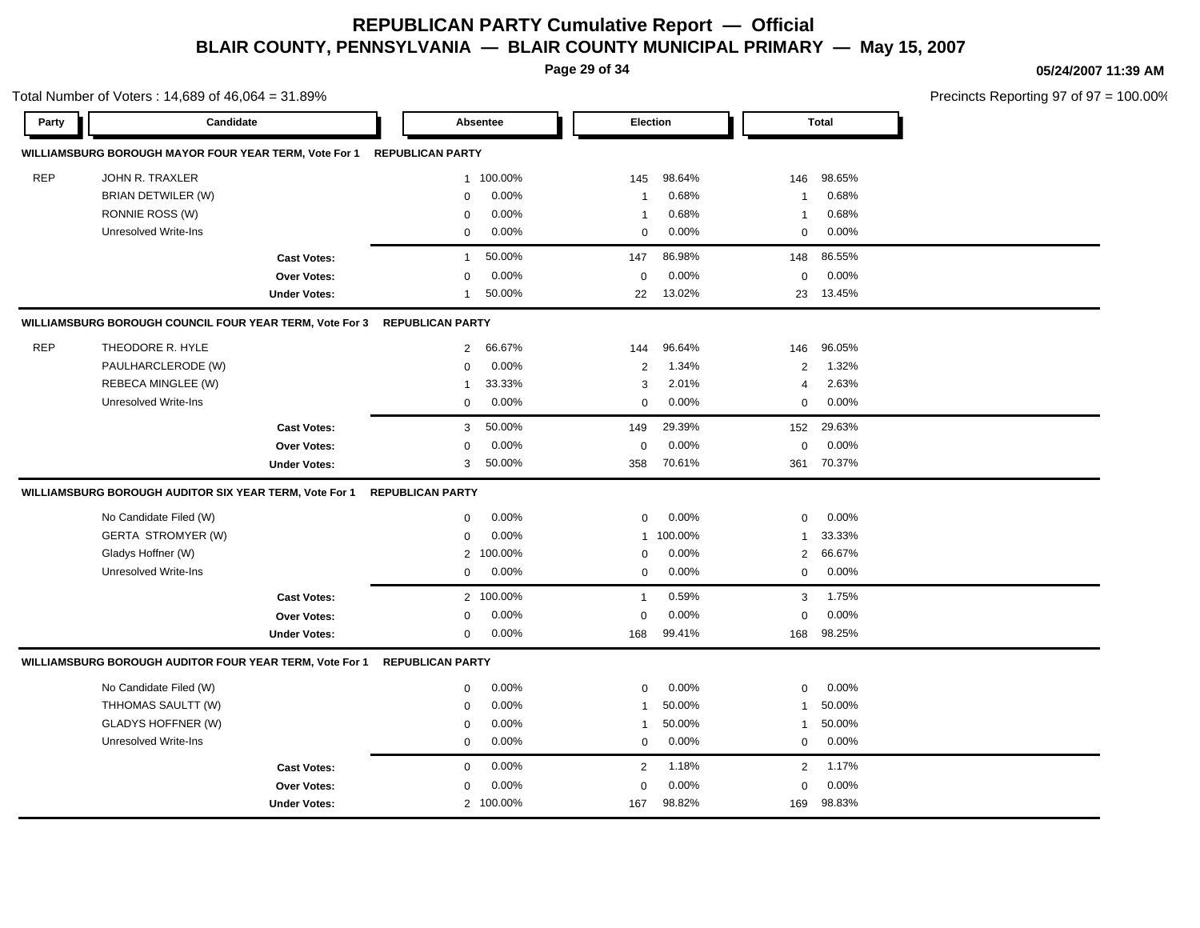**Page 29 of 34**

Total Number of Voters : 14,689 of 46,064 = 31.89%

#### **05/24/2007 11:39 AM**

| Party      | Candidate                                               |                     |                         | Absentee                  |                | Election |                | <b>Total</b> |
|------------|---------------------------------------------------------|---------------------|-------------------------|---------------------------|----------------|----------|----------------|--------------|
|            | WILLIAMSBURG BOROUGH MAYOR FOUR YEAR TERM, Vote For 1   |                     | <b>REPUBLICAN PARTY</b> |                           |                |          |                |              |
| <b>REP</b> | JOHN R. TRAXLER                                         |                     |                         | 1 100.00%                 | 145            | 98.64%   | 146            | 98.65%       |
|            | BRIAN DETWILER (W)                                      |                     | $\mathbf 0$             | 0.00%                     | $\overline{1}$ | 0.68%    | $\overline{1}$ | 0.68%        |
|            | RONNIE ROSS (W)                                         |                     | $\mathbf 0$             | 0.00%                     | $\overline{1}$ | 0.68%    | $\mathbf{1}$   | 0.68%        |
|            | Unresolved Write-Ins                                    |                     | $\mathbf 0$             | $0.00\%$                  | 0              | $0.00\%$ | $\mathbf 0$    | 0.00%        |
|            |                                                         | <b>Cast Votes:</b>  | $\mathbf{1}$            | 50.00%                    | 147            | 86.98%   | 148            | 86.55%       |
|            |                                                         | Over Votes:         | $\mathbf 0$             | 0.00%                     | $\mathbf 0$    | 0.00%    | $\mathbf 0$    | 0.00%        |
|            |                                                         | <b>Under Votes:</b> | $\mathbf{1}$            | 50.00%                    | 22             | 13.02%   | 23             | 13.45%       |
|            | WILLIAMSBURG BOROUGH COUNCIL FOUR YEAR TERM, Vote For 3 |                     | <b>REPUBLICAN PARTY</b> |                           |                |          |                |              |
| <b>REP</b> | THEODORE R. HYLE                                        |                     |                         | 66.67%<br>$\overline{2}$  | 144            | 96.64%   | 146            | 96.05%       |
|            | PAULHARCLERODE (W)                                      |                     | $\Omega$                | 0.00%                     | 2              | 1.34%    | 2              | 1.32%        |
|            | REBECA MINGLEE (W)                                      |                     | $\mathbf{1}$            | 33.33%                    | 3              | 2.01%    | $\overline{4}$ | 2.63%        |
|            | Unresolved Write-Ins                                    |                     | 0                       | 0.00%                     | 0              | 0.00%    | 0              | 0.00%        |
|            |                                                         | <b>Cast Votes:</b>  |                         | 3<br>50.00%               | 149            | 29.39%   | 152            | 29.63%       |
|            |                                                         | <b>Over Votes:</b>  | $\mathbf 0$             | 0.00%                     | $\mathbf 0$    | 0.00%    | $\mathbf 0$    | 0.00%        |
|            |                                                         | <b>Under Votes:</b> | 3                       | 50.00%                    | 358            | 70.61%   | 361            | 70.37%       |
|            | WILLIAMSBURG BOROUGH AUDITOR SIX YEAR TERM, Vote For 1  |                     | <b>REPUBLICAN PARTY</b> |                           |                |          |                |              |
|            | No Candidate Filed (W)                                  |                     | 0                       | 0.00%                     | 0              | 0.00%    | 0              | 0.00%        |
|            | <b>GERTA STROMYER (W)</b>                               |                     | $\mathbf 0$             | 0.00%                     | $\mathbf{1}$   | 100.00%  | 1              | 33.33%       |
|            | Gladys Hoffner (W)                                      |                     |                         | 100.00%<br>$\overline{2}$ | 0              | 0.00%    | 2              | 66.67%       |
|            | Unresolved Write-Ins                                    |                     | 0                       | 0.00%                     | 0              | 0.00%    | $\mathbf 0$    | 0.00%        |
|            |                                                         | <b>Cast Votes:</b>  |                         | 2 100.00%                 | $\mathbf{1}$   | 0.59%    | 3              | 1.75%        |
|            |                                                         | <b>Over Votes:</b>  | $\mathbf 0$             | 0.00%                     | $\mathbf 0$    | 0.00%    | $\mathbf 0$    | 0.00%        |
|            |                                                         | <b>Under Votes:</b> | $\mathbf 0$             | 0.00%                     | 168            | 99.41%   | 168            | 98.25%       |
|            | WILLIAMSBURG BOROUGH AUDITOR FOUR YEAR TERM, Vote For 1 |                     | <b>REPUBLICAN PARTY</b> |                           |                |          |                |              |
|            | No Candidate Filed (W)                                  |                     | 0                       | 0.00%                     | 0              | $0.00\%$ | $\mathbf 0$    | 0.00%        |
|            | THHOMAS SAULTT (W)                                      |                     | $\mathbf 0$             | 0.00%                     | $\overline{1}$ | 50.00%   | $\mathbf{1}$   | 50.00%       |
|            | <b>GLADYS HOFFNER (W)</b>                               |                     | $\mathbf 0$             | 0.00%                     | $\overline{1}$ | 50.00%   | $\mathbf{1}$   | 50.00%       |
|            | Unresolved Write-Ins                                    |                     | 0                       | 0.00%                     | 0              | 0.00%    | 0              | 0.00%        |
|            |                                                         | <b>Cast Votes:</b>  | $\mathbf 0$             | 0.00%                     | 2              | 1.18%    | $\overline{2}$ | 1.17%        |
|            |                                                         | <b>Over Votes:</b>  | $\mathbf 0$             | 0.00%                     | $\mathbf 0$    | 0.00%    | $\mathbf 0$    | 0.00%        |
|            |                                                         | <b>Under Votes:</b> |                         | 2 100.00%                 | 167            | 98.82%   | 169            | 98.83%       |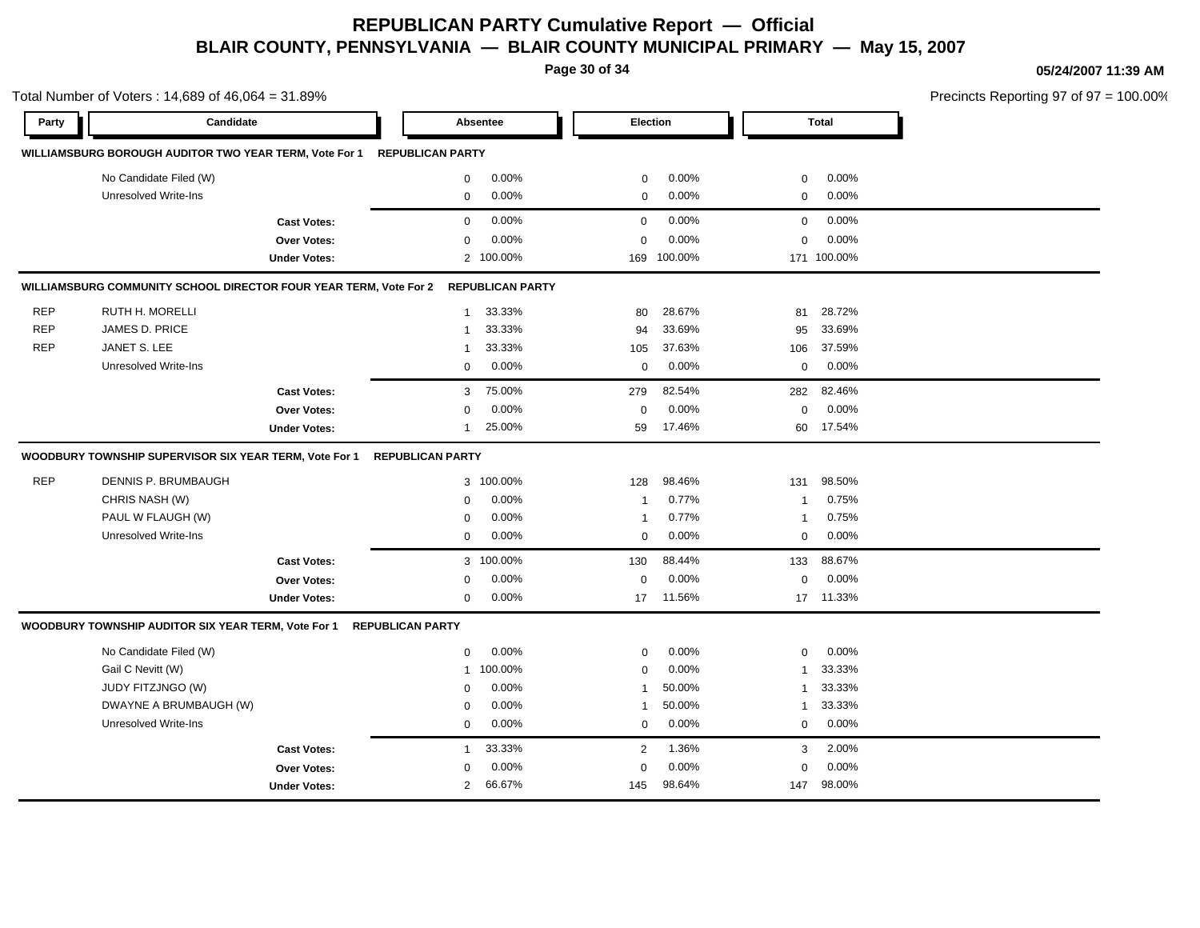**Page 30 of 34**

**05/24/2007 11:39 AM**

Total Number of Voters : 14,689 of 46,064 = 31.89% Precincts Reporting 97 of 97 = 100.00% **Party Candidate Absentee Election Total WILLIAMSBURG BOROUGH AUDITOR TWO YEAR TERM, Vote For 1 REPUBLICAN PARTY** No Candidate Filed (W)  $0.00\%$  0.00% 0 0.00% 0 0.00% 0 0.00% Unresolved Write-Ins 0 0.00% 0 0.00% 0 0.00% **Cast Votes:** 0 0.00% 0 0.00% 0 0.00% **Over Votes:** 0 0.00% Under Votes: 2 100.00% 0.00% 0 169 100.00% 169 171 100.00% 100.00% 0.00% 0 0.00% **WILLIAMSBURG COMMUNITY SCHOOL DIRECTOR FOUR YEAR TERM, Vote For 2 REPUBLICAN PARTY** REP RUTH H. MORELLI 1 33.33% 80 28.67% 81 28.72% REP JAMES D. PRICE 1 33.33% 94 33.69% 95 33.69% REP JANET S. LEE 1 33.33% 105 37.63% 106 37.59% Unresolved Write-Ins 0 0.00% 0 0.00% 0 0.00% **Cast Votes:** 3 75.00% 279 82.54% 282 82.46% **Over Votes:** 0 0.00% Under Votes: 1 25.00% 0.00% 0 59 17.46% 59 60 17.46% 17.54% 0.00% 0 0.00% **WOODBURY TOWNSHIP SUPERVISOR SIX YEAR TERM, Vote For 1 REPUBLICAN PARTY** REP DENNIS P. BRUMBAUGH 3 100.00% 128 98.46% 131 98.50% CHRIS NASH (W) 0 0.00% 1 0.77% 1 0.75% PAUL W FLAUGH (W)  $0.00\%$  1 0.77% 1 0.75% Unresolved Write-Ins  $0$  0.00%  $0$  0.00%  $0$  0.00%  $0$  0.00%  $0$  0.00%  $0$  0.00%  $0$  0.00%  $0$  0.00%  $0$  0.00%  $0$  0.00%  $0$  0.00%  $0$  0.00%  $0$  0.00%  $0$  0.00%  $0$  0.00%  $0$  0.00%  $0$  0.00%  $0$  0.00%  $0$  0.00%  $0$  0.00% **Cast Votes:** 3 100.00% 130 88.44% 133 88.67% **Over Votes:** 0 0.00% **Under Votes:** 0 0.00% 0 17 11.56% 17 17 11.56% 11.33% 0.00% 0 0.00% **WOODBURY TOWNSHIP AUDITOR SIX YEAR TERM, Vote For 1 REPUBLICAN PARTY** No Candidate Filed (W)  $0.00\%$  0.00% 0 0.00% 0 0.00% 0 0.00% Gail C Nevitt (W) 1 100.00% 0 0.00% 1 33.33% JUDY FITZJNGO (W) 0 0.00% 1 50.00% 1 33.33% DWAYNE A BRUMBAUGH (W) 0 0.00% 1 50.00% 1 33.33% Unresolved Write-Ins 0 0.00% 0 0.00% 0 0.00% **Cast Votes:** 1 33.33% 2 1.36% 3 2.00% **Over Votes:** 0 0.00% Under Votes: 2 66.67% 0.00% 0 66.67% 145 147 0.00% 0 98.64% 98.00%0.00%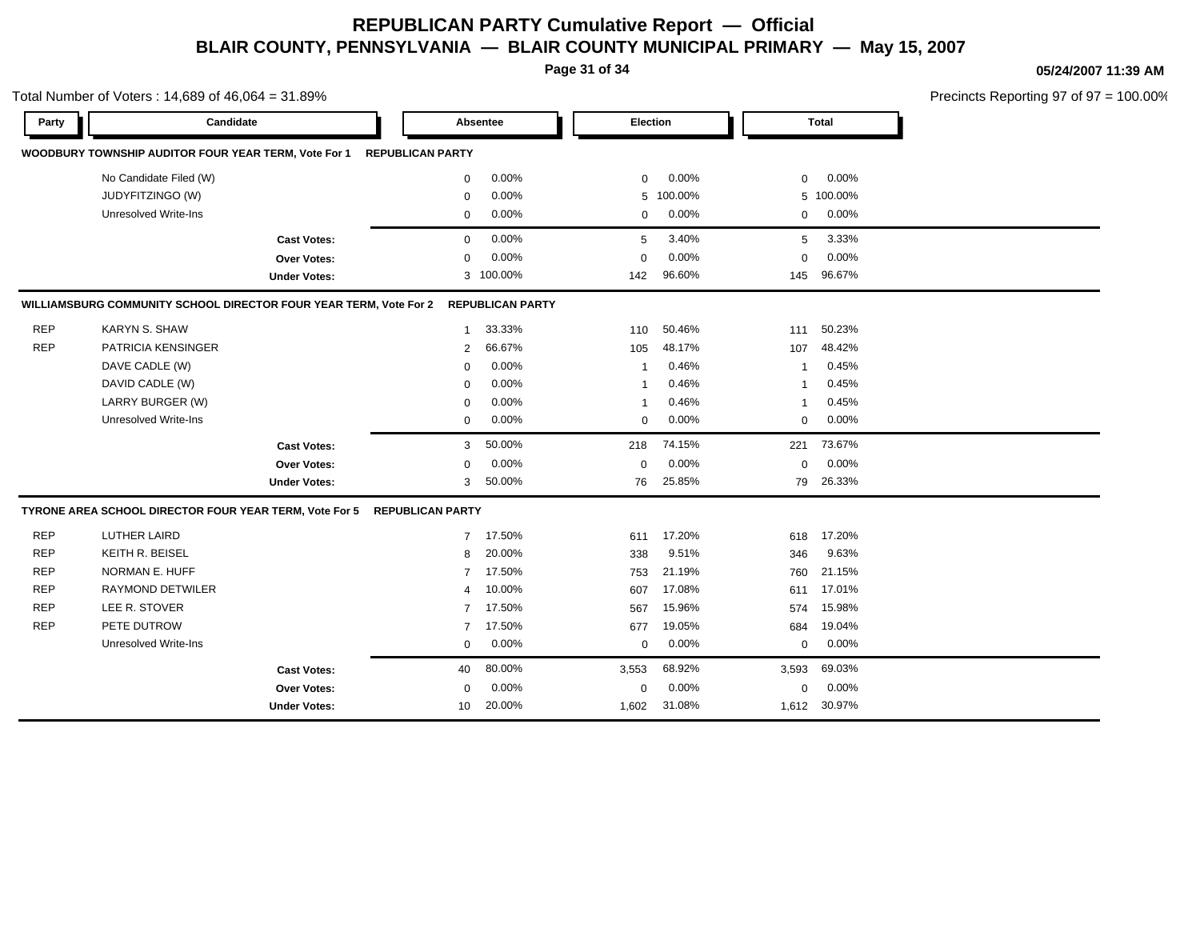**Page 31 of 34**

Total Number of Voters : 14,689 of 46,064 = 31.89%

#### **05/24/2007 11:39 AM**

| Party      | Candidate                                                         |                     |                         | Absentee                | Election     |          |             | <b>Total</b> |
|------------|-------------------------------------------------------------------|---------------------|-------------------------|-------------------------|--------------|----------|-------------|--------------|
|            | WOODBURY TOWNSHIP AUDITOR FOUR YEAR TERM, Vote For 1              |                     | <b>REPUBLICAN PARTY</b> |                         |              |          |             |              |
|            | No Candidate Filed (W)                                            |                     | $\mathbf 0$             | 0.00%                   | $\mathbf 0$  | 0.00%    | $\mathbf 0$ | 0.00%        |
|            | JUDYFITZINGO (W)                                                  |                     | $\mathbf 0$             | 0.00%                   | 5            | 100.00%  |             | 5 100.00%    |
|            | <b>Unresolved Write-Ins</b>                                       |                     | 0                       | 0.00%                   | $\mathbf 0$  | 0.00%    | $\mathbf 0$ | 0.00%        |
|            |                                                                   | <b>Cast Votes:</b>  | $\mathbf 0$             | 0.00%                   | 5            | 3.40%    | 5           | 3.33%        |
|            |                                                                   | <b>Over Votes:</b>  | $\mathbf 0$             | 0.00%                   | $\mathbf 0$  | 0.00%    | $\mathbf 0$ | 0.00%        |
|            |                                                                   | <b>Under Votes:</b> |                         | 3 100.00%               | 142          | 96.60%   | 145         | 96.67%       |
|            | WILLIAMSBURG COMMUNITY SCHOOL DIRECTOR FOUR YEAR TERM, Vote For 2 |                     |                         | <b>REPUBLICAN PARTY</b> |              |          |             |              |
| <b>REP</b> | <b>KARYN S. SHAW</b>                                              |                     | $\mathbf{1}$            | 33.33%                  | 110          | 50.46%   | 111         | 50.23%       |
| <b>REP</b> | <b>PATRICIA KENSINGER</b>                                         |                     | 2                       | 66.67%                  | 105          | 48.17%   | 107         | 48.42%       |
|            | DAVE CADLE (W)                                                    |                     | $\mathbf 0$             | 0.00%                   | $\mathbf{1}$ | 0.46%    | -1          | 0.45%        |
|            | DAVID CADLE (W)                                                   |                     | $\mathbf 0$             | 0.00%                   | $\mathbf 1$  | 0.46%    | -1          | 0.45%        |
|            | LARRY BURGER (W)                                                  |                     | $\mathbf 0$             | $0.00\%$                | $\mathbf{1}$ | 0.46%    | 1           | 0.45%        |
|            | Unresolved Write-Ins                                              |                     | $\mathbf 0$             | 0.00%                   | $\mathbf 0$  | 0.00%    | 0           | 0.00%        |
|            |                                                                   | <b>Cast Votes:</b>  | 3                       | 50.00%                  | 218          | 74.15%   | 221         | 73.67%       |
|            |                                                                   | Over Votes:         | $\mathbf 0$             | 0.00%                   | $\mathbf 0$  | 0.00%    | $\mathbf 0$ | 0.00%        |
|            |                                                                   | <b>Under Votes:</b> | 3                       | 50.00%                  | 76           | 25.85%   | 79          | 26.33%       |
|            | TYRONE AREA SCHOOL DIRECTOR FOUR YEAR TERM, Vote For 5            |                     | <b>REPUBLICAN PARTY</b> |                         |              |          |             |              |
| <b>REP</b> | <b>LUTHER LAIRD</b>                                               |                     | $\overline{7}$          | 17.50%                  | 611          | 17.20%   | 618         | 17.20%       |
| <b>REP</b> | KEITH R. BEISEL                                                   |                     | 8                       | 20.00%                  | 338          | 9.51%    | 346         | 9.63%        |
| <b>REP</b> | NORMAN E. HUFF                                                    |                     | $\overline{7}$          | 17.50%                  | 753          | 21.19%   | 760         | 21.15%       |
| <b>REP</b> | <b>RAYMOND DETWILER</b>                                           |                     | 4                       | 10.00%                  | 607          | 17.08%   | 611         | 17.01%       |
| <b>REP</b> | LEE R. STOVER                                                     |                     | $\overline{7}$          | 17.50%                  | 567          | 15.96%   | 574         | 15.98%       |
| <b>REP</b> | PETE DUTROW                                                       |                     | $\overline{7}$          | 17.50%                  | 677          | 19.05%   | 684         | 19.04%       |
|            | Unresolved Write-Ins                                              |                     | 0                       | 0.00%                   | 0            | 0.00%    | $\mathbf 0$ | 0.00%        |
|            |                                                                   | <b>Cast Votes:</b>  | 40                      | 80.00%                  | 3,553        | 68.92%   | 3,593       | 69.03%       |
|            |                                                                   | Over Votes:         | $\mathbf 0$             | $0.00\%$                | 0            | $0.00\%$ | $\mathbf 0$ | 0.00%        |
|            |                                                                   | <b>Under Votes:</b> | 10                      | 20.00%                  | 1,602        | 31.08%   |             | 1,612 30.97% |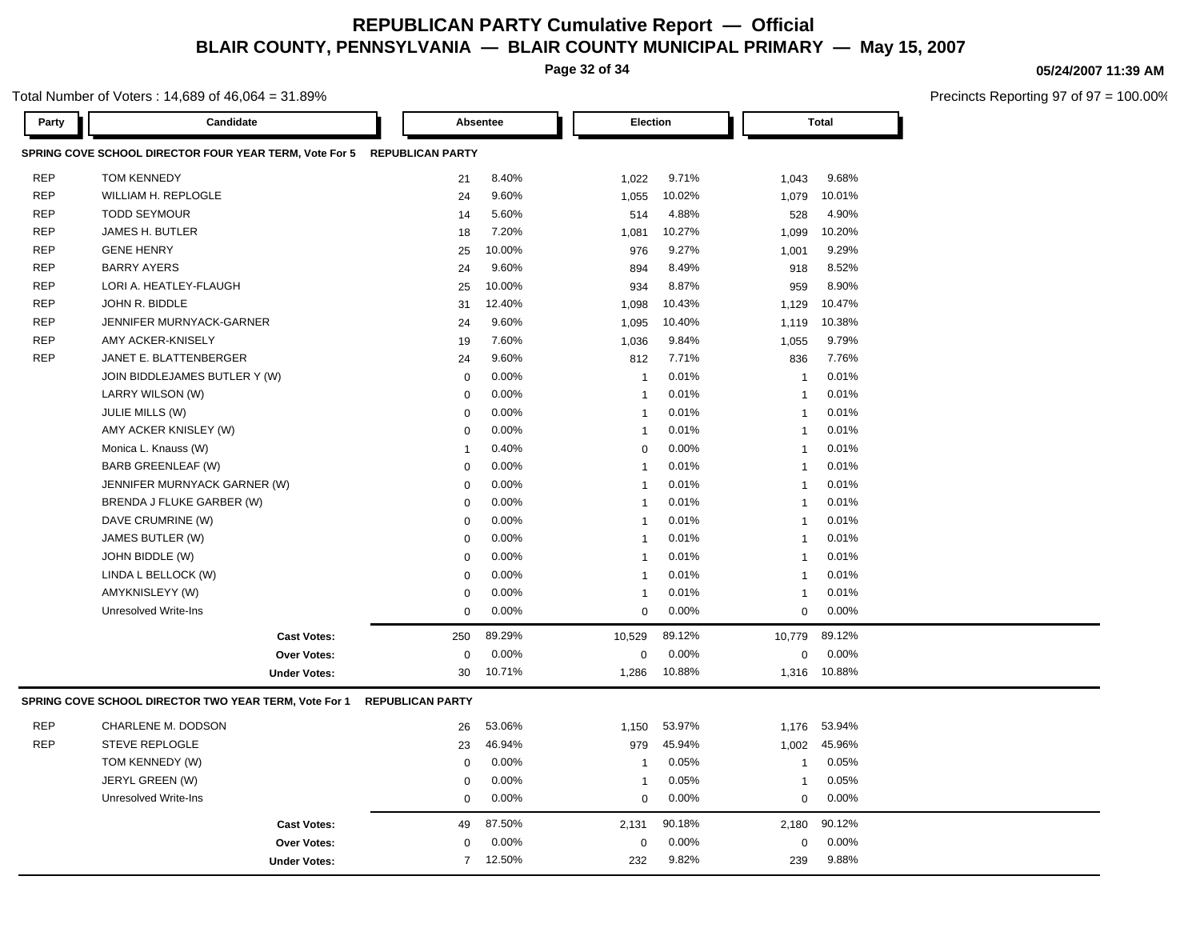**Page 32 of 34**

#### **05/24/2007 11:39 AM**

Precincts Reporting 97 of 97 = 100.00%

| Party      | Candidate                                                    |                         | <b>Absentee</b> | <b>Election</b> |        |                         | <b>Total</b> |  |
|------------|--------------------------------------------------------------|-------------------------|-----------------|-----------------|--------|-------------------------|--------------|--|
|            | SPRING COVE SCHOOL DIRECTOR FOUR YEAR TERM, Vote For 5       | <b>REPUBLICAN PARTY</b> |                 |                 |        |                         |              |  |
| <b>REP</b> | <b>TOM KENNEDY</b>                                           | 21                      | 8.40%           | 1,022           | 9.71%  | 1,043                   | 9.68%        |  |
| <b>REP</b> | WILLIAM H. REPLOGLE                                          | 24                      | 9.60%           | 1,055           | 10.02% | 1,079                   | 10.01%       |  |
| <b>REP</b> | <b>TODD SEYMOUR</b>                                          | 14                      | 5.60%           | 514             | 4.88%  | 528                     | 4.90%        |  |
| <b>REP</b> | JAMES H. BUTLER                                              | 18                      | 7.20%           | 1,081           | 10.27% | 1,099                   | 10.20%       |  |
| <b>REP</b> | <b>GENE HENRY</b>                                            | 25                      | 10.00%          | 976             | 9.27%  | 1,001                   | 9.29%        |  |
| <b>REP</b> | <b>BARRY AYERS</b>                                           | 24                      | 9.60%           | 894             | 8.49%  | 918                     | 8.52%        |  |
| <b>REP</b> | LORI A. HEATLEY-FLAUGH                                       | 25                      | 10.00%          | 934             | 8.87%  | 959                     | 8.90%        |  |
| <b>REP</b> | JOHN R. BIDDLE                                               | 31                      | 12.40%          | 1,098           | 10.43% | 1,129                   | 10.47%       |  |
| <b>REP</b> | JENNIFER MURNYACK-GARNER                                     | 24                      | 9.60%           | 1,095           | 10.40% | 1,119                   | 10.38%       |  |
| <b>REP</b> | AMY ACKER-KNISELY                                            | 19                      | 7.60%           | 1,036           | 9.84%  | 1,055                   | 9.79%        |  |
| <b>REP</b> | JANET E. BLATTENBERGER                                       | 24                      | 9.60%           | 812             | 7.71%  | 836                     | 7.76%        |  |
|            | JOIN BIDDLEJAMES BUTLER Y (W)                                | $\mathbf 0$             | 0.00%           | $\mathbf{1}$    | 0.01%  | $\overline{1}$          | 0.01%        |  |
|            | LARRY WILSON (W)                                             | $\mathbf 0$             | 0.00%           | $\overline{1}$  | 0.01%  | $\overline{1}$          | 0.01%        |  |
|            | <b>JULIE MILLS (W)</b>                                       | $\mathbf 0$             | 0.00%           | $\overline{1}$  | 0.01%  | $\overline{1}$          | 0.01%        |  |
|            | AMY ACKER KNISLEY (W)                                        | $\Omega$                | 0.00%           | $\mathbf{1}$    | 0.01%  | $\overline{1}$          | 0.01%        |  |
|            | Monica L. Knauss (W)                                         | $\overline{1}$          | 0.40%           | $\mathbf 0$     | 0.00%  | $\overline{1}$          | 0.01%        |  |
|            | BARB GREENLEAF (W)                                           | $\mathbf 0$             | 0.00%           | $\mathbf{1}$    | 0.01%  | $\overline{1}$          | 0.01%        |  |
|            | JENNIFER MURNYACK GARNER (W)                                 | $\mathbf 0$             | 0.00%           | $\overline{1}$  | 0.01%  | $\overline{1}$          | 0.01%        |  |
|            | BRENDA J FLUKE GARBER (W)                                    | $\mathbf 0$             | 0.00%           | $\mathbf{1}$    | 0.01%  | $\overline{1}$          | 0.01%        |  |
|            | DAVE CRUMRINE (W)                                            | $\mathbf 0$             | 0.00%           | $\overline{1}$  | 0.01%  | $\overline{\mathbf{1}}$ | 0.01%        |  |
|            | JAMES BUTLER (W)                                             | $\mathbf 0$             | 0.00%           | $\overline{1}$  | 0.01%  | $\overline{1}$          | 0.01%        |  |
|            | JOHN BIDDLE (W)                                              | $\Omega$                | 0.00%           | $\overline{1}$  | 0.01%  | $\overline{1}$          | 0.01%        |  |
|            | LINDA L BELLOCK (W)                                          | $\mathbf 0$             | 0.00%           | -1              | 0.01%  | $\overline{1}$          | 0.01%        |  |
|            | AMYKNISLEYY (W)                                              | $\Omega$                | 0.00%           | $\mathbf{1}$    | 0.01%  | $\overline{1}$          | 0.01%        |  |
|            | <b>Unresolved Write-Ins</b>                                  | $\Omega$                | 0.00%           | $\mathbf 0$     | 0.00%  | $\Omega$                | 0.00%        |  |
|            | <b>Cast Votes:</b>                                           | 250                     | 89.29%          | 10,529          | 89.12% | 10,779                  | 89.12%       |  |
|            | <b>Over Votes:</b>                                           | $\mathbf 0$             | 0.00%           | $\Omega$        | 0.00%  | $\mathbf 0$             | 0.00%        |  |
|            | <b>Under Votes:</b>                                          | 30                      | 10.71%          | 1,286           | 10.88% | 1,316                   | 10.88%       |  |
|            | <b>SPRING COVE SCHOOL DIRECTOR TWO YEAR TERM, Vote For 1</b> | <b>REPUBLICAN PARTY</b> |                 |                 |        |                         |              |  |
| <b>REP</b> | CHARLENE M. DODSON                                           | 26                      | 53.06%          | 1,150           | 53.97% | 1,176                   | 53.94%       |  |
| <b>REP</b> | <b>STEVE REPLOGLE</b>                                        | 23                      | 46.94%          | 979             | 45.94% | 1,002                   | 45.96%       |  |
|            | TOM KENNEDY (W)                                              | $\mathbf 0$             | 0.00%           | $\overline{1}$  | 0.05%  | $\overline{1}$          | 0.05%        |  |
|            | JERYL GREEN (W)                                              | $\Omega$                | 0.00%           | $\mathbf{1}$    | 0.05%  | $\overline{\mathbf{1}}$ | 0.05%        |  |
|            | <b>Unresolved Write-Ins</b>                                  | $\mathbf 0$             | 0.00%           | $\mathbf 0$     | 0.00%  | $\mathbf 0$             | 0.00%        |  |
|            | <b>Cast Votes:</b>                                           | 49                      | 87.50%          | 2,131           | 90.18% | 2,180                   | 90.12%       |  |
|            | <b>Over Votes:</b>                                           | $\Omega$                | 0.00%           | 0               | 0.00%  | 0                       | 0.00%        |  |
|            | <b>Under Votes:</b>                                          | $\overline{7}$          | 12.50%          | 232             | 9.82%  | 239                     | 9.88%        |  |
|            |                                                              |                         |                 |                 |        |                         |              |  |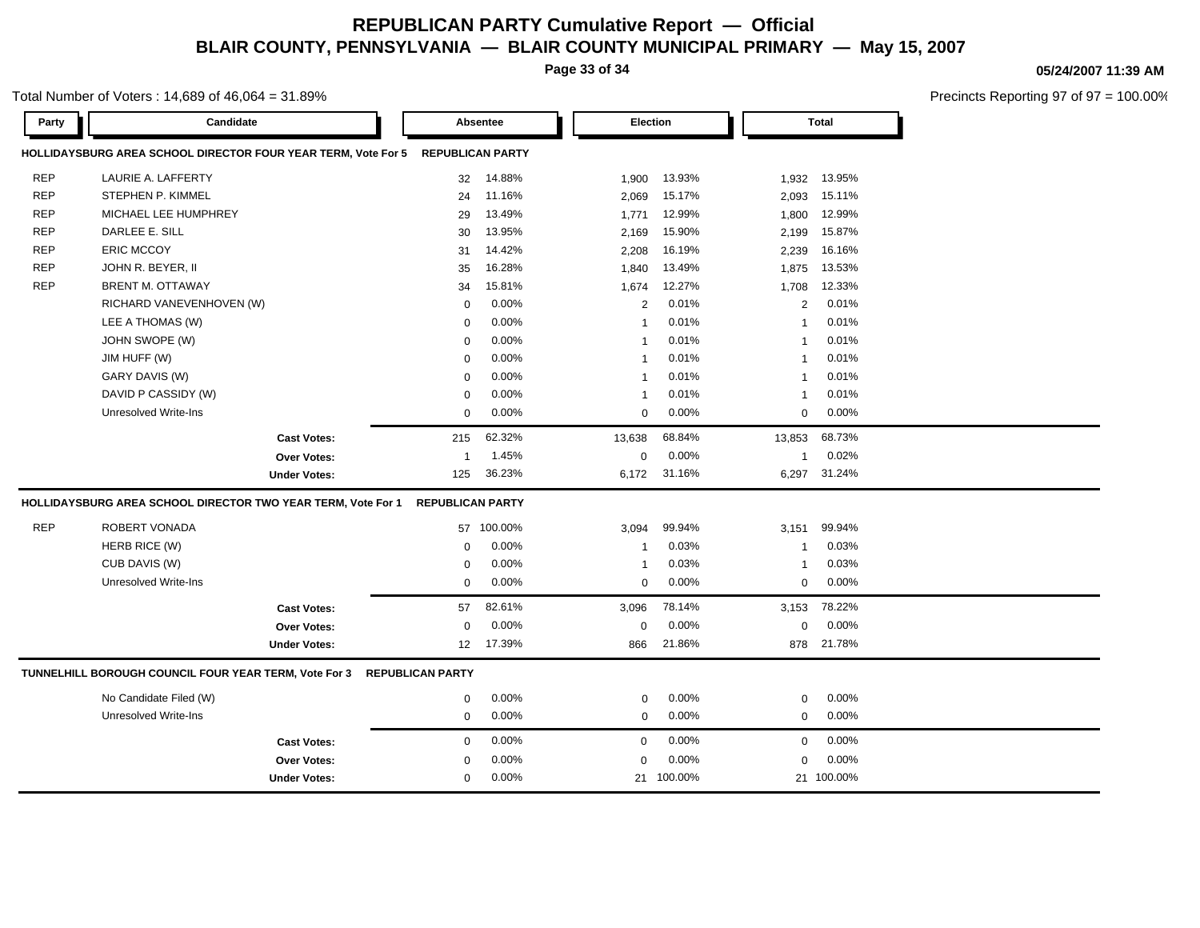**Page 33 of 34**

### **05/24/2007 11:39 AM**

| Total Number of Voters: $14,689$ of $46,064 = 31.89\%$ |  |
|--------------------------------------------------------|--|
|--------------------------------------------------------|--|

| Party      |                                                               | Candidate           |                         | Absentee |                         | Election   |                | <b>Total</b> |  |
|------------|---------------------------------------------------------------|---------------------|-------------------------|----------|-------------------------|------------|----------------|--------------|--|
|            | HOLLIDAYSBURG AREA SCHOOL DIRECTOR FOUR YEAR TERM, Vote For 5 |                     | <b>REPUBLICAN PARTY</b> |          |                         |            |                |              |  |
| <b>REP</b> | LAURIE A. LAFFERTY                                            |                     | 32                      | 14.88%   | 1,900                   | 13.93%     | 1,932          | 13.95%       |  |
| <b>REP</b> | STEPHEN P. KIMMEL                                             |                     | 24                      | 11.16%   | 2,069                   | 15.17%     | 2,093          | 15.11%       |  |
| <b>REP</b> | MICHAEL LEE HUMPHREY                                          |                     | 29                      | 13.49%   | 1,771                   | 12.99%     | 1,800          | 12.99%       |  |
| <b>REP</b> | DARLEE E. SILL                                                |                     | 30                      | 13.95%   | 2,169                   | 15.90%     | 2,199          | 15.87%       |  |
| <b>REP</b> | <b>ERIC MCCOY</b>                                             |                     | 31                      | 14.42%   | 2,208                   | 16.19%     | 2,239          | 16.16%       |  |
| <b>REP</b> | JOHN R. BEYER, II                                             |                     | 35                      | 16.28%   | 1,840                   | 13.49%     | 1,875          | 13.53%       |  |
| <b>REP</b> | <b>BRENT M. OTTAWAY</b>                                       |                     | 34                      | 15.81%   | 1,674                   | 12.27%     | 1,708          | 12.33%       |  |
|            | RICHARD VANEVENHOVEN (W)                                      |                     | $\mathbf 0$             | 0.00%    | $\overline{2}$          | 0.01%      | $\overline{2}$ | 0.01%        |  |
|            | LEE A THOMAS (W)                                              |                     | $\mathbf 0$             | 0.00%    | $\overline{1}$          | 0.01%      | $\mathbf{1}$   | 0.01%        |  |
|            | JOHN SWOPE (W)                                                |                     | $\Omega$                | 0.00%    | $\overline{1}$          | 0.01%      | $\mathbf{1}$   | 0.01%        |  |
|            | JIM HUFF (W)                                                  |                     | $\mathbf 0$             | 0.00%    | $\overline{\mathbf{1}}$ | 0.01%      | $\mathbf{1}$   | 0.01%        |  |
|            | GARY DAVIS (W)                                                |                     | 0                       | 0.00%    | $\overline{\mathbf{1}}$ | 0.01%      | $\mathbf{1}$   | 0.01%        |  |
|            | DAVID P CASSIDY (W)                                           |                     | 0                       | 0.00%    | $\overline{1}$          | 0.01%      | -1             | 0.01%        |  |
|            | <b>Unresolved Write-Ins</b>                                   |                     | 0                       | 0.00%    | $\mathbf 0$             | 0.00%      | $\mathbf 0$    | 0.00%        |  |
|            |                                                               | <b>Cast Votes:</b>  | 215                     | 62.32%   | 13,638                  | 68.84%     | 13,853         | 68.73%       |  |
|            |                                                               | <b>Over Votes:</b>  | 1                       | 1.45%    | $\mathbf 0$             | 0.00%      | $\mathbf{1}$   | 0.02%        |  |
|            |                                                               | <b>Under Votes:</b> | 125                     | 36.23%   | 6,172                   | 31.16%     | 6,297          | 31.24%       |  |
|            | HOLLIDAYSBURG AREA SCHOOL DIRECTOR TWO YEAR TERM, Vote For 1  |                     | <b>REPUBLICAN PARTY</b> |          |                         |            |                |              |  |
| <b>REP</b> | <b>ROBERT VONADA</b>                                          |                     | 57                      | 100.00%  | 3,094                   | 99.94%     | 3,151          | 99.94%       |  |
|            | HERB RICE (W)                                                 |                     | $\mathbf 0$             | 0.00%    | $\overline{1}$          | 0.03%      | $\mathbf{1}$   | 0.03%        |  |
|            | CUB DAVIS (W)                                                 |                     | $\Omega$                | 0.00%    | $\overline{1}$          | 0.03%      | -1             | 0.03%        |  |
|            | Unresolved Write-Ins                                          |                     | $\Omega$                | 0.00%    | $\mathbf 0$             | 0.00%      | $\mathbf 0$    | 0.00%        |  |
|            |                                                               | <b>Cast Votes:</b>  | 57                      | 82.61%   | 3,096                   | 78.14%     | 3,153          | 78.22%       |  |
|            |                                                               | <b>Over Votes:</b>  | $\mathbf 0$             | 0.00%    | $\mathbf 0$             | 0.00%      | $\mathbf 0$    | 0.00%        |  |
|            |                                                               | <b>Under Votes:</b> | 12                      | 17.39%   | 866                     | 21.86%     | 878            | 21.78%       |  |
|            | TUNNELHILL BOROUGH COUNCIL FOUR YEAR TERM, Vote For 3         |                     | <b>REPUBLICAN PARTY</b> |          |                         |            |                |              |  |
|            | No Candidate Filed (W)                                        |                     | 0                       | 0.00%    | $\mathbf 0$             | 0.00%      | $\mathbf 0$    | 0.00%        |  |
|            | <b>Unresolved Write-Ins</b>                                   |                     | $\mathbf 0$             | 0.00%    | $\mathbf 0$             | 0.00%      | $\mathbf 0$    | 0.00%        |  |
|            |                                                               | <b>Cast Votes:</b>  | $\mathbf 0$             | 0.00%    | $\mathbf 0$             | 0.00%      | $\mathbf 0$    | 0.00%        |  |
|            |                                                               | <b>Over Votes:</b>  | $\mathbf 0$             | 0.00%    | $\Omega$                | 0.00%      | $\mathbf 0$    | 0.00%        |  |
|            |                                                               | <b>Under Votes:</b> | 0                       | $0.00\%$ |                         | 21 100.00% |                | 21 100.00%   |  |
|            |                                                               |                     |                         |          |                         |            |                |              |  |